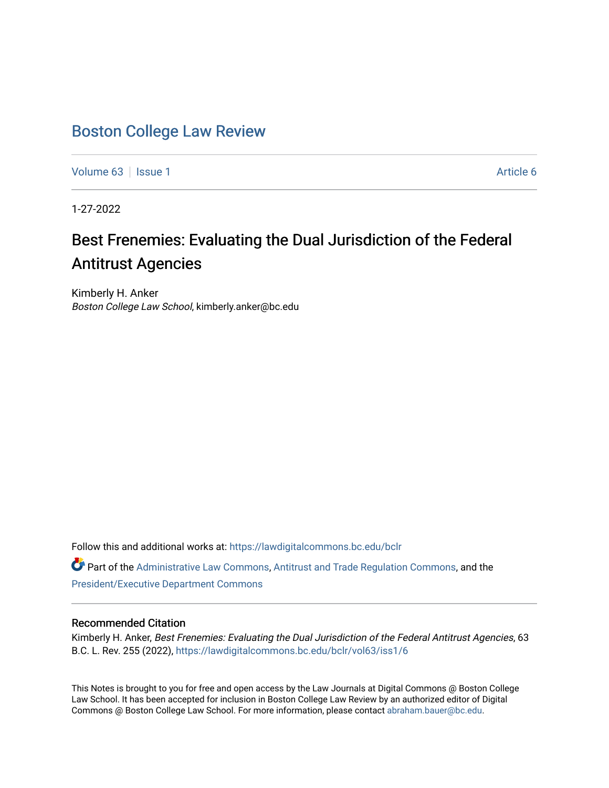# [Boston College Law Review](https://lawdigitalcommons.bc.edu/bclr)

[Volume 63](https://lawdigitalcommons.bc.edu/bclr/vol63) | [Issue 1](https://lawdigitalcommons.bc.edu/bclr/vol63/iss1) Article 6

1-27-2022

# Best Frenemies: Evaluating the Dual Jurisdiction of the Federal Antitrust Agencies

Kimberly H. Anker Boston College Law School, kimberly.anker@bc.edu

Follow this and additional works at: [https://lawdigitalcommons.bc.edu/bclr](https://lawdigitalcommons.bc.edu/bclr?utm_source=lawdigitalcommons.bc.edu%2Fbclr%2Fvol63%2Fiss1%2F6&utm_medium=PDF&utm_campaign=PDFCoverPages) 

Part of the [Administrative Law Commons,](http://network.bepress.com/hgg/discipline/579?utm_source=lawdigitalcommons.bc.edu%2Fbclr%2Fvol63%2Fiss1%2F6&utm_medium=PDF&utm_campaign=PDFCoverPages) [Antitrust and Trade Regulation Commons,](http://network.bepress.com/hgg/discipline/911?utm_source=lawdigitalcommons.bc.edu%2Fbclr%2Fvol63%2Fiss1%2F6&utm_medium=PDF&utm_campaign=PDFCoverPages) and the [President/Executive Department Commons](http://network.bepress.com/hgg/discipline/1118?utm_source=lawdigitalcommons.bc.edu%2Fbclr%2Fvol63%2Fiss1%2F6&utm_medium=PDF&utm_campaign=PDFCoverPages)

# Recommended Citation

Kimberly H. Anker, Best Frenemies: Evaluating the Dual Jurisdiction of the Federal Antitrust Agencies, 63 B.C. L. Rev. 255 (2022), [https://lawdigitalcommons.bc.edu/bclr/vol63/iss1/6](https://lawdigitalcommons.bc.edu/bclr/vol63/iss1/6?utm_source=lawdigitalcommons.bc.edu%2Fbclr%2Fvol63%2Fiss1%2F6&utm_medium=PDF&utm_campaign=PDFCoverPages) 

This Notes is brought to you for free and open access by the Law Journals at Digital Commons @ Boston College Law School. It has been accepted for inclusion in Boston College Law Review by an authorized editor of Digital Commons @ Boston College Law School. For more information, please contact [abraham.bauer@bc.edu.](mailto:abraham.bauer@bc.edu)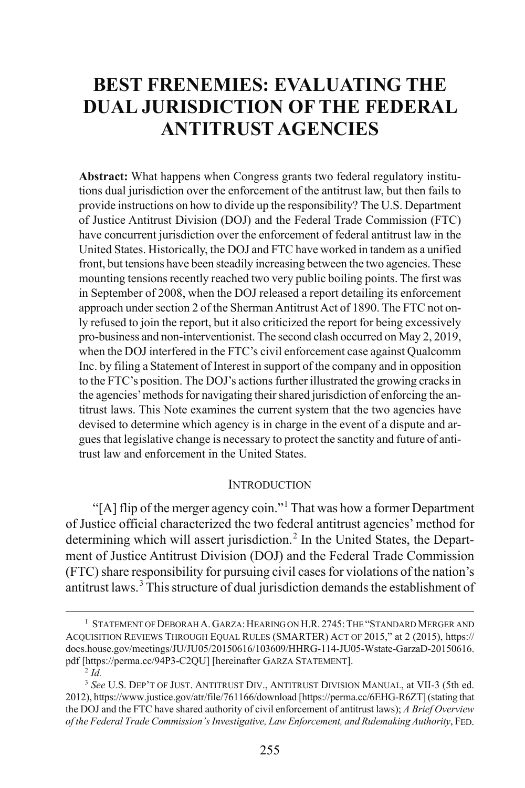# **BEST FRENEMIES: EVALUATING THE DUAL JURISDICTION OF THE FEDERAL ANTITRUST AGENCIES**

**Abstract:** What happens when Congress grants two federal regulatory institutions dual jurisdiction over the enforcement of the antitrust law, but then fails to provide instructions on how to divide up the responsibility? The U.S. Department of Justice Antitrust Division (DOJ) and the Federal Trade Commission (FTC) have concurrent jurisdiction over the enforcement of federal antitrust law in the United States. Historically, the DOJ and FTC have worked in tandem as a unified front, but tensions have been steadily increasing between the two agencies. These mounting tensions recently reached two very public boiling points. The first was in September of 2008, when the DOJ released a report detailing its enforcement approach under section 2 of the Sherman Antitrust Act of 1890. The FTC not only refused to join the report, but it also criticized the report for being excessively pro-business and non-interventionist. The second clash occurred on May 2, 2019, when the DOJ interfered in the FTC's civil enforcement case against Qualcomm Inc. by filing a Statement of Interest in support of the company and in opposition to the FTC's position. The DOJ's actions further illustrated the growing cracks in the agencies' methods for navigating their shared jurisdiction of enforcing the antitrust laws. This Note examines the current system that the two agencies have devised to determine which agency is in charge in the event of a dispute and argues that legislative change is necessary to protect the sanctity and future of antitrust law and enforcement in the United States.

#### <span id="page-1-4"></span>**INTRODUCTION**

"[A] flip of the merger agency coin."<sup>[1](#page-1-0)</sup> That was how a former Department of Justice official characterized the two federal antitrust agencies' method for determining which will assert jurisdiction.<sup>[2](#page-1-1)</sup> In the United States, the Department of Justice Antitrust Division (DOJ) and the Federal Trade Commission (FTC) share responsibility for pursuing civil cases for violations of the nation's antitrust laws.[3](#page-1-2) This structure of dual jurisdiction demands the establishment of

<span id="page-1-3"></span><span id="page-1-0"></span> <sup>1</sup> <sup>1</sup> STATEMENT OF DEBORAH A. GARZA: HEARING ON H.R. 2745: THE "STANDARD MERGER AND ACQUISITION REVIEWS THROUGH EQUAL RULES (SMARTER) ACT OF 2015," at 2 (2015), https:// docs.house.gov/meetings/JU/JU05/20150616/103609/HHRG-114-JU05-Wstate-GarzaD-20150616. pdf [https://perma.cc/94P3-C2QU] [hereinafter GARZA STATEMENT].

<sup>2</sup> *Id.*

<span id="page-1-2"></span><span id="page-1-1"></span><sup>3</sup>  *See* U.S. DEP'T OF JUST. ANTITRUST DIV., ANTITRUST DIVISION MANUAL, at VII-3 (5th ed. 2012), https://www.justice.gov/atr/file/761166/download [https://perma.cc/6EHG-R6ZT] (stating that the DOJ and the FTC have shared authority of civil enforcement of antitrust laws); *A Brief Overview of the Federal Trade Commission's Investigative, Law Enforcement, and Rulemaking Authority*, FED.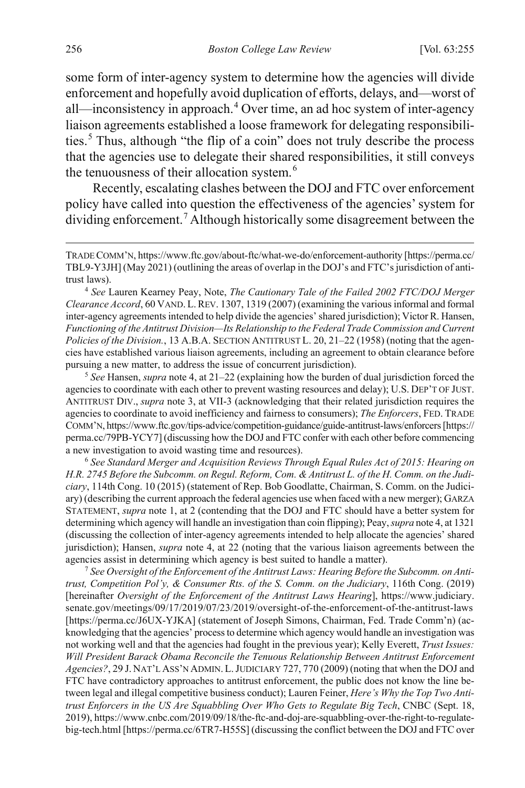<span id="page-2-0"></span>some form of inter-agency system to determine how the agencies will divide enforcement and hopefully avoid duplication of efforts, delays, and—worst of all—inconsistency in approach.[4](#page-2-1) Over time, an ad hoc system of inter-agency liaison agreements established a loose framework for delegating responsibilities.[5](#page-2-2) Thus, although "the flip of a coin" does not truly describe the process that the agencies use to delegate their shared responsibilities, it still conveys the tenuousness of their allocation system.<sup>[6](#page-2-3)</sup>

<span id="page-2-6"></span><span id="page-2-5"></span>Recently, escalating clashes between the DOJ and FTC over enforcement policy have called into question the effectiveness of the agencies' system for dividing enforcement.<sup>[7](#page-2-4)</sup> Although historically some disagreement between the

<span id="page-2-1"></span>4  *See* Lauren Kearney Peay, Note, *The Cautionary Tale of the Failed 2002 FTC/DOJ Merger Clearance Accord*, 60 VAND. L.REV. 1307, 1319 (2007) (examining the various informal and formal inter-agency agreements intended to help divide the agencies' shared jurisdiction); Victor R. Hansen, *Functioning of the Antitrust Division—Its Relationship to the Federal Trade Commission and Current Policies of the Division.*, 13 A.B.A. SECTION ANTITRUST L. 20, 21–22 (1958) (noting that the agencies have established various liaison agreements, including an agreement to obtain clearance before pursuing a new matter, to address the issue of concurrent jurisdiction).

<span id="page-2-2"></span>5  *See* Hansen, *supra* not[e 4,](#page-2-0) at 21–22 (explaining how the burden of dual jurisdiction forced the agencies to coordinate with each other to prevent wasting resources and delay); U.S. DEP'T OF JUST. ANTITRUST DIV., *supra* not[e 3,](#page-1-3) at VII-3 (acknowledging that their related jurisdiction requires the agencies to coordinate to avoid inefficiency and fairness to consumers); *The Enforcers*, FED. TRADE COMM'N, https://www.ftc.gov/tips-advice/competition-guidance/guide-antitrust-laws/enforcers[https:// perma.cc/79PB-YCY7] (discussing how the DOJ and FTC confer with each other before commencing a new investigation to avoid wasting time and resources).

<span id="page-2-3"></span><sup>6</sup> *See Standard Merger and Acquisition Reviews Through Equal Rules Act of 2015: Hearing on H.R. 2745 Before the Subcomm. on Regul. Reform, Com. & Antitrust L. of the H. Comm. on the Judiciary*, 114th Cong. 10 (2015) (statement of Rep. Bob Goodlatte, Chairman, S. Comm. on the Judiciary) (describing the current approach the federal agencies use when faced with a new merger); GARZA STATEMENT, *supra* not[e 1,](#page-1-4) at 2 (contending that the DOJ and FTC should have a better system for determining which agency will handle an investigation than coin flipping); Peay, *supra* not[e 4,](#page-2-0) at 1321 (discussing the collection of inter-agency agreements intended to help allocate the agencies' shared jurisdiction); Hansen, *supra* note [4,](#page-2-0) at 22 (noting that the various liaison agreements between the agencies assist in determining which agency is best suited to handle a matter).

<span id="page-2-4"></span><sup>7</sup> *See Oversight of the Enforcement of the Antitrust Laws: Hearing Before the Subcomm. on Antitrust, Competition Pol'y, & Consumer Rts. of the S. Comm. on the Judiciary*, 116th Cong. (2019) [hereinafter *Oversight of the Enforcement of the Antitrust Laws Hearing*], https://www.judiciary. senate.gov/meetings/09/17/2019/07/23/2019/oversight-of-the-enforcement-of-the-antitrust-laws [https://perma.cc/J6UX-YJKA] (statement of Joseph Simons, Chairman, Fed. Trade Comm'n) (acknowledging that the agencies' process to determine which agency would handle an investigation was not working well and that the agencies had fought in the previous year); Kelly Everett, *Trust Issues: Will President Barack Obama Reconcile the Tenuous Relationship Between Antitrust Enforcement Agencies?*, 29 J. NAT'L ASS'N ADMIN. L.JUDICIARY 727, 770 (2009) (noting that when the DOJ and FTC have contradictory approaches to antitrust enforcement, the public does not know the line between legal and illegal competitive business conduct); Lauren Feiner, *Here's Why the Top Two Antitrust Enforcers in the US Are Squabbling Over Who Gets to Regulate Big Tech*, CNBC (Sept. 18, 2019), https://www.cnbc.com/2019/09/18/the-ftc-and-doj-are-squabbling-over-the-right-to-regulatebig-tech.html [https://perma.cc/6TR7-H55S] (discussing the conflict between the DOJ and FTC over

TRADE COMM'N, https://www.ftc.gov/about-ftc/what-we-do/enforcement-authority [https://perma.cc/ TBL9-Y3JH] (May 2021) (outlining the areas of overlap in the DOJ's and FTC's jurisdiction of antitrust laws).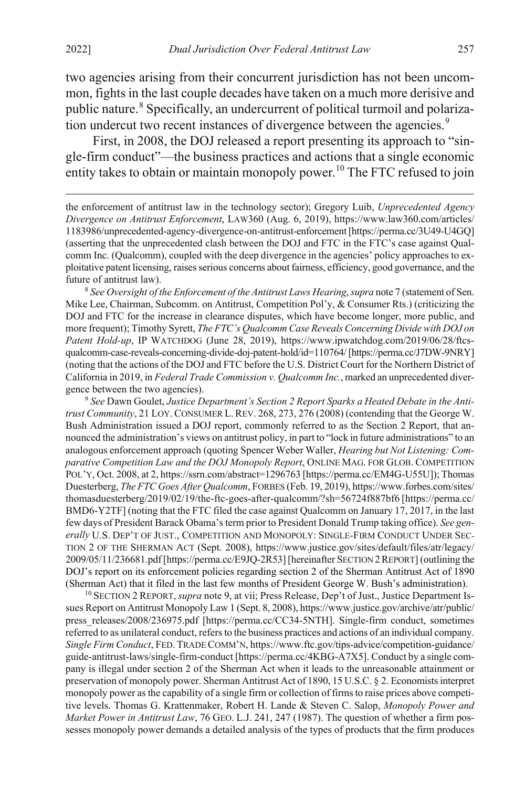<span id="page-3-5"></span> $\overline{a}$ 

<span id="page-3-4"></span>two agencies arising from their concurrent jurisdiction has not been uncommon, fights in the last couple decades have taken on a much more derisive and public nature.[8](#page-3-1) Specifically, an undercurrent of political turmoil and polariza-tion undercut two recent instances of divergence between the agencies.<sup>[9](#page-3-2)</sup>

<span id="page-3-0"></span>First, in 2008, the DOJ released a report presenting its approach to "single-firm conduct"—the business practices and actions that a single economic entity takes to obtain or maintain monopoly power.<sup>[10](#page-3-3)</sup> The FTC refused to join

the enforcement of antitrust law in the technology sector); Gregory Luib, *Unprecedented Agency Divergence on Antitrust Enforcement*, LAW360 (Aug. 6, 2019), https://www.law360.com/articles/ 1183986/unprecedented-agency-divergence-on-antitrust-enforcement [https://perma.cc/3U49-U4GQ] (asserting that the unprecedented clash between the DOJ and FTC in the FTC's case against Qualcomm Inc. (Qualcomm), coupled with the deep divergence in the agencies' policy approaches to exploitative patent licensing, raises serious concerns about fairness, efficiency, good governance, and the future of antitrust law).

<span id="page-3-1"></span><sup>8</sup> *See Oversight of the Enforcement of the Antitrust Laws Hearing*, *supra* not[e 7](#page-2-5) (statement of Sen. Mike Lee, Chairman, Subcomm. on Antitrust, Competition Pol'y, & Consumer Rts.) (criticizing the DOJ and FTC for the increase in clearance disputes, which have become longer, more public, and more frequent); Timothy Syrett, *The FTC's Qualcomm Case Reveals Concerning Divide with DOJ on Patent Hold-up*, IP WATCHDOG (June 28, 2019), https://www.ipwatchdog.com/2019/06/28/ftcsqualcomm-case-reveals-concerning-divide-doj-patent-hold/id=110764/ [https://perma.cc/J7DW-9NRY] (noting that the actions of the DOJ and FTC before the U.S. District Court for the Northern District of California in 2019, in *Federal Trade Commission v. Qualcomm Inc.*, marked an unprecedented divergence between the two agencies).

<span id="page-3-2"></span>9  *See* Dawn Goulet, *Justice Department's Section 2 Report Sparks a Heated Debate in the Antitrust Community*, 21 LOY.CONSUMER L. REV. 268, 273, 276 (2008) (contending that the George W. Bush Administration issued a DOJ report, commonly referred to as the Section 2 Report, that announced the administration's views on antitrust policy, in part to "lock in future administrations" to an analogous enforcement approach (quoting Spencer Weber Waller, *Hearing but Not Listening: Comparative Competition Law and the DOJ Monopoly Report*, ONLINE MAG. FOR GLOB. COMPETITION POL'Y, Oct. 2008, at 2, https://ssrn.com/abstract=1296763 [https://perma.cc/EM4G-U55U]); Thomas Duesterberg, *The FTC Goes After Qualcomm*, FORBES (Feb. 19, 2019), https://www.forbes.com/sites/ thomasduesterberg/2019/02/19/the-ftc-goes-after-qualcomm/?sh=56724f887bf6 [https://perma.cc/ BMD6-Y2TF] (noting that the FTC filed the case against Qualcomm on January 17, 2017, in the last few days of President Barack Obama's term prior to President Donald Trump taking office). *See generally* U.S. DEP'T OF JUST., COMPETITION AND MONOPOLY: SINGLE-FIRM CONDUCT UNDER SEC-TION 2 OF THE SHERMAN ACT (Sept. 2008), https://www.justice.gov/sites/default/files/atr/legacy/ 2009/05/11/236681.pdf[https://perma.cc/E9JQ-2R53] [hereinafter SECTION 2REPORT] (outlining the DOJ's report on its enforcement policies regarding section 2 of the Sherman Antitrust Act of 1890 (Sherman Act) that it filed in the last few months of President George W. Bush's administration). 10 SECTION 2 REPORT,*supra* not[e 9,](#page-3-0) at vii; Press Release, Dep't of Just., Justice Department Is-

<span id="page-3-3"></span>sues Report on Antitrust Monopoly Law 1 (Sept. 8, 2008), https://www.justice.gov/archive/atr/public/ press\_releases/2008/236975.pdf [https://perma.cc/CC34-5NTH]. Single-firm conduct, sometimes referred to as unilateral conduct, refers to the business practices and actions of an individual company. *Single Firm Conduct*, FED.TRADE COMM'N, https://www.ftc.gov/tips-advice/competition-guidance/ guide-antitrust-laws/single-firm-conduct [https://perma.cc/4KBG-A7X5]. Conduct by a single company is illegal under section 2 of the Sherman Act when it leads to the unreasonable attainment or preservation of monopoly power. Sherman Antitrust Act of 1890, 15 U.S.C. § 2. Economists interpret monopoly power as the capability of a single firm or collection of firms to raise prices above competitive levels. Thomas G. Krattenmaker, Robert H. Lande & Steven C. Salop, *Monopoly Power and Market Power in Antitrust Law*, 76 GEO. L.J. 241, 247 (1987). The question of whether a firm possesses monopoly power demands a detailed analysis of the types of products that the firm produces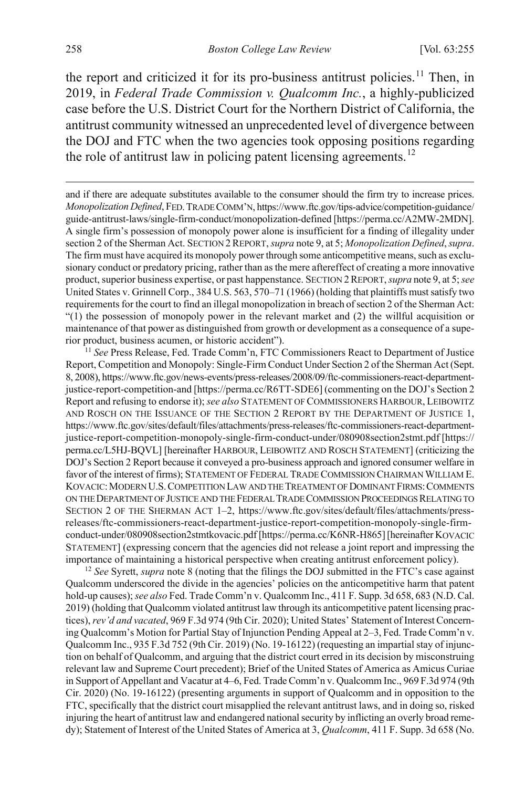<span id="page-4-2"></span>the report and criticized it for its pro-business antitrust policies.<sup>[11](#page-4-0)</sup> Then, in 2019, in *Federal Trade Commission v. Qualcomm Inc.*, a highly-publicized case before the U.S. District Court for the Northern District of California, the antitrust community witnessed an unprecedented level of divergence between the DOJ and FTC when the two agencies took opposing positions regarding the role of antitrust law in policing patent licensing agreements.<sup>[12](#page-4-1)</sup>

<span id="page-4-3"></span>and if there are adequate substitutes available to the consumer should the firm try to increase prices. *Monopolization Defined*, FED.TRADE COMM'N, https://www.ftc.gov/tips-advice/competition-guidance/ guide-antitrust-laws/single-firm-conduct/monopolization-defined [https://perma.cc/A2MW-2MDN]. A single firm's possession of monopoly power alone is insufficient for a finding of illegality under section 2 of the Sherman Act. SECTION 2REPORT, *supra* not[e 9,](#page-3-0) at 5; *Monopolization Defined*, *supra*. The firm must have acquired its monopoly power through some anticompetitive means, such as exclusionary conduct or predatory pricing, rather than as the mere aftereffect of creating a more innovative product, superior business expertise, or past happenstance. SECTION 2REPORT, *supra* not[e 9,](#page-3-0) at 5; *see* United States v. Grinnell Corp., 384 U.S. 563, 570–71 (1966) (holding that plaintiffs must satisfy two requirements for the court to find an illegal monopolization in breach of section 2 of the Sherman Act: "(1) the possession of monopoly power in the relevant market and (2) the willful acquisition or maintenance of that power as distinguished from growth or development as a consequence of a superior product, business acumen, or historic accident").

<span id="page-4-0"></span><sup>11</sup> *See* Press Release, Fed. Trade Comm'n, FTC Commissioners React to Department of Justice Report, Competition and Monopoly: Single-Firm Conduct Under Section 2 of the Sherman Act (Sept. 8, 2008), https://www.ftc.gov/news-events/press-releases/2008/09/ftc-commissioners-react-departmentjustice-report-competition-and [https://perma.cc/R6TT-SDE6] (commenting on the DOJ's Section 2 Report and refusing to endorse it); *see also* STATEMENT OF COMMISSIONERS HARBOUR, LEIBOWITZ AND ROSCH ON THE ISSUANCE OF THE SECTION 2 REPORT BY THE DEPARTMENT OF JUSTICE 1, https://www.ftc.gov/sites/default/files/attachments/press-releases/ftc-commissioners-react-departmentjustice-report-competition-monopoly-single-firm-conduct-under/080908section2stmt.pdf [https:// perma.cc/L5HJ-BQVL] [hereinafter HARBOUR, LEIBOWITZ AND ROSCH STATEMENT] (criticizing the DOJ's Section 2 Report because it conveyed a pro-business approach and ignored consumer welfare in favor of the interest of firms); STATEMENT OF FEDERAL TRADE COMMISSION CHAIRMAN WILLIAM E. KOVACIC:MODERN U.S.COMPETITION LAW AND THE TREATMENT OF DOMINANT FIRMS:COMMENTS ON THE DEPARTMENT OF JUSTICE AND THE FEDERAL TRADE COMMISSION PROCEEDINGSRELATING TO SECTION 2 OF THE SHERMAN ACT 1–2, https://www.ftc.gov/sites/default/files/attachments/pressreleases/ftc-commissioners-react-department-justice-report-competition-monopoly-single-firmconduct-under/080908section2stmtkovacic.pdf [https://perma.cc/K6NR-H865][hereinafter KOVACIC STATEMENT] (expressing concern that the agencies did not release a joint report and impressing the importance of maintaining a historical perspective when creating antitrust enforcement policy).

<span id="page-4-1"></span><sup>12</sup> *See* Syrett, *supra* not[e 8](#page-3-4) (noting that the filings the DOJ submitted in the FTC's case against Qualcomm underscored the divide in the agencies' policies on the anticompetitive harm that patent hold-up causes); *see also* Fed. Trade Comm'n v. Qualcomm Inc., 411 F. Supp. 3d 658, 683 (N.D. Cal. 2019) (holding that Qualcomm violated antitrust law through its anticompetitive patent licensing practices), *rev'd and vacated*, 969 F.3d 974 (9th Cir. 2020); United States' Statement of Interest Concerning Qualcomm's Motion for Partial Stay of Injunction Pending Appeal at 2–3, Fed. Trade Comm'n v. Qualcomm Inc., 935 F.3d 752 (9th Cir. 2019) (No. 19-16122) (requesting an impartial stay of injunction on behalf of Qualcomm, and arguing that the district court erred in its decision by misconstruing relevant law and Supreme Court precedent); Brief of the United States of America as Amicus Curiae in Support of Appellant and Vacatur at 4–6, Fed. Trade Comm'n v. Qualcomm Inc., 969 F.3d 974 (9th Cir. 2020) (No. 19-16122) (presenting arguments in support of Qualcomm and in opposition to the FTC, specifically that the district court misapplied the relevant antitrust laws, and in doing so, risked injuring the heart of antitrust law and endangered national security by inflicting an overly broad remedy); Statement of Interest of the United States of America at 3, *Qualcomm*, 411 F. Supp. 3d 658 (No.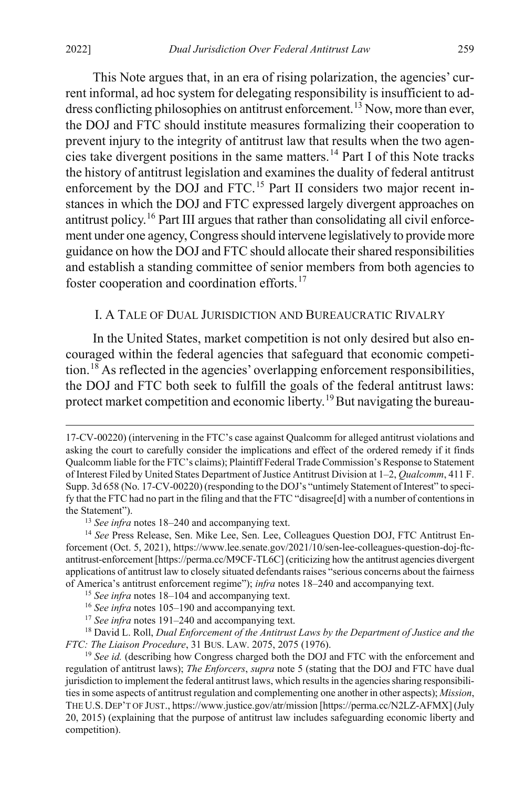$\overline{a}$ 

This Note argues that, in an era of rising polarization, the agencies' current informal, ad hoc system for delegating responsibility is insufficient to ad-dress conflicting philosophies on antitrust enforcement.<sup>[13](#page-5-1)</sup> Now, more than ever, the DOJ and FTC should institute measures formalizing their cooperation to prevent injury to the integrity of antitrust law that results when the two agencies take divergent positions in the same matters.[14](#page-5-2) Part I of this Note tracks the history of antitrust legislation and examines the duality of federal antitrust enforcement by the DOJ and FTC.<sup>[15](#page-5-3)</sup> Part II considers two major recent instances in which the DOJ and FTC expressed largely divergent approaches on antitrust policy.[16](#page-5-4) Part III argues that rather than consolidating all civil enforcement under one agency, Congress should intervene legislatively to provide more guidance on how the DOJ and FTC should allocate their shared responsibilities and establish a standing committee of senior members from both agencies to foster cooperation and coordination efforts.<sup>[17](#page-5-5)</sup>

# <span id="page-5-8"></span>I. A TALE OF DUAL JURISDICTION AND BUREAUCRATIC RIVALRY

<span id="page-5-0"></span>In the United States, market competition is not only desired but also encouraged within the federal agencies that safeguard that economic competi-tion.<sup>[18](#page-5-6)</sup> As reflected in the agencies' overlapping enforcement responsibilities, the DOJ and FTC both seek to fulfill the goals of the federal antitrust laws: protect market competition and economic liberty.<sup>[19](#page-5-7)</sup> But navigating the bureau-

<span id="page-5-6"></span><span id="page-5-5"></span><span id="page-5-4"></span><span id="page-5-3"></span><sup>18</sup> David L. Roll, *Dual Enforcement of the Antitrust Laws by the Department of Justice and the FTC: The Liaison Procedure*, 31 BUS. LAW. 2075, 2075 (1976).

<sup>17-</sup>CV-00220) (intervening in the FTC's case against Qualcomm for alleged antitrust violations and asking the court to carefully consider the implications and effect of the ordered remedy if it finds Qualcomm liable for the FTC's claims); Plaintiff Federal Trade Commission's Response to Statement of Interest Filed by United States Department of Justice Antitrust Division at 1–2, *Qualcomm*, 411 F. Supp. 3d 658 (No. 17-CV-00220) (responding to the DOJ's "untimely Statement of Interest" to specify that the FTC had no part in the filing and that the FTC "disagree[d] with a number of contentions in the Statement").

<sup>13</sup> *See infra* note[s 18–](#page-5-0)[240](#page-44-0) and accompanying text.

<span id="page-5-2"></span><span id="page-5-1"></span><sup>14</sup> *See* Press Release, Sen. Mike Lee, Sen. Lee, Colleagues Question DOJ, FTC Antitrust Enforcement (Oct. 5, 2021), https://www.lee.senate.gov/2021/10/sen-lee-colleagues-question-doj-ftcantitrust-enforcement [https://perma.cc/M9CF-TL6C] (criticizing how the antitrust agencies divergent applications of antitrust law to closely situated defendants raises "serious concerns about the fairness of America's antitrust enforcement regime"); *infra* note[s 18](#page-5-0)[–240](#page-44-0) and accompanying text.

<sup>15</sup> *See infra* note[s 18–](#page-5-0)[104](#page-20-0) and accompanying text.

<sup>16</sup> *See infra* note[s 105](#page-20-1)[–190](#page-35-0) and accompanying text.

<sup>17</sup> *See infra* note[s 191](#page-36-0)[–240](#page-44-0) and accompanying text.

<span id="page-5-7"></span><sup>19</sup> *See id.* (describing how Congress charged both the DOJ and FTC with the enforcement and regulation of antitrust laws); *The Enforcers*, *supra* note [5](#page-2-6) (stating that the DOJ and FTC have dual jurisdiction to implement the federal antitrust laws, which results in the agencies sharing responsibilities in some aspects of antitrust regulation and complementing one another in other aspects); *Mission*, THE U.S. DEP'T OF JUST., https://www.justice.gov/atr/mission [https://perma.cc/N2LZ-AFMX] (July 20, 2015) (explaining that the purpose of antitrust law includes safeguarding economic liberty and competition).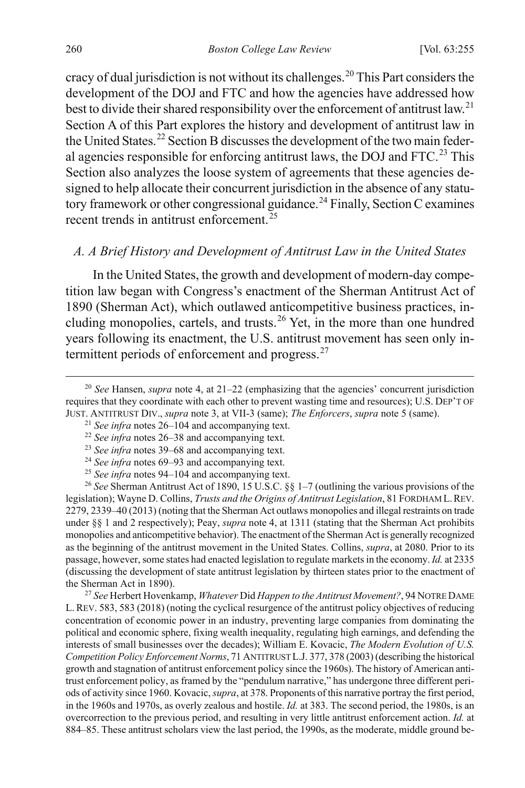cracy of dual jurisdiction is not without its challenges.<sup>[20](#page-6-1)</sup> This Part considers the development of the DOJ and FTC and how the agencies have addressed how best to divide their shared responsibility over the enforcement of antitrust law.<sup>[21](#page-6-2)</sup> Section A of this Part explores the history and development of antitrust law in the United States.<sup>[22](#page-6-3)</sup> Section B discusses the development of the two main feder-al agencies responsible for enforcing antitrust laws, the DOJ and FTC.<sup>[23](#page-6-4)</sup> This Section also analyzes the loose system of agreements that these agencies designed to help allocate their concurrent jurisdiction in the absence of any statu-tory framework or other congressional guidance.<sup>[24](#page-6-5)</sup> Finally, Section C examines recent trends in antitrust enforcement.<sup>[25](#page-6-6)</sup>

# <span id="page-6-0"></span>*A. A Brief History and Development of Antitrust Law in the United States*

In the United States, the growth and development of modern-day competition law began with Congress's enactment of the Sherman Antitrust Act of 1890 (Sherman Act), which outlawed anticompetitive business practices, including monopolies, cartels, and trusts.[26](#page-6-7) Yet, in the more than one hundred years following its enactment, the U.S. antitrust movement has seen only in-termittent periods of enforcement and progress.<sup>[27](#page-6-8)</sup>

<span id="page-6-7"></span><span id="page-6-6"></span><span id="page-6-5"></span><span id="page-6-4"></span><sup>26</sup> *See* Sherman Antitrust Act of 1890, 15 U.S.C. §§ 1–7 (outlining the various provisions of the legislation); Wayne D. Collins, *Trusts and the Origins of Antitrust Legislation*, 81 FORDHAM L.REV. 2279, 2339–40 (2013) (noting that the Sherman Act outlaws monopolies and illegal restraints on trade under §§ 1 and 2 respectively); Peay, *supra* not[e 4,](#page-2-0) at 1311 (stating that the Sherman Act prohibits monopolies and anticompetitive behavior). The enactment of the Sherman Act is generally recognized as the beginning of the antitrust movement in the United States. Collins, *supra*, at 2080. Prior to its passage, however, some states had enacted legislation to regulate markets in the economy.*Id.* at 2335 (discussing the development of state antitrust legislation by thirteen states prior to the enactment of the Sherman Act in 1890).

<span id="page-6-8"></span><sup>27</sup> *See* Herbert Hovenkamp, *Whatever* Did *Happen to the Antitrust Movement?*, 94 NOTRE DAME L.REV. 583, 583 (2018) (noting the cyclical resurgence of the antitrust policy objectives of reducing concentration of economic power in an industry, preventing large companies from dominating the political and economic sphere, fixing wealth inequality, regulating high earnings, and defending the interests of small businesses over the decades); William E. Kovacic, *The Modern Evolution of U.S. Competition Policy Enforcement Norms*, 71 ANTITRUST L.J. 377, 378 (2003) (describing the historical growth and stagnation of antitrust enforcement policy since the 1960s). The history of American antitrust enforcement policy, as framed by the "pendulum narrative," has undergone three different periods of activity since 1960. Kovacic, *supra*, at 378. Proponents of this narrative portray the first period, in the 1960s and 1970s, as overly zealous and hostile. *Id.* at 383. The second period, the 1980s, is an overcorrection to the previous period, and resulting in very little antitrust enforcement action. *Id.* at 884–85. These antitrust scholars view the last period, the 1990s, as the moderate, middle ground be-

<span id="page-6-3"></span><span id="page-6-2"></span><span id="page-6-1"></span> <sup>20</sup> *See* Hansen, *supra* note [4,](#page-2-0) at 21–22 (emphasizing that the agencies' concurrent jurisdiction requires that they coordinate with each other to prevent wasting time and resources); U.S. DEP'T OF JUST. ANTITRUST DIV., *supra* note [3,](#page-1-3) at VII-3 (same); *The Enforcers*, *supra* not[e 5](#page-2-6) (same).

<span id="page-6-9"></span><sup>21</sup> *See infra* note[s 26–](#page-6-0)[104](#page-20-0) and accompanying text.

<sup>22</sup> *See infra* note[s 26–](#page-6-0)[38](#page-8-0) and accompanying text.

<sup>23</sup> *See infra* note[s 39–](#page-8-1)[68](#page-13-0) and accompanying text.

<sup>24</sup> *See infra* note[s 69–](#page-13-1)[93](#page-17-0) and accompanying text.

<sup>25</sup> *See infra* note[s 94–](#page-17-1)[104](#page-20-0) and accompanying text.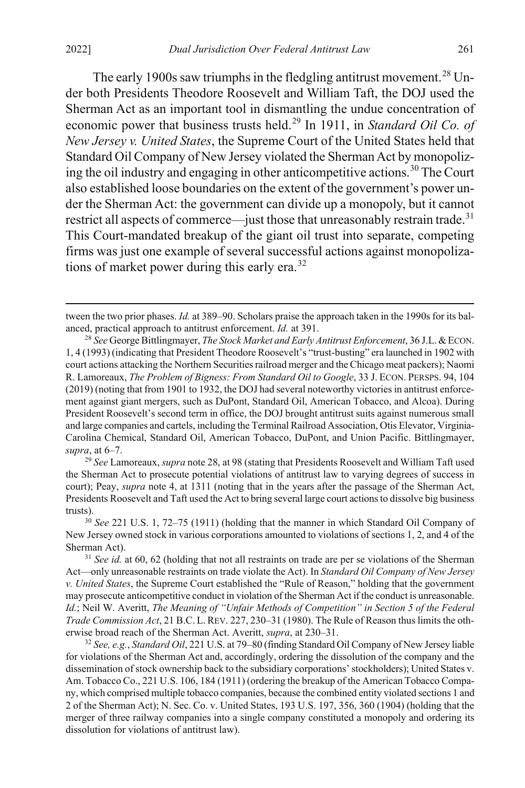<span id="page-7-0"></span>The early 1900s saw triumphs in the fledgling antitrust movement.<sup>[28](#page-7-1)</sup> Under both Presidents Theodore Roosevelt and William Taft, the DOJ used the Sherman Act as an important tool in dismantling the undue concentration of economic power that business trusts held.<sup>[29](#page-7-2)</sup> In 1911, in *Standard Oil Co. of New Jersey v. United States*, the Supreme Court of the United States held that Standard Oil Company of New Jersey violated the Sherman Act by monopoliz-ing the oil industry and engaging in other anticompetitive actions.<sup>[30](#page-7-3)</sup> The Court also established loose boundaries on the extent of the government's power under the Sherman Act: the government can divide up a monopoly, but it cannot restrict all aspects of commerce—just those that unreasonably restrain trade.<sup>[31](#page-7-4)</sup> This Court-mandated breakup of the giant oil trust into separate, competing firms was just one example of several successful actions against monopoliza-tions of market power during this early era.<sup>[32](#page-7-5)</sup>

<span id="page-7-2"></span><sup>29</sup> *See* Lamoreaux, *supra* not[e 28,](#page-7-0) at 98 (stating that Presidents Roosevelt and William Taft used the Sherman Act to prosecute potential violations of antitrust law to varying degrees of success in court); Peay, *supra* note [4,](#page-2-0) at 1311 (noting that in the years after the passage of the Sherman Act, Presidents Roosevelt and Taft used the Act to bring several large court actions to dissolve big business trusts).

<span id="page-7-3"></span><sup>30</sup> *See* 221 U.S. 1, 72–75 (1911) (holding that the manner in which Standard Oil Company of New Jersey owned stock in various corporations amounted to violations of sections 1, 2, and 4 of the Sherman Act).

<span id="page-7-4"></span><sup>31</sup> *See id.* at 60, 62 (holding that not all restraints on trade are per se violations of the Sherman Act—only unreasonable restraints on trade violate the Act). In *Standard Oil Company of New Jersey v. United States*, the Supreme Court established the "Rule of Reason," holding that the government may prosecute anticompetitive conduct in violation of the Sherman Act if the conduct is unreasonable. *Id.*; Neil W. Averitt, *The Meaning of "Unfair Methods of Competition" in Section 5 of the Federal Trade Commission Act*, 21 B.C. L.REV. 227, 230–31 (1980). The Rule of Reason thus limits the otherwise broad reach of the Sherman Act. Averitt, *supra*, at 230–31. 32 *See, e.g.*, *Standard Oil*, 221 U.S. at 79–80 (finding Standard Oil Company of New Jersey liable

<span id="page-7-5"></span>for violations of the Sherman Act and, accordingly, ordering the dissolution of the company and the dissemination of stock ownership back to the subsidiary corporations' stockholders); United States v. Am. Tobacco Co., 221 U.S. 106, 184 (1911) (ordering the breakup of the American Tobacco Company, which comprised multiple tobacco companies, because the combined entity violated sections 1 and 2 of the Sherman Act); N. Sec. Co. v. United States, 193 U.S. 197, 356, 360 (1904) (holding that the merger of three railway companies into a single company constituted a monopoly and ordering its dissolution for violations of antitrust law).

<span id="page-7-6"></span>tween the two prior phases. *Id.* at 389–90. Scholars praise the approach taken in the 1990s for its balanced, practical approach to antitrust enforcement. *Id.* at 391.

<span id="page-7-1"></span><sup>28</sup> *See* George Bittlingmayer, *The Stock Market and Early Antitrust Enforcement*, 36 J.L.&ECON. 1, 4 (1993) (indicating that President Theodore Roosevelt's "trust-busting" era launched in 1902 with court actions attacking the Northern Securities railroad merger and the Chicago meat packers); Naomi R. Lamoreaux, *The Problem of Bigness: From Standard Oil to Google*, 33 J. ECON. PERSPS. 94, 104 (2019) (noting that from 1901 to 1932, the DOJ had several noteworthy victories in antitrust enforcement against giant mergers, such as DuPont, Standard Oil, American Tobacco, and Alcoa). During President Roosevelt's second term in office, the DOJ brought antitrust suits against numerous small and large companies and cartels, including the Terminal Railroad Association, Otis Elevator, Virginia-Carolina Chemical, Standard Oil, American Tobacco, DuPont, and Union Pacific. Bittlingmayer, *supra*, at 6–7.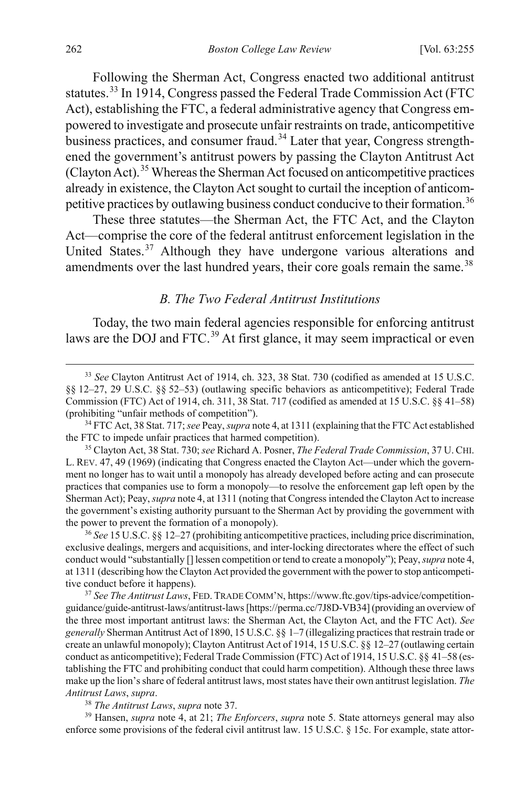Following the Sherman Act, Congress enacted two additional antitrust statutes.[33](#page-8-3) In 1914, Congress passed the Federal Trade Commission Act (FTC Act), establishing the FTC, a federal administrative agency that Congress empowered to investigate and prosecute unfair restraints on trade, anticompetitive business practices, and consumer fraud.<sup>[34](#page-8-4)</sup> Later that year, Congress strengthened the government's antitrust powers by passing the Clayton Antitrust Act (Clayton Act).[35](#page-8-5) Whereas the Sherman Act focused on anticompetitive practices already in existence, the Clayton Act sought to curtail the inception of anticom-petitive practices by outlawing business conduct conducive to their formation.<sup>[36](#page-8-6)</sup>

<span id="page-8-10"></span>These three statutes—the Sherman Act, the FTC Act, and the Clayton Act—comprise the core of the federal antitrust enforcement legislation in the United States.<sup>[37](#page-8-7)</sup> Although they have undergone various alterations and amendments over the last hundred years, their core goals remain the same.<sup>[38](#page-8-8)</sup>

#### <span id="page-8-2"></span><span id="page-8-1"></span><span id="page-8-0"></span>*B. The Two Federal Antitrust Institutions*

Today, the two main federal agencies responsible for enforcing antitrust laws are the DOJ and FTC.<sup>[39](#page-8-9)</sup> At first glance, it may seem impractical or even

<span id="page-8-6"></span><sup>36</sup> *See* 15 U.S.C. §§ 12–27 (prohibiting anticompetitive practices, including price discrimination, exclusive dealings, mergers and acquisitions, and inter-locking directorates where the effect of such conduct would "substantially [] lessen competition or tend to create a monopoly"); Peay, *supra* not[e 4,](#page-2-0) at 1311 (describing how the Clayton Act provided the government with the power to stop anticompetitive conduct before it happens).

<span id="page-8-7"></span><sup>37</sup> *See The Antitrust Laws*, FED. TRADE COMM'N, https://www.ftc.gov/tips-advice/competitionguidance/guide-antitrust-laws/antitrust-laws [https://perma.cc/7J8D-VB34] (providing an overview of the three most important antitrust laws: the Sherman Act, the Clayton Act, and the FTC Act). *See generally* Sherman Antitrust Act of 1890, 15 U.S.C. §§ 1–7 (illegalizing practices that restrain trade or create an unlawful monopoly); Clayton Antitrust Act of 1914, 15 U.S.C. §§ 12–27 (outlawing certain conduct as anticompetitive); Federal Trade Commission (FTC) Act of 1914, 15 U.S.C. §§ 41–58 (establishing the FTC and prohibiting conduct that could harm competition). Although these three laws make up the lion's share of federal antitrust laws, most states have their own antitrust legislation. *The Antitrust Laws*, *supra*. 38 *The Antitrust Laws*, *supra* not[e 37.](#page-8-2) 39 Hansen, *supra* note 4, at 21; *The Enforcers*, *supra* note [5.](#page-2-6) State attorneys general may also

<span id="page-8-9"></span><span id="page-8-8"></span>enforce some provisions of the federal civil antitrust law. 15 U.S.C. § 15c. For example, state attor-

<span id="page-8-3"></span> <sup>33</sup> *See* Clayton Antitrust Act of 1914, ch. 323, 38 Stat. 730 (codified as amended at 15 U.S.C. §§ 12–27, 29 U.S.C. §§ 52–53) (outlawing specific behaviors as anticompetitive); Federal Trade Commission (FTC) Act of 1914, ch. 311, 38 Stat. 717 (codified as amended at 15 U.S.C. §§ 41–58) (prohibiting "unfair methods of competition").

<span id="page-8-4"></span><sup>34</sup> FTC Act, 38 Stat. 717; *see* Peay, *supra* not[e 4,](#page-2-0) at 1311 (explaining that the FTC Act established the FTC to impede unfair practices that harmed competition).

<span id="page-8-5"></span><sup>35</sup> Clayton Act, 38 Stat. 730; *see* Richard A. Posner, *The Federal Trade Commission*, 37 U.CHI. L. REV. 47, 49 (1969) (indicating that Congress enacted the Clayton Act—under which the government no longer has to wait until a monopoly has already developed before acting and can prosecute practices that companies use to form a monopoly—to resolve the enforcement gap left open by the Sherman Act); Peay, *supra* not[e 4,](#page-2-0) at 1311 (noting that Congress intended the Clayton Act to increase the government's existing authority pursuant to the Sherman Act by providing the government with the power to prevent the formation of a monopoly).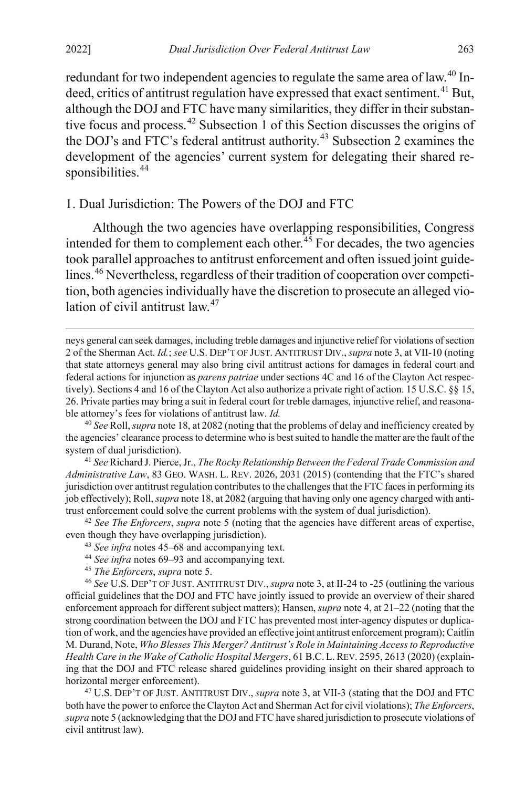$\overline{a}$ 

<span id="page-9-9"></span>redundant for two independent agencies to regulate the same area of law.<sup>[40](#page-9-1)</sup> In-deed, critics of antitrust regulation have expressed that exact sentiment.<sup>[41](#page-9-2)</sup> But, although the DOJ and FTC have many similarities, they differ in their substantive focus and process.[42](#page-9-3) Subsection 1 of this Section discusses the origins of the DOJ's and FTC's federal antitrust authority.<sup>[43](#page-9-4)</sup> Subsection 2 examines the development of the agencies' current system for delegating their shared re-sponsibilities.<sup>[44](#page-9-5)</sup>

# 1. Dual Jurisdiction: The Powers of the DOJ and FTC

<span id="page-9-0"></span>Although the two agencies have overlapping responsibilities, Congress intended for them to complement each other.<sup>[45](#page-9-6)</sup> For decades, the two agencies took parallel approaches to antitrust enforcement and often issued joint guidelines.[46](#page-9-7) Nevertheless, regardless of their tradition of cooperation over competition, both agencies individually have the discretion to prosecute an alleged vio-lation of civil antitrust law.<sup>[47](#page-9-8)</sup>

<span id="page-9-2"></span><sup>41</sup> *See* Richard J. Pierce, Jr., *The Rocky Relationship Between the Federal Trade Commission and Administrative Law*, 83 GEO. WASH. L. REV. 2026, 2031 (2015) (contending that the FTC's shared jurisdiction over antitrust regulation contributes to the challenges that the FTC faces in performing its job effectively); Roll, *supra* not[e 18,](#page-5-0) at 2082 (arguing that having only one agency charged with antitrust enforcement could solve the current problems with the system of dual jurisdiction).

<span id="page-9-4"></span><span id="page-9-3"></span><sup>42</sup> *See The Enforcers*, *supra* note [5](#page-2-6) (noting that the agencies have different areas of expertise, even though they have overlapping jurisdiction).

- <sup>43</sup> *See infra* note[s 45–](#page-9-0)[68](#page-13-0) and accompanying text.
- <sup>44</sup> *See infra* note[s 69–](#page-13-1)[93](#page-17-0) and accompanying text.
- 

<span id="page-9-7"></span><span id="page-9-6"></span><span id="page-9-5"></span><sup>45</sup> *The Enforcers*, *supra* not[e 5.](#page-2-6) 46 *See* U.S. DEP'T OF JUST. ANTITRUST DIV.,*supra* not[e 3,](#page-1-3) at II-24 to -25 (outlining the various official guidelines that the DOJ and FTC have jointly issued to provide an overview of their shared enforcement approach for different subject matters); Hansen, *supra* not[e 4,](#page-2-0) at 21–22 (noting that the strong coordination between the DOJ and FTC has prevented most inter-agency disputes or duplication of work, and the agencies have provided an effective joint antitrust enforcement program); Caitlin M. Durand, Note, *Who Blesses This Merger? Antitrust's Role in Maintaining Access to Reproductive Health Care in the Wake of Catholic Hospital Mergers*, 61 B.C. L.REV. 2595, 2613 (2020) (explaining that the DOJ and FTC release shared guidelines providing insight on their shared approach to horizontal merger enforcement).

<span id="page-9-8"></span><sup>47</sup> U.S. DEP'T OF JUST. ANTITRUST DIV., *supra* note [3,](#page-1-3) at VII-3 (stating that the DOJ and FTC both have the power to enforce the Clayton Act and Sherman Act for civil violations); *The Enforcers*, *supra* not[e 5](#page-2-6) (acknowledging that the DOJ and FTC have shared jurisdiction to prosecute violations of civil antitrust law).

neys general can seek damages, including treble damages and injunctive relief for violations of section 2 of the Sherman Act. *Id.*; *see* U.S. DEP'T OF JUST. ANTITRUST DIV.,*supra* not[e 3,](#page-1-3) at VII-10 (noting that state attorneys general may also bring civil antitrust actions for damages in federal court and federal actions for injunction as *parens patriae* under sections 4C and 16 of the Clayton Act respectively). Sections 4 and 16 of the Clayton Act also authorize a private right of action. 15 U.S.C. §§ 15, 26. Private parties may bring a suit in federal court for treble damages, injunctive relief, and reasonable attorney's fees for violations of antitrust law. *Id.*

<span id="page-9-1"></span><sup>40</sup> *See* Roll, *supra* not[e 18,](#page-5-0) at 2082 (noting that the problems of delay and inefficiency created by the agencies' clearance process to determine who is best suited to handle the matter are the fault of the system of dual jurisdiction).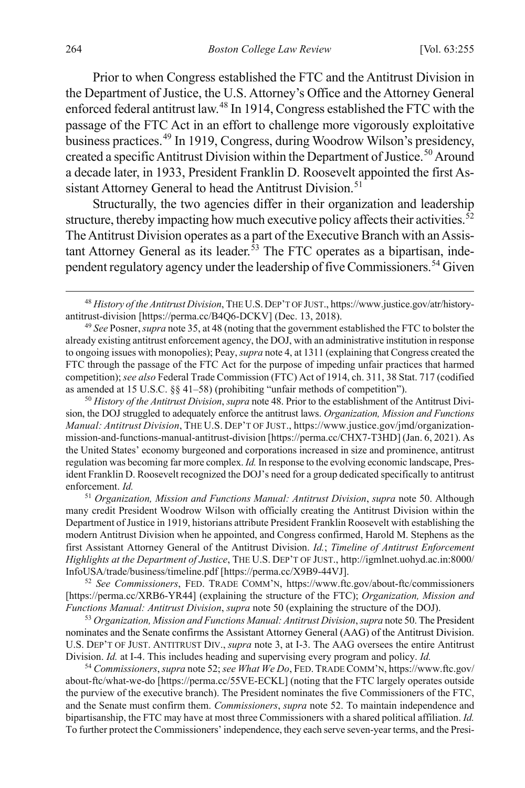<span id="page-10-0"></span>Prior to when Congress established the FTC and the Antitrust Division in the Department of Justice, the U.S. Attorney's Office and the Attorney General enforced federal antitrust law.[48](#page-10-3) In 1914, Congress established the FTC with the passage of the FTC Act in an effort to challenge more vigorously exploitative business practices.[49](#page-10-4) In 1919, Congress, during Woodrow Wilson's presidency, created a specific Antitrust Division within the Department of Justice.<sup>[50](#page-10-5)</sup> Around a decade later, in 1933, President Franklin D. Roosevelt appointed the first As-sistant Attorney General to head the Antitrust Division.<sup>[51](#page-10-6)</sup>

<span id="page-10-2"></span><span id="page-10-1"></span>Structurally, the two agencies differ in their organization and leadership structure, thereby impacting how much executive policy affects their activities. $52$ The Antitrust Division operates as a part of the Executive Branch with an Assis-tant Attorney General as its leader.<sup>[53](#page-10-8)</sup> The FTC operates as a bipartisan, inde-pendent regulatory agency under the leadership of five Commissioners.<sup>[54](#page-10-9)</sup> Given

<span id="page-10-5"></span><sup>50</sup> *History of the Antitrust Division*, *supra* not[e 48.](#page-10-0) Prior to the establishment of the Antitrust Division, the DOJ struggled to adequately enforce the antitrust laws. *Organization, Mission and Functions Manual: Antitrust Division*, THE U.S. DEP'T OF JUST., https://www.justice.gov/jmd/organizationmission-and-functions-manual-antitrust-division [https://perma.cc/CHX7-T3HD] (Jan. 6, 2021). As the United States' economy burgeoned and corporations increased in size and prominence, antitrust regulation was becoming far more complex. *Id.* In response to the evolving economic landscape, President Franklin D. Roosevelt recognized the DOJ's need for a group dedicated specifically to antitrust enforcement. *Id.*

<span id="page-10-6"></span><sup>51</sup> *Organization, Mission and Functions Manual: Antitrust Division*, *supra* note [50.](#page-10-1) Although many credit President Woodrow Wilson with officially creating the Antitrust Division within the Department of Justice in 1919, historians attribute President Franklin Roosevelt with establishing the modern Antitrust Division when he appointed, and Congress confirmed, Harold M. Stephens as the first Assistant Attorney General of the Antitrust Division. *Id.*; *Timeline of Antitrust Enforcement Highlights at the Department of Justice*, THE U.S. DEP'T OF JUST., http://igmlnet.uohyd.ac.in:8000/ InfoUSA/trade/business/timeline.pdf [https://perma.cc/X9B9-44VJ].

<span id="page-10-7"></span><sup>52</sup> *See Commissioners*, FED. TRADE COMM'N, https://www.ftc.gov/about-ftc/commissioners [https://perma.cc/XRB6-YR44] (explaining the structure of the FTC); *Organization, Mission and Functions Manual: Antitrust Division*, *supra* not[e 50](#page-10-1) (explaining the structure of the DOJ).

<span id="page-10-8"></span><sup>53</sup> *Organization, Mission and Functions Manual: Antitrust Division*, *supra* not[e 50.](#page-10-1) The President nominates and the Senate confirms the Assistant Attorney General (AAG) of the Antitrust Division. U.S. DEP'T OF JUST. ANTITRUST DIV., *supra* note [3,](#page-1-3) at I-3. The AAG oversees the entire Antitrust Division. *Id.* at I-4. This includes heading and supervising every program and policy. *Id.*

<span id="page-10-9"></span><sup>54</sup> *Commissioners*, *supra* not[e 52;](#page-10-2) *see What We Do*, FED. TRADE COMM'N, https://www.ftc.gov/ about-ftc/what-we-do [https://perma.cc/55VE-ECKL] (noting that the FTC largely operates outside the purview of the executive branch). The President nominates the five Commissioners of the FTC, and the Senate must confirm them. *Commissioners*, *supra* note [52.](#page-10-2) To maintain independence and bipartisanship, the FTC may have at most three Commissioners with a shared political affiliation. *Id.* To further protect the Commissioners' independence, they each serve seven-year terms, and the Presi-

<span id="page-10-10"></span><span id="page-10-3"></span> <sup>48</sup> *History of the Antitrust Division*, THE U.S.DEP'T OF JUST., https://www.justice.gov/atr/historyantitrust-division [https://perma.cc/B4Q6-DCKV] (Dec. 13, 2018).

<span id="page-10-4"></span><sup>49</sup> *See* Posner, *supra* not[e 35,](#page-8-10) at 48 (noting that the government established the FTC to bolster the already existing antitrust enforcement agency, the DOJ, with an administrative institution in response to ongoing issues with monopolies); Peay, *supra* not[e 4,](#page-2-0) at 1311 (explaining that Congress created the FTC through the passage of the FTC Act for the purpose of impeding unfair practices that harmed competition); *see also* Federal Trade Commission (FTC) Act of 1914, ch. 311, 38 Stat. 717 (codified as amended at 15 U.S.C. §§ 41–58) (prohibiting "unfair methods of competition").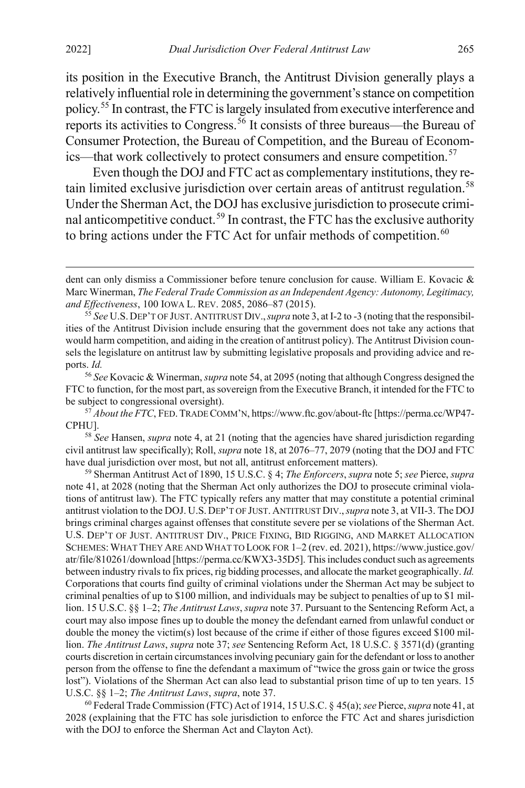its position in the Executive Branch, the Antitrust Division generally plays a relatively influential role in determining the government's stance on competition policy.[55](#page-11-0) In contrast, the FTC is largely insulated from executive interference and reports its activities to Congress.[56](#page-11-1) It consists of three bureaus—the Bureau of Consumer Protection, the Bureau of Competition, and the Bureau of Econom-ics—that work collectively to protect consumers and ensure competition.<sup>[57](#page-11-2)</sup>

<span id="page-11-6"></span>Even though the DOJ and FTC act as complementary institutions, they re-tain limited exclusive jurisdiction over certain areas of antitrust regulation.<sup>[58](#page-11-3)</sup> Under the Sherman Act, the DOJ has exclusive jurisdiction to prosecute crimi-nal anticompetitive conduct.<sup>[59](#page-11-4)</sup> In contrast, the FTC has the exclusive authority to bring actions under the FTC Act for unfair methods of competition. $60$ 

<span id="page-11-1"></span><sup>56</sup> *See* Kovacic & Winerman, *supra* not[e 54,](#page-10-10) at 2095 (noting that although Congress designed the FTC to function, for the most part, as sovereign from the Executive Branch, it intended for the FTC to be subject to congressional oversight).

<span id="page-11-2"></span><sup>57</sup> *About the FTC*, FED.TRADE COMM'N, https://www.ftc.gov/about-ftc [https://perma.cc/WP47- CPHU].

<span id="page-11-3"></span><sup>58</sup> *See* Hansen, *supra* note [4,](#page-2-0) at 21 (noting that the agencies have shared jurisdiction regarding civil antitrust law specifically); Roll, *supra* not[e 18,](#page-5-0) at 2076–77, 2079 (noting that the DOJ and FTC have dual jurisdiction over most, but not all, antitrust enforcement matters).

<span id="page-11-4"></span><sup>59</sup> Sherman Antitrust Act of 1890, 15 U.S.C. § 4; *The Enforcers*, *supra* not[e 5;](#page-2-6) *see* Pierce, *supra* note [41,](#page-9-9) at 2028 (noting that the Sherman Act only authorizes the DOJ to prosecute criminal violations of antitrust law). The FTC typically refers any matter that may constitute a potential criminal antitrust violation to the DOJ. U.S. DEP'T OF JUST. ANTITRUST DIV.,*supra* not[e 3,](#page-1-3) at VII-3. The DOJ brings criminal charges against offenses that constitute severe per se violations of the Sherman Act. U.S. DEP'T OF JUST. ANTITRUST DIV., PRICE FIXING, BID RIGGING, AND MARKET ALLOCATION SCHEMES:WHAT THEY ARE AND WHAT TO LOOK FOR 1–2 (rev. ed. 2021), https://www.justice.gov/ atr/file/810261/download [https://perma.cc/KWX3-35D5]. This includes conduct such as agreements between industry rivals to fix prices, rig bidding processes, and allocate the market geographically. *Id.* Corporations that courts find guilty of criminal violations under the Sherman Act may be subject to criminal penalties of up to \$100 million, and individuals may be subject to penalties of up to \$1 million. 15 U.S.C. §§ 1–2; *The Antitrust Laws*, *supra* not[e 37.](#page-8-2) Pursuant to the Sentencing Reform Act, a court may also impose fines up to double the money the defendant earned from unlawful conduct or double the money the victim(s) lost because of the crime if either of those figures exceed \$100 million. *The Antitrust Laws*, *supra* not[e 37;](#page-8-2) *see* Sentencing Reform Act, 18 U.S.C. § 3571(d) (granting courts discretion in certain circumstances involving pecuniary gain for the defendant or loss to another person from the offense to fine the defendant a maximum of "twice the gross gain or twice the gross lost"). Violations of the Sherman Act can also lead to substantial prison time of up to ten years. 15 U.S.C. §§ 1–2; *The Antitrust Laws*, *supra*, note 37.<br><sup>60</sup> Federal Trade Commission (FTC) Act of 1914, 15 U.S.C. § 45(a); *see* Pierce, *supra* not[e 41,](#page-9-9) at

<span id="page-11-5"></span>2028 (explaining that the FTC has sole jurisdiction to enforce the FTC Act and shares jurisdiction with the DOJ to enforce the Sherman Act and Clayton Act).

dent can only dismiss a Commissioner before tenure conclusion for cause. William E. Kovacic & Marc Winerman, *The Federal Trade Commission as an Independent Agency: Autonomy, Legitimacy, and Effectiveness*, 100 IOWA L. REV. 2085, 2086–87 (2015).

<span id="page-11-0"></span><sup>55</sup> *See* U.S. DEP'T OF JUST. ANTITRUST DIV.,*supra* not[e 3,](#page-1-3) at I-2 to -3 (noting that the responsibilities of the Antitrust Division include ensuring that the government does not take any actions that would harm competition, and aiding in the creation of antitrust policy). The Antitrust Division counsels the legislature on antitrust law by submitting legislative proposals and providing advice and reports. *Id.*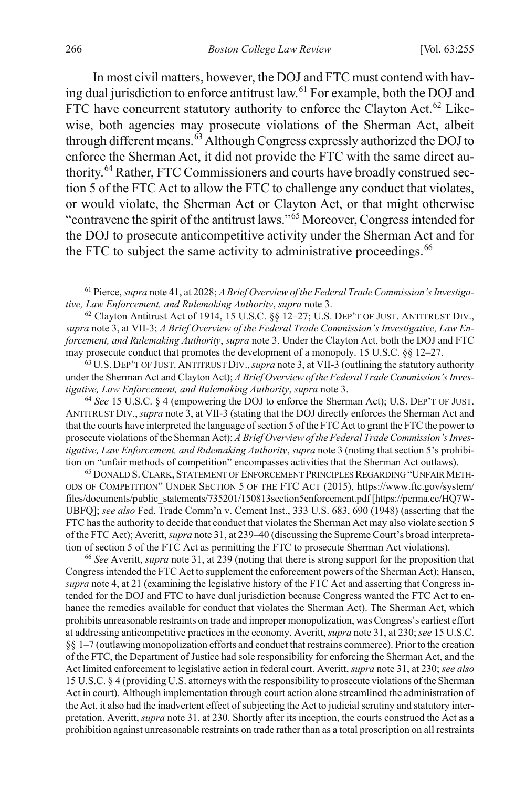<span id="page-12-6"></span>In most civil matters, however, the DOJ and FTC must contend with having dual jurisdiction to enforce antitrust law.[61](#page-12-0) For example, both the DOJ and FTC have concurrent statutory authority to enforce the Clayton Act.<sup>[62](#page-12-1)</sup> Likewise, both agencies may prosecute violations of the Sherman Act, albeit through different means.<sup>[63](#page-12-2)</sup> Although Congress expressly authorized the DOJ to enforce the Sherman Act, it did not provide the FTC with the same direct au-thority.<sup>[64](#page-12-3)</sup> Rather, FTC Commissioners and courts have broadly construed section 5 of the FTC Act to allow the FTC to challenge any conduct that violates, or would violate, the Sherman Act or Clayton Act, or that might otherwise "contravene the spirit of the antitrust laws."[65](#page-12-4) Moreover, Congress intended for the DOJ to prosecute anticompetitive activity under the Sherman Act and for the FTC to subject the same activity to administrative proceedings. $66$ 

<span id="page-12-2"></span>under the Sherman Act and Clayton Act); *A Brief Overview of the Federal Trade Commission's Investigative, Law Enforcement, and Rulemaking Authority, <i>supra* note 3.<br><sup>64</sup> See 15 U.S.C. § 4 (empowering the DOJ to enforce the Sherman Act); U.S. DEP'T OF JUST.

<span id="page-12-3"></span>ANTITRUST DIV.,*supra* not[e 3,](#page-1-3) at VII-3 (stating that the DOJ directly enforces the Sherman Act and that the courts have interpreted the language of section 5 of the FTC Act to grant the FTC the power to prosecute violations of the Sherman Act); *A Brief Overview of the Federal Trade Commission's Investigative, Law Enforcement, and Rulemaking Authority*, *supra* not[e 3](#page-1-3) (noting that section 5's prohibition on "unfair methods of competition" encompasses activities that the Sherman Act outlaws).

<span id="page-12-4"></span><sup>65</sup> DONALD S.CLARK, STATEMENT OF ENFORCEMENT PRINCIPLES REGARDING "UNFAIR METH-ODS OF COMPETITION" UNDER SECTION 5 OF THE FTC ACT (2015), https://www.ftc.gov/system/ files/documents/public\_statements/735201/150813section5enforcement.pdf [https://perma.cc/HQ7W-UBFQ]; *see also* Fed. Trade Comm'n v. Cement Inst., 333 U.S. 683, 690 (1948) (asserting that the FTC has the authority to decide that conduct that violates the Sherman Act may also violate section 5 of the FTC Act); Averitt, *supra* not[e 31,](#page-7-6) at 239–40 (discussing the Supreme Court's broad interpretation of section 5 of the FTC Act as permitting the FTC to prosecute Sherman Act violations).

<span id="page-12-5"></span><sup>66</sup> *See* Averitt, *supra* not[e 31,](#page-7-6) at 239 (noting that there is strong support for the proposition that Congress intended the FTC Act to supplement the enforcement powers of the Sherman Act); Hansen, *supra* note [4,](#page-2-0) at 21 (examining the legislative history of the FTC Act and asserting that Congress intended for the DOJ and FTC to have dual jurisdiction because Congress wanted the FTC Act to enhance the remedies available for conduct that violates the Sherman Act). The Sherman Act, which prohibits unreasonable restraints on trade and improper monopolization, was Congress's earliest effort at addressing anticompetitive practices in the economy. Averitt, *supra* not[e 31,](#page-7-6) at 230; *see* 15 U.S.C. §§ 1–7 (outlawing monopolization efforts and conduct that restrains commerce). Prior to the creation of the FTC, the Department of Justice had sole responsibility for enforcing the Sherman Act, and the Act limited enforcement to legislative action in federal court. Averitt, *supra* not[e 31,](#page-7-6) at 230; *see also*  15 U.S.C. § 4 (providing U.S. attorneys with the responsibility to prosecute violations of the Sherman Act in court). Although implementation through court action alone streamlined the administration of the Act, it also had the inadvertent effect of subjecting the Act to judicial scrutiny and statutory interpretation. Averitt, *supra* not[e 31,](#page-7-6) at 230. Shortly after its inception, the courts construed the Act as a prohibition against unreasonable restraints on trade rather than as a total proscription on all restraints

<span id="page-12-7"></span><span id="page-12-0"></span> <sup>61</sup> Pierce, *supra* not[e 41,](#page-9-9) at 2028; *A Brief Overview of the Federal Trade Commission's Investigative, Law Enforcement, and Rulemaking Authority, supra* note 3.<br><sup>62</sup> Clayton Antitrust Act of 1914, 15 U.S.C. §§ 12–27; U.S. DEP'T OF JUST. ANTITRUST DIV.,

<span id="page-12-1"></span>*supra* not[e 3,](#page-1-3) at VII-3; *A Brief Overview of the Federal Trade Commission's Investigative, Law Enforcement, and Rulemaking Authority*, *supra* note [3.](#page-1-3) Under the Clayton Act, both the DOJ and FTC may prosecute conduct that promotes the development of a monopoly. 15 U.S.C. §§ 12–27. 63 U.S. DEP'T OF JUST. ANTITRUST DIV.,*supra* not[e 3,](#page-1-3) at VII-3 (outlining the statutory authority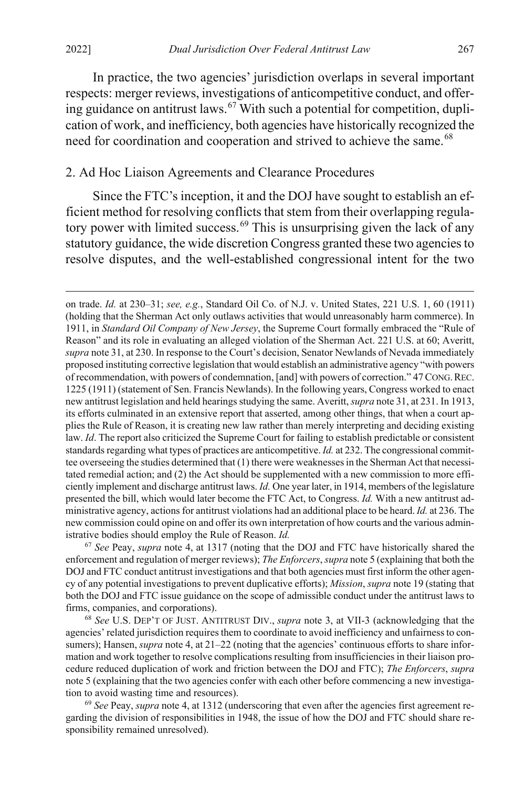$\overline{a}$ 

In practice, the two agencies' jurisdiction overlaps in several important respects: merger reviews, investigations of anticompetitive conduct, and offer-ing guidance on antitrust laws.<sup>[67](#page-13-2)</sup> With such a potential for competition, duplication of work, and inefficiency, both agencies have historically recognized the need for coordination and cooperation and strived to achieve the same.<sup>[68](#page-13-3)</sup>

#### <span id="page-13-0"></span>2. Ad Hoc Liaison Agreements and Clearance Procedures

<span id="page-13-1"></span>Since the FTC's inception, it and the DOJ have sought to establish an efficient method for resolving conflicts that stem from their overlapping regula-tory power with limited success.<sup>[69](#page-13-4)</sup> This is unsurprising given the lack of any statutory guidance, the wide discretion Congress granted these two agencies to resolve disputes, and the well-established congressional intent for the two

<span id="page-13-2"></span><sup>67</sup> *See* Peay, *supra* note [4,](#page-2-0) at 1317 (noting that the DOJ and FTC have historically shared the enforcement and regulation of merger reviews); *The Enforcers*, *supra* not[e 5](#page-2-6) (explaining that both the DOJ and FTC conduct antitrust investigations and that both agencies must first inform the other agency of any potential investigations to prevent duplicative efforts); *Mission*, *supra* not[e 19](#page-5-8) (stating that both the DOJ and FTC issue guidance on the scope of admissible conduct under the antitrust laws to firms, companies, and corporations).

<span id="page-13-3"></span><sup>68</sup> *See* U.S. DEP'T OF JUST. ANTITRUST DIV., *supra* note [3,](#page-1-3) at VII-3 (acknowledging that the agencies' related jurisdiction requires them to coordinate to avoid inefficiency and unfairness to consumers); Hansen, *supra* not[e 4,](#page-2-0) at 21–22 (noting that the agencies' continuous efforts to share information and work together to resolve complications resulting from insufficiencies in their liaison procedure reduced duplication of work and friction between the DOJ and FTC); *The Enforcers*, *supra* not[e 5](#page-2-6) (explaining that the two agencies confer with each other before commencing a new investigation to avoid wasting time and resources).

<span id="page-13-4"></span>69 *See* Peay, *supra* not[e 4,](#page-2-0) at 1312 (underscoring that even after the agencies first agreement regarding the division of responsibilities in 1948, the issue of how the DOJ and FTC should share responsibility remained unresolved).

on trade. *Id.* at 230–31; *see, e.g.*, Standard Oil Co. of N.J. v. United States, 221 U.S. 1, 60 (1911) (holding that the Sherman Act only outlaws activities that would unreasonably harm commerce). In 1911, in *Standard Oil Company of New Jersey*, the Supreme Court formally embraced the "Rule of Reason" and its role in evaluating an alleged violation of the Sherman Act. 221 U.S. at 60; Averitt, *supra* not[e 31,](#page-7-6) at 230. In response to the Court's decision, Senator Newlands of Nevada immediately proposed instituting corrective legislation that would establish an administrative agency "with powers of recommendation, with powers of condemnation, [and] with powers of correction." 47 CONG.REC. 1225 (1911) (statement of Sen. Francis Newlands). In the following years, Congress worked to enact new antitrust legislation and held hearings studying the same. Averitt, *supra* not[e 31,](#page-7-6) at 231. In 1913, its efforts culminated in an extensive report that asserted, among other things, that when a court applies the Rule of Reason, it is creating new law rather than merely interpreting and deciding existing law. *Id*. The report also criticized the Supreme Court for failing to establish predictable or consistent standards regarding what types of practices are anticompetitive. *Id.* at 232. The congressional committee overseeing the studies determined that (1) there were weaknesses in the Sherman Act that necessitated remedial action; and (2) the Act should be supplemented with a new commission to more efficiently implement and discharge antitrust laws. *Id.* One year later, in 1914, members of the legislature presented the bill, which would later become the FTC Act, to Congress. *Id.* With a new antitrust administrative agency, actions for antitrust violations had an additional place to be heard. *Id.* at 236. The new commission could opine on and offer its own interpretation of how courts and the various administrative bodies should employ the Rule of Reason. *Id.*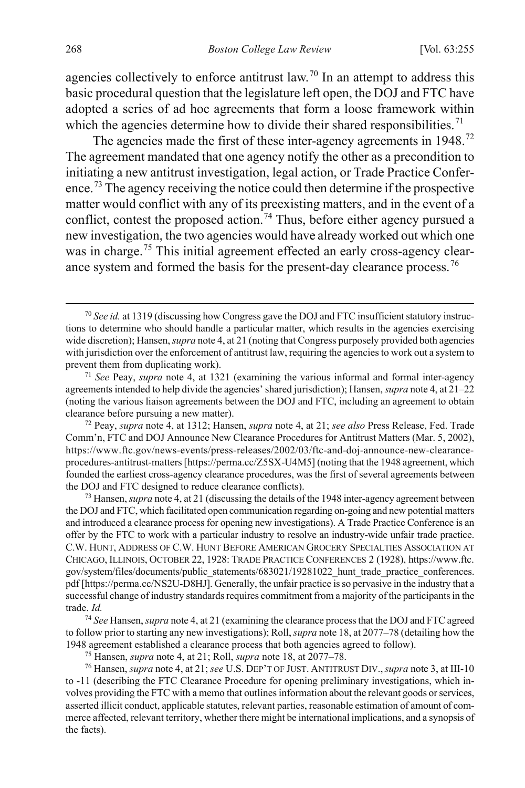agencies collectively to enforce antitrust law.<sup>[70](#page-14-0)</sup> In an attempt to address this basic procedural question that the legislature left open, the DOJ and FTC have adopted a series of ad hoc agreements that form a loose framework within which the agencies determine how to divide their shared responsibilities.<sup>[71](#page-14-1)</sup>

<span id="page-14-7"></span>The agencies made the first of these inter-agency agreements in 1948.<sup>[72](#page-14-2)</sup> The agreement mandated that one agency notify the other as a precondition to initiating a new antitrust investigation, legal action, or Trade Practice Confer-ence.<sup>[73](#page-14-3)</sup> The agency receiving the notice could then determine if the prospective matter would conflict with any of its preexisting matters, and in the event of a conflict, contest the proposed action.<sup>[74](#page-14-4)</sup> Thus, before either agency pursued a new investigation, the two agencies would have already worked out which one was in charge.<sup>[75](#page-14-5)</sup> This initial agreement effected an early cross-agency clear-ance system and formed the basis for the present-day clearance process.<sup>[76](#page-14-6)</sup>

<span id="page-14-0"></span> <sup>70</sup> *See id.* at 1319 (discussing how Congress gave the DOJ and FTC insufficient statutory instructions to determine who should handle a particular matter, which results in the agencies exercising wide discretion); Hansen, *supra* not[e 4,](#page-2-0) at 21 (noting that Congress purposely provided both agencies with jurisdiction over the enforcement of antitrust law, requiring the agencies to work out a system to prevent them from duplicating work).

<span id="page-14-1"></span><sup>71</sup> *See* Peay, *supra* note [4,](#page-2-0) at 1321 (examining the various informal and formal inter-agency agreements intended to help divide the agencies' shared jurisdiction); Hansen, *supra* not[e 4,](#page-2-0) at 21–22 (noting the various liaison agreements between the DOJ and FTC, including an agreement to obtain clearance before pursuing a new matter).

<span id="page-14-2"></span><sup>72</sup> Peay, *supra* not[e 4,](#page-2-0) at 1312; Hansen, *supra* not[e 4,](#page-2-0) at 21; *see also* Press Release, Fed. Trade Comm'n, FTC and DOJ Announce New Clearance Procedures for Antitrust Matters (Mar. 5, 2002), https://www.ftc.gov/news-events/press-releases/2002/03/ftc-and-doj-announce-new-clearanceprocedures-antitrust-matters [https://perma.cc/Z5SX-U4M5] (noting that the 1948 agreement, which founded the earliest cross-agency clearance procedures, was the first of several agreements between the DOJ and FTC designed to reduce clearance conflicts).

<span id="page-14-3"></span><sup>73</sup> Hansen, *supra* not[e 4,](#page-2-0) at 21 (discussing the details of the 1948 inter-agency agreement between the DOJ and FTC, which facilitated open communication regarding on-going and new potential matters and introduced a clearance process for opening new investigations). A Trade Practice Conference is an offer by the FTC to work with a particular industry to resolve an industry-wide unfair trade practice. C.W. HUNT, ADDRESS OF C.W. HUNT BEFORE AMERICAN GROCERY SPECIALTIES ASSOCIATION AT CHICAGO, ILLINOIS, OCTOBER 22, 1928: TRADE PRACTICE CONFERENCES 2 (1928), https://www.ftc. gov/system/files/documents/public\_statements/683021/19281022\_hunt\_trade\_practice\_conferences. pdf [https://perma.cc/NS2U-D8HJ]. Generally, the unfair practice is so pervasive in the industry that a successful change of industry standards requires commitment from a majority of the participants in the trade. *Id.*

<span id="page-14-4"></span><sup>74</sup> *See* Hansen, *supra* not[e 4,](#page-2-0) at 21 (examining the clearance process that the DOJ and FTC agreed to follow prior to starting any new investigations); Roll, *supra* not[e 18,](#page-5-0) at 2077–78 (detailing how the 1948 agreement established a clearance process that both agencies agreed to follow).

<sup>75</sup> Hansen, *supra* not[e 4,](#page-2-0) at 21; Roll, *supra* not[e 18,](#page-5-0) at 2077–78.

<span id="page-14-6"></span><span id="page-14-5"></span><sup>76</sup> Hansen, *supra* not[e 4,](#page-2-0) at 21; *see* U.S. DEP'T OF JUST. ANTITRUST DIV.,*supra* not[e 3,](#page-1-3) at III-10 to -11 (describing the FTC Clearance Procedure for opening preliminary investigations, which involves providing the FTC with a memo that outlines information about the relevant goods or services, asserted illicit conduct, applicable statutes, relevant parties, reasonable estimation of amount of commerce affected, relevant territory, whether there might be international implications, and a synopsis of the facts).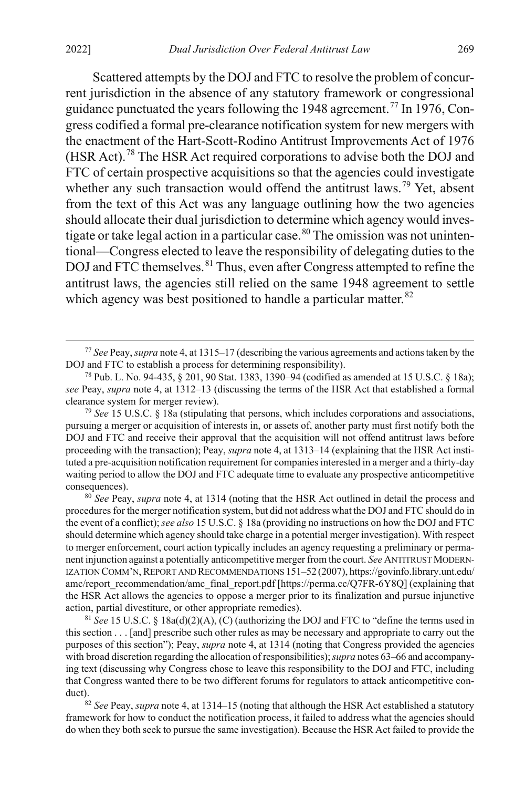Scattered attempts by the DOJ and FTC to resolve the problem of concurrent jurisdiction in the absence of any statutory framework or congressional guidance punctuated the years following the 1948 agreement.<sup>[77](#page-15-0)</sup> In 1976, Congress codified a formal pre-clearance notification system for new mergers with the enactment of the Hart-Scott-Rodino Antitrust Improvements Act of 1976 (HSR Act).[78](#page-15-1) The HSR Act required corporations to advise both the DOJ and FTC of certain prospective acquisitions so that the agencies could investigate whether any such transaction would offend the antitrust laws.<sup>[79](#page-15-2)</sup> Yet, absent from the text of this Act was any language outlining how the two agencies should allocate their dual jurisdiction to determine which agency would inves-tigate or take legal action in a particular case.<sup>[80](#page-15-3)</sup> The omission was not unintentional—Congress elected to leave the responsibility of delegating duties to the DOJ and FTC themselves.<sup>[81](#page-15-4)</sup> Thus, even after Congress attempted to refine the antitrust laws, the agencies still relied on the same 1948 agreement to settle which agency was best positioned to handle a particular matter.<sup>[82](#page-15-5)</sup>

<span id="page-15-2"></span><sup>79</sup> *See* 15 U.S.C. § 18a (stipulating that persons, which includes corporations and associations, pursuing a merger or acquisition of interests in, or assets of, another party must first notify both the DOJ and FTC and receive their approval that the acquisition will not offend antitrust laws before proceeding with the transaction); Peay, *supra* not[e 4,](#page-2-0) at 1313–14 (explaining that the HSR Act instituted a pre-acquisition notification requirement for companies interested in a merger and a thirty-day waiting period to allow the DOJ and FTC adequate time to evaluate any prospective anticompetitive

<span id="page-15-3"></span>consequences). 80 *See* Peay, *supra* not[e 4,](#page-2-0) at 1314 (noting that the HSR Act outlined in detail the process and procedures for the merger notification system, but did not address what the DOJ and FTC should do in the event of a conflict); *see also* 15 U.S.C. § 18a (providing no instructions on how the DOJ and FTC should determine which agency should take charge in a potential merger investigation). With respect to merger enforcement, court action typically includes an agency requesting a preliminary or permanent injunction against a potentially anticompetitive merger from the court. *See* ANTITRUST MODERN-IZATION COMM'N, REPORT AND RECOMMENDATIONS 151–52 (2007), https://govinfo.library.unt.edu/ amc/report\_recommendation/amc\_final\_report.pdf [https://perma.cc/Q7FR-6Y8Q] (explaining that the HSR Act allows the agencies to oppose a merger prior to its finalization and pursue injunctive action, partial divestiture, or other appropriate remedies).

<span id="page-15-4"></span><sup>81</sup> *See* 15 U.S.C. § 18a(d)(2)(A), (C) (authorizing the DOJ and FTC to "define the terms used in this section . . . [and] prescribe such other rules as may be necessary and appropriate to carry out the purposes of this section"); Peay, *supra* not[e 4,](#page-2-0) at 1314 (noting that Congress provided the agencies with broad discretion regarding the allocation of responsibilities); *supra* note[s 63](#page-12-6)[–66](#page-12-7) and accompanying text (discussing why Congress chose to leave this responsibility to the DOJ and FTC, including that Congress wanted there to be two different forums for regulators to attack anticompetitive conduct). 82 *See* Peay, *supra* not[e 4,](#page-2-0) at 1314–15 (noting that although the HSR Act established a statutory

<span id="page-15-5"></span>framework for how to conduct the notification process, it failed to address what the agencies should do when they both seek to pursue the same investigation). Because the HSR Act failed to provide the

<span id="page-15-6"></span><span id="page-15-0"></span> <sup>77</sup> *See* Peay, *supra* not[e 4,](#page-2-0) at 1315–17 (describing the various agreements and actions taken by the DOJ and FTC to establish a process for determining responsibility).

<span id="page-15-1"></span><sup>78</sup> Pub. L. No. 94-435, § 201, 90 Stat. 1383, 1390–94 (codified as amended at 15 U.S.C. § 18a); *see* Peay, *supra* note [4,](#page-2-0) at 1312–13 (discussing the terms of the HSR Act that established a formal clearance system for merger review).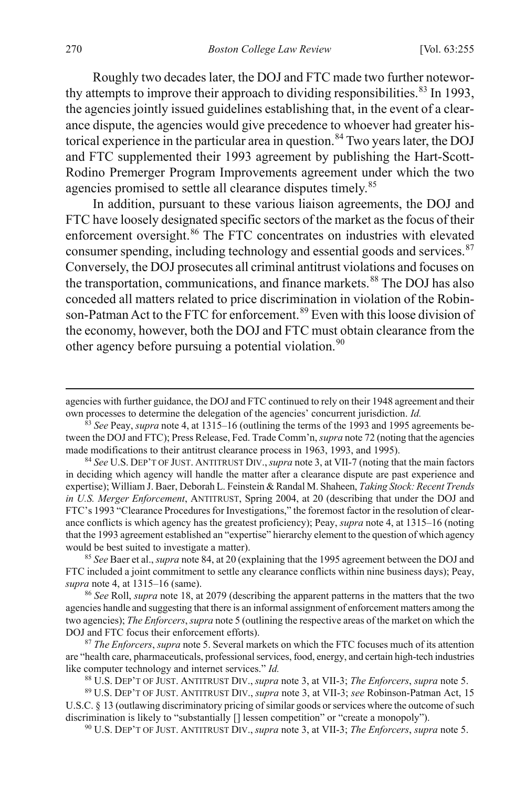<span id="page-16-0"></span>Roughly two decades later, the DOJ and FTC made two further notewor-thy attempts to improve their approach to dividing responsibilities.<sup>[83](#page-16-1)</sup> In 1993, the agencies jointly issued guidelines establishing that, in the event of a clearance dispute, the agencies would give precedence to whoever had greater his-torical experience in the particular area in question.<sup>[84](#page-16-2)</sup> Two years later, the DOJ and FTC supplemented their 1993 agreement by publishing the Hart-Scott-Rodino Premerger Program Improvements agreement under which the two agencies promised to settle all clearance disputes timely.<sup>[85](#page-16-3)</sup>

In addition, pursuant to these various liaison agreements, the DOJ and FTC have loosely designated specific sectors of the market as the focus of their enforcement oversight.<sup>[86](#page-16-4)</sup> The FTC concentrates on industries with elevated consumer spending, including technology and essential goods and services.<sup>[87](#page-16-5)</sup> Conversely, the DOJ prosecutes all criminal antitrust violations and focuses on the transportation, communications, and finance markets.<sup>[88](#page-16-6)</sup> The DOJ has also conceded all matters related to price discrimination in violation of the Robin-son-Patman Act to the FTC for enforcement.<sup>[89](#page-16-7)</sup> Even with this loose division of the economy, however, both the DOJ and FTC must obtain clearance from the other agency before pursuing a potential violation.<sup>[90](#page-16-8)</sup>

<span id="page-16-2"></span><sup>84</sup> *See* U.S. DEP'T OF JUST. ANTITRUST DIV.,*supra* not[e 3,](#page-1-3) at VII-7 (noting that the main factors in deciding which agency will handle the matter after a clearance dispute are past experience and expertise); William J. Baer, Deborah L. Feinstein & Randal M. Shaheen, *Taking Stock: Recent Trends in U.S. Merger Enforcement*, ANTITRUST, Spring 2004, at 20 (describing that under the DOJ and FTC's 1993 "Clearance Procedures for Investigations," the foremost factor in the resolution of clearance conflicts is which agency has the greatest proficiency); Peay, *supra* not[e 4,](#page-2-0) at 1315–16 (noting that the 1993 agreement established an "expertise" hierarchy element to the question of which agency would be best suited to investigate a matter).

<span id="page-16-3"></span><sup>85</sup> *See* Baer et al., *supra* not[e 84,](#page-16-0) at 20 (explaining that the 1995 agreement between the DOJ and FTC included a joint commitment to settle any clearance conflicts within nine business days); Peay, *supra* not[e 4,](#page-2-0) at 1315–16 (same).

<span id="page-16-4"></span><sup>86</sup> *See* Roll, *supra* not[e 18,](#page-5-0) at 2079 (describing the apparent patterns in the matters that the two agencies handle and suggesting that there is an informal assignment of enforcement matters among the two agencies); *The Enforcers*, *supra* not[e 5](#page-2-6) (outlining the respective areas of the market on which the DOJ and FTC focus their enforcement efforts).

<span id="page-16-5"></span><sup>87</sup> *The Enforcers*, *supra* not[e 5.](#page-2-6) Several markets on which the FTC focuses much of its attention are "health care, pharmaceuticals, professional services, food, energy, and certain high-tech industries like computer technology and internet services." *Id.*

<sup>88</sup> U.S. DEP'T OF JUST. ANTITRUST DIV., *supra* note 3, at VII-3; *The Enforcers*, *supra* note [5.](#page-2-6) 89 U.S. DEP'T OF JUST. ANTITRUST DIV., *supra* not[e 3,](#page-1-3) at VII-3; *see* Robinson-Patman Act, 15

<span id="page-16-8"></span><span id="page-16-7"></span><span id="page-16-6"></span>U.S.C. § 13 (outlawing discriminatory pricing of similar goods or services where the outcome of such discrimination is likely to "substantially [] lessen competition" or "create a monopoly").

<sup>90</sup> U.S. DEP'T OF JUST. ANTITRUST DIV., *supra* not[e 3,](#page-1-3) at VII-3; *The Enforcers*, *supra* note [5.](#page-2-6) 

agencies with further guidance, the DOJ and FTC continued to rely on their 1948 agreement and their own processes to determine the delegation of the agencies' concurrent jurisdiction. *Id.*

<span id="page-16-1"></span><sup>83</sup> *See* Peay, *supra* not[e 4,](#page-2-0) at 1315–16 (outlining the terms of the 1993 and 1995 agreements between the DOJ and FTC); Press Release, Fed. Trade Comm'n, *supra* not[e 72](#page-14-7) (noting that the agencies made modifications to their antitrust clearance process in 1963, 1993, and 1995).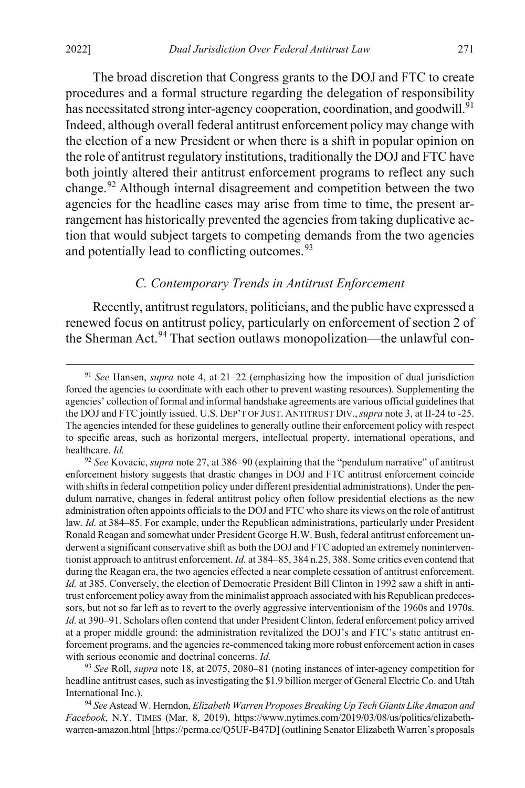The broad discretion that Congress grants to the DOJ and FTC to create procedures and a formal structure regarding the delegation of responsibility has necessitated strong inter-agency cooperation, coordination, and goodwill.<sup>[91](#page-17-2)</sup> Indeed, although overall federal antitrust enforcement policy may change with the election of a new President or when there is a shift in popular opinion on the role of antitrust regulatory institutions, traditionally the DOJ and FTC have both jointly altered their antitrust enforcement programs to reflect any such change.[92](#page-17-3) Although internal disagreement and competition between the two agencies for the headline cases may arise from time to time, the present arrangement has historically prevented the agencies from taking duplicative action that would subject targets to competing demands from the two agencies and potentially lead to conflicting outcomes.<sup>[93](#page-17-4)</sup>

#### <span id="page-17-1"></span><span id="page-17-0"></span>*C. Contemporary Trends in Antitrust Enforcement*

Recently, antitrust regulators, politicians, and the public have expressed a renewed focus on antitrust policy, particularly on enforcement of section 2 of the Sherman Act.<sup>[94](#page-17-5)</sup> That section outlaws monopolization—the unlawful con-

<span id="page-17-4"></span><sup>93</sup> *See* Roll, *supra* note [18,](#page-5-0) at 2075, 2080–81 (noting instances of inter-agency competition for headline antitrust cases, such as investigating the \$1.9 billion merger of General Electric Co. and Utah International Inc.).

<span id="page-17-5"></span><sup>94</sup> *See* Astead W. Herndon, *Elizabeth Warren Proposes Breaking Up Tech Giants Like Amazon and Facebook*, N.Y. TIMES (Mar. 8, 2019), https://www.nytimes.com/2019/03/08/us/politics/elizabethwarren-amazon.html [https://perma.cc/Q5UF-B47D] (outlining Senator Elizabeth Warren's proposals

<span id="page-17-2"></span> <sup>91</sup> *See* Hansen, *supra* note [4,](#page-2-0) at 21–22 (emphasizing how the imposition of dual jurisdiction forced the agencies to coordinate with each other to prevent wasting resources). Supplementing the agencies' collection of formal and informal handshake agreements are various official guidelines that the DOJ and FTC jointly issued. U.S. DEP'T OF JUST. ANTITRUST DIV.,*supra* not[e 3,](#page-1-3) at II-24 to -25. The agencies intended for these guidelines to generally outline their enforcement policy with respect to specific areas, such as horizontal mergers, intellectual property, international operations, and healthcare. *Id.*

<span id="page-17-3"></span><sup>92</sup> *See* Kovacic, *supra* not[e 27,](#page-6-9) at 386–90 (explaining that the "pendulum narrative" of antitrust enforcement history suggests that drastic changes in DOJ and FTC antitrust enforcement coincide with shifts in federal competition policy under different presidential administrations). Under the pendulum narrative, changes in federal antitrust policy often follow presidential elections as the new administration often appoints officials to the DOJ and FTC who share its views on the role of antitrust law. *Id.* at 384–85. For example, under the Republican administrations, particularly under President Ronald Reagan and somewhat under President George H.W. Bush, federal antitrust enforcement underwent a significant conservative shift as both the DOJ and FTC adopted an extremely noninterventionist approach to antitrust enforcement. *Id.* at 384–85, 384 n.25, 388. Some critics even contend that during the Reagan era, the two agencies effected a near complete cessation of antitrust enforcement. *Id.* at 385. Conversely, the election of Democratic President Bill Clinton in 1992 saw a shift in antitrust enforcement policy away from the minimalist approach associated with his Republican predecessors, but not so far left as to revert to the overly aggressive interventionism of the 1960s and 1970s. *Id.* at 390–91. Scholars often contend that under President Clinton, federal enforcement policy arrived at a proper middle ground: the administration revitalized the DOJ's and FTC's static antitrust enforcement programs, and the agencies re-commenced taking more robust enforcement action in cases with serious economic and doctrinal concerns. *Id.*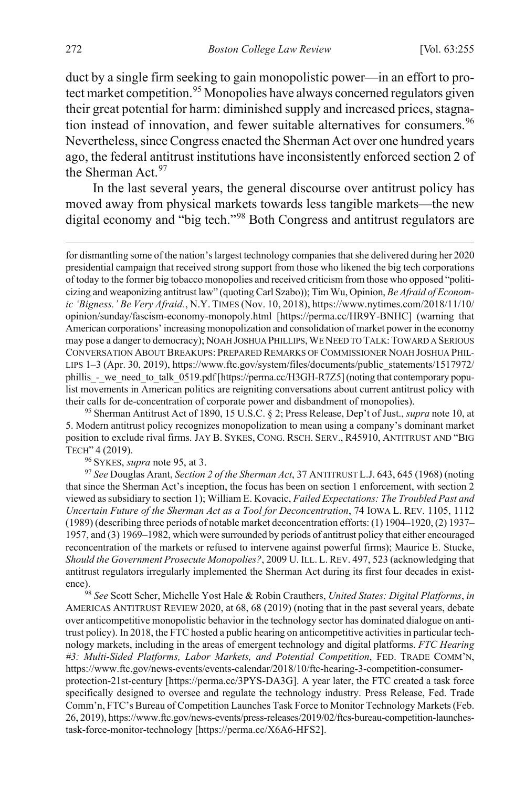<span id="page-18-6"></span><span id="page-18-0"></span>duct by a single firm seeking to gain monopolistic power—in an effort to pro-tect market competition.<sup>[95](#page-18-1)</sup> Monopolies have always concerned regulators given their great potential for harm: diminished supply and increased prices, stagna-tion instead of innovation, and fewer suitable alternatives for consumers.<sup>[96](#page-18-2)</sup> Nevertheless, since Congress enacted the Sherman Act over one hundred years ago, the federal antitrust institutions have inconsistently enforced section 2 of the Sherman Act.[97](#page-18-3)

<span id="page-18-5"></span>In the last several years, the general discourse over antitrust policy has moved away from physical markets towards less tangible markets—the new digital economy and "big tech."[98](#page-18-4) Both Congress and antitrust regulators are

<span id="page-18-1"></span><sup>95</sup> Sherman Antitrust Act of 1890, 15 U.S.C. § 2; Press Release, Dep't of Just., *supra* not[e 10,](#page-3-5) at 5. Modern antitrust policy recognizes monopolization to mean using a company's dominant market position to exclude rival firms. JAY B. SYKES, CONG. RSCH. SERV., R45910, ANTITRUST AND "BIG TECH" <sup>4</sup> (2019). 96 SYKES, *supra* not[e 95,](#page-18-0) at 3.

<span id="page-18-3"></span><span id="page-18-2"></span><sup>97</sup> *See* Douglas Arant, *Section 2 of the Sherman Act*, 37 ANTITRUST L.J. 643, 645 (1968) (noting that since the Sherman Act's inception, the focus has been on section 1 enforcement, with section 2 viewed as subsidiary to section 1); William E. Kovacic, *Failed Expectations: The Troubled Past and Uncertain Future of the Sherman Act as a Tool for Deconcentration*, 74 IOWA L. REV. 1105, 1112 (1989) (describing three periods of notable market deconcentration efforts: (1) 1904–1920, (2) 1937– 1957, and (3) 1969–1982, which were surrounded by periods of antitrust policy that either encouraged reconcentration of the markets or refused to intervene against powerful firms); Maurice E. Stucke, *Should the Government Prosecute Monopolies?*, 2009 U. ILL. L.REV. 497, 523 (acknowledging that antitrust regulators irregularly implemented the Sherman Act during its first four decades in existence). 98 *See* Scott Scher, Michelle Yost Hale & Robin Crauthers, *United States: Digital Platforms*, *in*

<span id="page-18-4"></span>AMERICAS ANTITRUST REVIEW 2020, at 68, 68 (2019) (noting that in the past several years, debate over anticompetitive monopolistic behavior in the technology sector has dominated dialogue on antitrust policy). In 2018, the FTC hosted a public hearing on anticompetitive activities in particular technology markets, including in the areas of emergent technology and digital platforms. *FTC Hearing #3: Multi-Sided Platforms, Labor Markets, and Potential Competition*, FED. TRADE COMM'N, https://www.ftc.gov/news-events/events-calendar/2018/10/ftc-hearing-3-competition-consumerprotection-21st-century [https://perma.cc/3PYS-DA3G]. A year later, the FTC created a task force specifically designed to oversee and regulate the technology industry. Press Release, Fed. Trade Comm'n, FTC's Bureau of Competition Launches Task Force to Monitor Technology Markets (Feb. 26, 2019), https://www.ftc.gov/news-events/press-releases/2019/02/ftcs-bureau-competition-launchestask-force-monitor-technology [https://perma.cc/X6A6-HFS2].

for dismantling some of the nation's largest technology companies that she delivered during her 2020 presidential campaign that received strong support from those who likened the big tech corporations of today to the former big tobacco monopolies and received criticism from those who opposed "politicizing and weaponizing antitrust law" (quoting Carl Szabo)); Tim Wu, Opinion, *Be Afraid of Economic 'Bigness.' Be Very Afraid.*, N.Y. TIMES (Nov. 10, 2018), https://www.nytimes.com/2018/11/10/ opinion/sunday/fascism-economy-monopoly.html [https://perma.cc/HR9Y-BNHC] (warning that American corporations' increasing monopolization and consolidation of market power in the economy may pose a danger to democracy); NOAH JOSHUA PHILLIPS,WE NEED TO TALK:TOWARD A SERIOUS CONVERSATION ABOUT BREAKUPS: PREPARED REMARKS OF COMMISSIONER NOAH JOSHUA PHIL-LIPS 1–3 (Apr. 30, 2019), https://www.ftc.gov/system/files/documents/public\_statements/1517972/ phillis - we need to talk 0519.pdf [https://perma.cc/H3GH-R7Z5] (noting that contemporary populist movements in American politics are reigniting conversations about current antitrust policy with their calls for de-concentration of corporate power and disbandment of monopolies).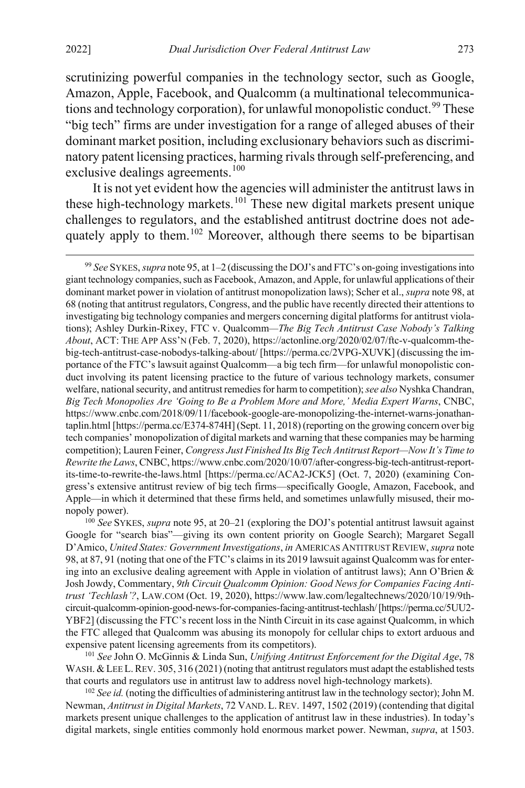scrutinizing powerful companies in the technology sector, such as Google, Amazon, Apple, Facebook, and Qualcomm (a multinational telecommunica-tions and technology corporation), for unlawful monopolistic conduct.<sup>[99](#page-19-0)</sup> These "big tech" firms are under investigation for a range of alleged abuses of their dominant market position, including exclusionary behaviors such as discriminatory patent licensing practices, harming rivals through self-preferencing, and exclusive dealings agreements.<sup>[100](#page-19-1)</sup>

<span id="page-19-4"></span>It is not yet evident how the agencies will administer the antitrust laws in these high-technology markets.<sup>[101](#page-19-2)</sup> These new digital markets present unique challenges to regulators, and the established antitrust doctrine does not ade-quately apply to them.<sup>[102](#page-19-3)</sup> Moreover, although there seems to be bipartisan

<span id="page-19-0"></span> 99 *See* SYKES, *supra* not[e 95,](#page-18-0) at 1–2 (discussing the DOJ's and FTC's on-going investigations into giant technology companies, such as Facebook, Amazon, and Apple, for unlawful applications of their dominant market power in violation of antitrust monopolization laws); Scher et al., *supra* not[e 98,](#page-18-5) at 68 (noting that antitrust regulators, Congress, and the public have recently directed their attentions to investigating big technology companies and mergers concerning digital platforms for antitrust violations); Ashley Durkin-Rixey, FTC v. Qualcomm*—The Big Tech Antitrust Case Nobody's Talking About*, ACT: THE APP ASS'N (Feb. 7, 2020), https://actonline.org/2020/02/07/ftc-v-qualcomm-thebig-tech-antitrust-case-nobodys-talking-about/ [https://perma.cc/2VPG-XUVK] (discussing the importance of the FTC's lawsuit against Qualcomm—a big tech firm—for unlawful monopolistic conduct involving its patent licensing practice to the future of various technology markets, consumer welfare, national security, and antitrust remedies for harm to competition); *see also* Nyshka Chandran, *Big Tech Monopolies Are 'Going to Be a Problem More and More,' Media Expert Warns*, CNBC, https://www.cnbc.com/2018/09/11/facebook-google-are-monopolizing-the-internet-warns-jonathantaplin.html [https://perma.cc/E374-874H] (Sept. 11, 2018) (reporting on the growing concern over big tech companies' monopolization of digital markets and warning that these companies may be harming competition); Lauren Feiner, *Congress Just Finished Its Big Tech Antitrust Report—Now It's Time to Rewrite the Laws*, CNBC, https://www.cnbc.com/2020/10/07/after-congress-big-tech-antitrust-reportits-time-to-rewrite-the-laws.html [https://perma.cc/ACA2-JCK5] (Oct. 7, 2020) (examining Congress's extensive antitrust review of big tech firms—specifically Google, Amazon, Facebook, and Apple—in which it determined that these firms held, and sometimes unlawfully misused, their monopoly power).

<span id="page-19-1"></span><sup>100</sup> See SYKES, *supra* not[e 95,](#page-18-0) at 20–21 (exploring the DOJ's potential antitrust lawsuit against Google for "search bias"—giving its own content priority on Google Search); Margaret Segall D'Amico, *United States: Government Investigations*, *in* AMERICAS ANTITRUST REVIEW, *supra* note [98,](#page-18-5) at 87, 91 (noting that one of the FTC's claims in its 2019 lawsuit against Qualcomm was for entering into an exclusive dealing agreement with Apple in violation of antitrust laws); Ann O'Brien & Josh Jowdy, Commentary, *9th Circuit Qualcomm Opinion: Good News for Companies Facing Antitrust 'Techlash'?*, LAW.COM (Oct. 19, 2020), https://www.law.com/legaltechnews/2020/10/19/9thcircuit-qualcomm-opinion-good-news-for-companies-facing-antitrust-techlash/ [https://perma.cc/5UU2- YBF2] (discussing the FTC's recent loss in the Ninth Circuit in its case against Qualcomm, in which the FTC alleged that Qualcomm was abusing its monopoly for cellular chips to extort arduous and expensive patent licensing agreements from its competitors). 101 *See* John O. McGinnis & Linda Sun, *Unifying Antitrust Enforcement for the Digital Age*, 78

<span id="page-19-2"></span>WASH. & LEE L. REV. 305, 316 (2021) (noting that antitrust regulators must adapt the established tests that courts and regulators use in antitrust law to address novel high-technology markets).

<span id="page-19-3"></span><sup>102</sup> *See id.* (noting the difficulties of administering antitrust law in the technology sector); John M. Newman, *Antitrust in Digital Markets*, 72 VAND. L.REV. 1497, 1502 (2019) (contending that digital markets present unique challenges to the application of antitrust law in these industries). In today's digital markets, single entities commonly hold enormous market power. Newman, *supra*, at 1503.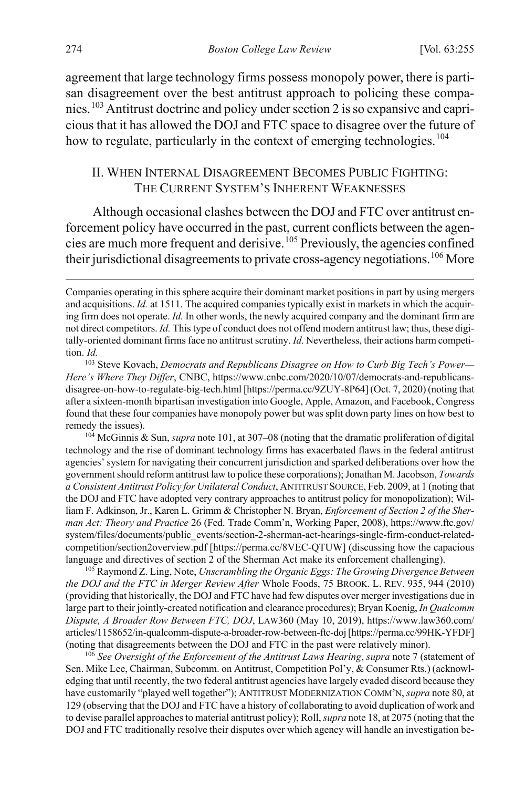<span id="page-20-6"></span>agreement that large technology firms possess monopoly power, there is partisan disagreement over the best antitrust approach to policing these companies.[103](#page-20-2) Antitrust doctrine and policy under section 2 is so expansive and capricious that it has allowed the DOJ and FTC space to disagree over the future of how to regulate, particularly in the context of emerging technologies.<sup>[104](#page-20-3)</sup>

# <span id="page-20-1"></span><span id="page-20-0"></span>II. WHEN INTERNAL DISAGREEMENT BECOMES PUBLIC FIGHTING: THE CURRENT SYSTEM'S INHERENT WEAKNESSES

Although occasional clashes between the DOJ and FTC over antitrust enforcement policy have occurred in the past, current conflicts between the agencies are much more frequent and derisive.[105](#page-20-4) Previously, the agencies confined their jurisdictional disagreements to private cross-agency negotiations.<sup>[106](#page-20-5)</sup> More

<span id="page-20-3"></span><sup>104</sup> McGinnis & Sun, *supra* not[e 101,](#page-19-4) at 307–08 (noting that the dramatic proliferation of digital technology and the rise of dominant technology firms has exacerbated flaws in the federal antitrust agencies' system for navigating their concurrent jurisdiction and sparked deliberations over how the government should reform antitrust law to police these corporations); Jonathan M. Jacobson, *Towards a Consistent Antitrust Policy for Unilateral Conduct*, ANTITRUST SOURCE, Feb. 2009, at 1 (noting that the DOJ and FTC have adopted very contrary approaches to antitrust policy for monopolization); William F. Adkinson, Jr., Karen L. Grimm & Christopher N. Bryan, *Enforcement of Section 2 of the Sherman Act: Theory and Practice* 26 (Fed. Trade Comm'n, Working Paper, 2008), https://www.ftc.gov/ system/files/documents/public\_events/section-2-sherman-act-hearings-single-firm-conduct-relatedcompetition/section2overview.pdf [https://perma.cc/8VEC-QTUW] (discussing how the capacious language and directives of section 2 of the Sherman Act make its enforcement challenging).

<span id="page-20-4"></span><sup>105</sup> Raymond Z. Ling, Note, *Unscrambling the Organic Eggs: The Growing Divergence Between the DOJ and the FTC in Merger Review After* Whole Foods, 75 BROOK. L. REV. 935, 944 (2010) (providing that historically, the DOJ and FTC have had few disputes over merger investigations due in large part to their jointly-created notification and clearance procedures); Bryan Koenig, *In Qualcomm Dispute, A Broader Row Between FTC, DOJ*, LAW360 (May 10, 2019), https://www.law360.com/ articles/1158652/in-qualcomm-dispute-a-broader-row-between-ftc-doj [https://perma.cc/99HK-YFDF] (noting that disagreements between the DOJ and FTC in the past were relatively minor).

<span id="page-20-5"></span><sup>106</sup> *See Oversight of the Enforcement of the Antitrust Laws Hearing*, *supra* not[e 7](#page-2-5) (statement of Sen. Mike Lee, Chairman, Subcomm. on Antitrust, Competition Pol'y, & Consumer Rts.) (acknowledging that until recently, the two federal antitrust agencies have largely evaded discord because they have customarily "played well together"); ANTITRUST MODERNIZATION COMM'N, *supra* not[e 80,](#page-15-6) at 129 (observing that the DOJ and FTC have a history of collaborating to avoid duplication of work and to devise parallel approaches to material antitrust policy); Roll, *supra* not[e 18,](#page-5-0) at 2075 (noting that the DOJ and FTC traditionally resolve their disputes over which agency will handle an investigation be-

Companies operating in this sphere acquire their dominant market positions in part by using mergers and acquisitions. *Id.* at 1511. The acquired companies typically exist in markets in which the acquiring firm does not operate. *Id.* In other words, the newly acquired company and the dominant firm are not direct competitors. *Id.* This type of conduct does not offend modern antitrust law; thus, these digitally-oriented dominant firms face no antitrust scrutiny. *Id.* Nevertheless, their actions harm competition. *Id.*

<span id="page-20-2"></span><sup>103</sup> Steve Kovach, *Democrats and Republicans Disagree on How to Curb Big Tech's Power— Here's Where They Differ*, CNBC, https://www.cnbc.com/2020/10/07/democrats-and-republicansdisagree-on-how-to-regulate-big-tech.html [https://perma.cc/9ZUY-8P64] (Oct. 7, 2020) (noting that after a sixteen-month bipartisan investigation into Google, Apple, Amazon, and Facebook, Congress found that these four companies have monopoly power but was split down party lines on how best to remedy the issues).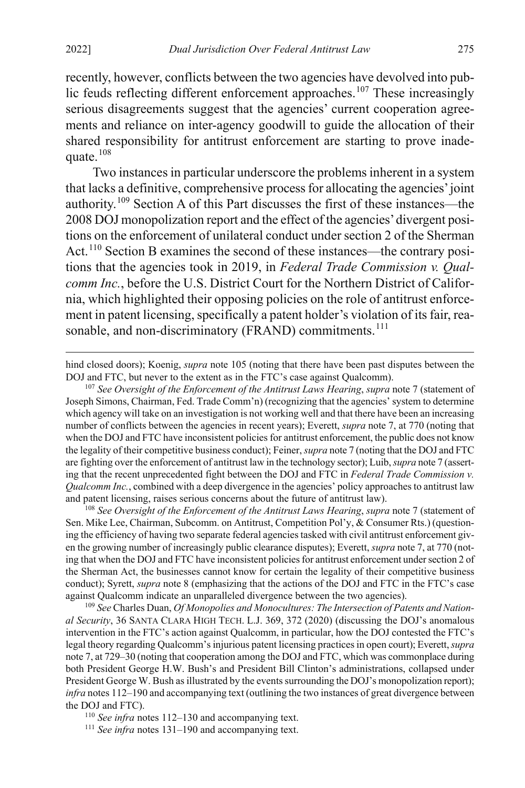recently, however, conflicts between the two agencies have devolved into pub-lic feuds reflecting different enforcement approaches.<sup>[107](#page-21-0)</sup> These increasingly serious disagreements suggest that the agencies' current cooperation agreements and reliance on inter-agency goodwill to guide the allocation of their shared responsibility for antitrust enforcement are starting to prove inadequate.[108](#page-21-1)

Two instances in particular underscore the problems inherent in a system that lacks a definitive, comprehensive process for allocating the agencies' joint authority.[109](#page-21-2) Section A of this Part discusses the first of these instances—the 2008 DOJ monopolization report and the effect of the agencies' divergent positions on the enforcement of unilateral conduct under section 2 of the Sherman Act.<sup>[110](#page-21-3)</sup> Section B examines the second of these instances—the contrary positions that the agencies took in 2019, in *Federal Trade Commission v. Qualcomm Inc.*, before the U.S. District Court for the Northern District of California, which highlighted their opposing policies on the role of antitrust enforcement in patent licensing, specifically a patent holder's violation of its fair, rea-sonable, and non-discriminatory (FRAND) commitments.<sup>[111](#page-21-4)</sup>

hind closed doors); Koenig, *supra* note [105](#page-20-1) (noting that there have been past disputes between the DOJ and FTC, but never to the extent as in the FTC's case against Qualcomm).

<span id="page-21-0"></span><sup>107</sup> *See Oversight of the Enforcement of the Antitrust Laws Hearing*, *supra* not[e 7](#page-2-5) (statement of Joseph Simons, Chairman, Fed. Trade Comm'n) (recognizing that the agencies' system to determine which agency will take on an investigation is not working well and that there have been an increasing number of conflicts between the agencies in recent years); Everett, *supra* not[e 7,](#page-2-5) at 770 (noting that when the DOJ and FTC have inconsistent policies for antitrust enforcement, the public does not know the legality of their competitive business conduct); Feiner,*supra* not[e 7](#page-2-5) (noting that the DOJ and FTC are fighting over the enforcement of antitrust law in the technology sector); Luib, *supra* not[e 7](#page-2-5) (asserting that the recent unprecedented fight between the DOJ and FTC in *Federal Trade Commission v. Qualcomm Inc.*, combined with a deep divergence in the agencies' policy approaches to antitrust law and patent licensing, raises serious concerns about the future of antitrust law).

<span id="page-21-1"></span><sup>108</sup> *See Oversight of the Enforcement of the Antitrust Laws Hearing*, *supra* not[e 7](#page-2-5) (statement of Sen. Mike Lee, Chairman, Subcomm. on Antitrust, Competition Pol'y, & Consumer Rts.) (questioning the efficiency of having two separate federal agencies tasked with civil antitrust enforcement given the growing number of increasingly public clearance disputes); Everett, *supra* not[e 7,](#page-2-5) at 770 (noting that when the DOJ and FTC have inconsistent policies for antitrust enforcement under section 2 of the Sherman Act, the businesses cannot know for certain the legality of their competitive business conduct); Syrett, *supra* note [8](#page-3-4) (emphasizing that the actions of the DOJ and FTC in the FTC's case against Qualcomm indicate an unparalleled divergence between the two agencies).

<span id="page-21-2"></span><sup>109</sup> *See* Charles Duan, *Of Monopolies and Monocultures: The Intersection of Patents and National Security*, 36 SANTA CLARA HIGH TECH. L.J. 369, 372 (2020) (discussing the DOJ's anomalous intervention in the FTC's action against Qualcomm, in particular, how the DOJ contested the FTC's legal theory regarding Qualcomm's injurious patent licensing practices in open court); Everett, *supra* not[e 7,](#page-2-5) at 729–30 (noting that cooperation among the DOJ and FTC, which was commonplace during both President George H.W. Bush's and President Bill Clinton's administrations, collapsed under President George W. Bush as illustrated by the events surrounding the DOJ's monopolization report); *infra* note[s 112](#page-22-0)[–190](#page-35-0) and accompanying text (outlining the two instances of great divergence between the DOJ and FTC).

<span id="page-21-3"></span><sup>110</sup> *See infra* notes [112–](#page-22-0)[130](#page-25-0) and accompanying text.

<span id="page-21-4"></span><sup>111</sup> *See infra* notes [131–](#page-25-1)[190](#page-35-0) and accompanying text.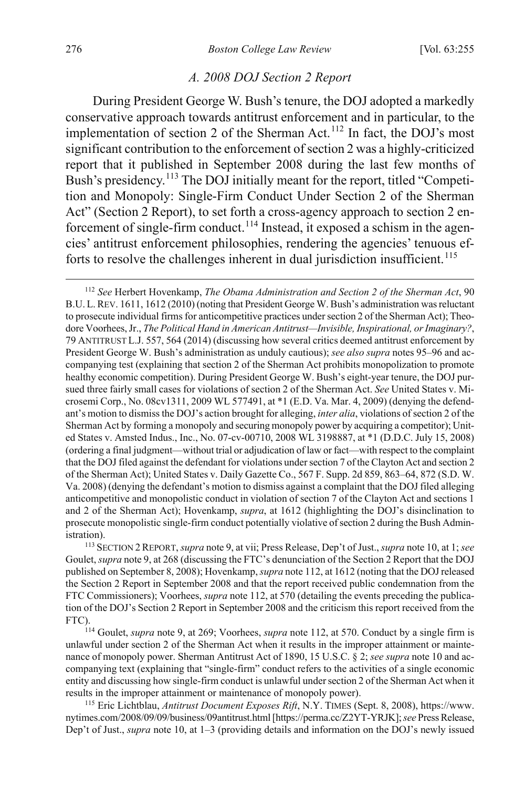#### <span id="page-22-5"></span><span id="page-22-0"></span>*A. 2008 DOJ Section 2 Report*

During President George W. Bush's tenure, the DOJ adopted a markedly conservative approach towards antitrust enforcement and in particular, to the implementation of section 2 of the Sherman Act.<sup>[112](#page-22-1)</sup> In fact, the DOJ's most significant contribution to the enforcement of section 2 was a highly-criticized report that it published in September 2008 during the last few months of Bush's presidency.<sup>[113](#page-22-2)</sup> The DOJ initially meant for the report, titled "Competition and Monopoly: Single-Firm Conduct Under Section 2 of the Sherman Act" (Section 2 Report), to set forth a cross-agency approach to section 2 en-forcement of single-firm conduct.<sup>[114](#page-22-3)</sup> Instead, it exposed a schism in the agencies' antitrust enforcement philosophies, rendering the agencies' tenuous ef-forts to resolve the challenges inherent in dual jurisdiction insufficient.<sup>[115](#page-22-4)</sup>

<span id="page-22-2"></span><sup>113</sup> SECTION 2REPORT, *supra* not[e 9,](#page-3-0) at vii; Press Release, Dep't of Just., *supra* not[e 10,](#page-3-5) at 1; *see* Goulet, *supra* not[e 9,](#page-3-0) at 268 (discussing the FTC's denunciation of the Section 2 Report that the DOJ published on September 8, 2008); Hovenkamp, *supra* not[e 112,](#page-22-0) at 1612 (noting that the DOJ released the Section 2 Report in September 2008 and that the report received public condemnation from the FTC Commissioners); Voorhees, *supra* not[e 112,](#page-22-0) at 570 (detailing the events preceding the publication of the DOJ's Section 2 Report in September 2008 and the criticism this report received from the FTC).<br><sup>114</sup> Goulet, *supra* note [9,](#page-3-0) at 269; Voorhees, *supra* not[e 112,](#page-22-0) at 570. Conduct by a single firm is

<span id="page-22-3"></span>unlawful under section 2 of the Sherman Act when it results in the improper attainment or maintenance of monopoly power. Sherman Antitrust Act of 1890, 15 U.S.C. § 2; *see supra* not[e 10](#page-3-5) and accompanying text (explaining that "single-firm" conduct refers to the activities of a single economic entity and discussing how single-firm conduct is unlawful under section 2 of the Sherman Act when it results in the improper attainment or maintenance of monopoly power).

<span id="page-22-4"></span><sup>115</sup> Eric Lichtblau, *Antitrust Document Exposes Rift*, N.Y. TIMES (Sept. 8, 2008), https://www. nytimes.com/2008/09/09/business/09antitrust.html [https://perma.cc/Z2YT-YRJK]; *see* Press Release, Dep't of Just., *supra* note [10,](#page-3-5) at 1–3 (providing details and information on the DOJ's newly issued

<span id="page-22-1"></span> <sup>112</sup> *See* Herbert Hovenkamp, *The Obama Administration and Section 2 of the Sherman Act*, 90 B.U.L.REV. 1611, 1612 (2010) (noting that President George W. Bush's administration was reluctant to prosecute individual firms for anticompetitive practices under section 2 of the Sherman Act); Theodore Voorhees, Jr., *The Political Hand in American Antitrust—Invisible, Inspirational, or Imaginary?*, 79 ANTITRUST L.J. 557, 564 (2014) (discussing how several critics deemed antitrust enforcement by President George W. Bush's administration as unduly cautious); *see also supra* note[s 95](#page-18-0)[–96](#page-18-6) and accompanying test (explaining that section 2 of the Sherman Act prohibits monopolization to promote healthy economic competition). During President George W. Bush's eight-year tenure, the DOJ pursued three fairly small cases for violations of section 2 of the Sherman Act. *See* United States v. Microsemi Corp., No. 08cv1311, 2009 WL 577491, at \*1 (E.D. Va. Mar. 4, 2009) (denying the defendant's motion to dismiss the DOJ's action brought for alleging, *inter alia*, violations of section 2 of the Sherman Act by forming a monopoly and securing monopoly power by acquiring a competitor); United States v. Amsted Indus., Inc., No. 07-cv-00710, 2008 WL 3198887, at \*1 (D.D.C. July 15, 2008) (ordering a final judgment—without trial or adjudication of law or fact—with respect to the complaint that the DOJ filed against the defendant for violations under section 7 of the Clayton Act and section 2 of the Sherman Act); United States v. Daily Gazette Co., 567 F. Supp. 2d 859, 863–64, 872 (S.D. W. Va. 2008) (denying the defendant's motion to dismiss against a complaint that the DOJ filed alleging anticompetitive and monopolistic conduct in violation of section 7 of the Clayton Act and sections 1 and 2 of the Sherman Act); Hovenkamp, *supra*, at 1612 (highlighting the DOJ's disinclination to prosecute monopolistic single-firm conduct potentially violative of section 2 during the Bush Administration).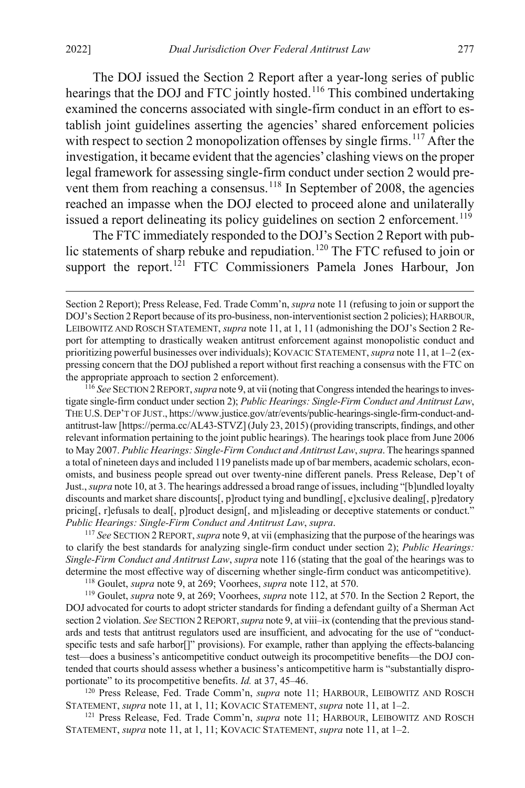<span id="page-23-0"></span>The DOJ issued the Section 2 Report after a year-long series of public hearings that the DOJ and FTC jointly hosted.<sup>[116](#page-23-1)</sup> This combined undertaking examined the concerns associated with single-firm conduct in an effort to establish joint guidelines asserting the agencies' shared enforcement policies with respect to section 2 monopolization offenses by single firms.<sup>[117](#page-23-2)</sup> After the investigation, it became evident that the agencies' clashing views on the proper legal framework for assessing single-firm conduct under section 2 would pre-vent them from reaching a consensus.<sup>[118](#page-23-3)</sup> In September of 2008, the agencies reached an impasse when the DOJ elected to proceed alone and unilaterally issued a report delineating its policy guidelines on section 2 enforcement.<sup>[119](#page-23-4)</sup>

The FTC immediately responded to the DOJ's Section 2 Report with pub-lic statements of sharp rebuke and repudiation.<sup>[120](#page-23-5)</sup> The FTC refused to join or support the report.<sup>[121](#page-23-6)</sup> FTC Commissioners Pamela Jones Harbour, Jon

<span id="page-23-1"></span><sup>116</sup> *See* SECTION 2REPORT, *supra* not[e 9,](#page-3-0) at vii (noting that Congress intended the hearings to investigate single-firm conduct under section 2); *Public Hearings: Single-Firm Conduct and Antitrust Law*, THE U.S.DEP'T OF JUST., https://www.justice.gov/atr/events/public-hearings-single-firm-conduct-andantitrust-law [https://perma.cc/AL43-STVZ] (July 23, 2015) (providing transcripts, findings, and other relevant information pertaining to the joint public hearings). The hearings took place from June 2006 to May 2007. *Public Hearings: Single-Firm Conduct and Antitrust Law*, *supra*. The hearings spanned a total of nineteen days and included 119 panelists made up of bar members, academic scholars, economists, and business people spread out over twenty-nine different panels. Press Release, Dep't of Just., *supra* not[e 10,](#page-3-5) at 3. The hearings addressed a broad range of issues, including "[b]undled loyalty discounts and market share discounts[, p]roduct tying and bundling[, e]xclusive dealing[, p]redatory pricing[, r]efusals to deal[, p]roduct design[, and m]isleading or deceptive statements or conduct." *Public Hearings: Single-Firm Conduct and Antitrust Law, supra.* 117 *See* SECTION 2 REPORT, *supra* not[e 9,](#page-3-0) at vii (emphasizing that the purpose of the hearings was

<span id="page-23-2"></span>to clarify the best standards for analyzing single-firm conduct under section 2); *Public Hearings: Single-Firm Conduct and Antitrust Law*, *supra* not[e 116](#page-23-0) (stating that the goal of the hearings was to determine the most effective way of discerning whether single-firm conduct was anticompetitive).

<sup>118</sup> Goulet, *supra* note [9,](#page-3-0) at 269; Voorhees, *supra* note [112,](#page-22-0) at 570.

<span id="page-23-4"></span><span id="page-23-3"></span><sup>119</sup> Goulet, *supra* note [9,](#page-3-0) at 269; Voorhees, *supra* not[e 112,](#page-22-0) at 570. In the Section 2 Report, the DOJ advocated for courts to adopt stricter standards for finding a defendant guilty of a Sherman Act section 2 violation. *See* SECTION 2REPORT,*supra* not[e 9,](#page-3-0) at viii–ix (contending that the previous standards and tests that antitrust regulators used are insufficient, and advocating for the use of "conductspecific tests and safe harbor[]" provisions). For example, rather than applying the effects-balancing test—does a business's anticompetitive conduct outweigh its procompetitive benefits—the DOJ contended that courts should assess whether a business's anticompetitive harm is "substantially disproportionate" to its procompetitive benefits. *Id.* at 37, 45–46. 120 Press Release, Fed. Trade Comm'n, *supra* note [11;](#page-4-2) HARBOUR, LEIBOWITZ AND ROSCH

<span id="page-23-5"></span>STATEMENT, *supra* note [11,](#page-4-2) at 1, [11;](#page-4-2) KOVACIC STATEMENT, *supra* note 11, at 1–2.<br><sup>121</sup> Press Release, Fed. Trade Comm'n, *supra* note 11; HARBOUR, LEIBOWITZ AND ROSCH

<span id="page-23-6"></span>STATEMENT, *supra* note [11,](#page-4-2) at 1, 11; KOVACIC STATEMENT, *supra* note [11,](#page-4-2) at 1–2.

Section 2 Report); Press Release, Fed. Trade Comm'n, *supra* not[e 11](#page-4-2) (refusing to join or support the DOJ's Section 2 Report because of its pro-business, non-interventionist section 2 policies); HARBOUR, LEIBOWITZ AND ROSCH STATEMENT, *supra* not[e 11,](#page-4-2) at 1, 11 (admonishing the DOJ's Section 2 Report for attempting to drastically weaken antitrust enforcement against monopolistic conduct and prioritizing powerful businesses over individuals); KOVACIC STATEMENT, *supra* not[e 11,](#page-4-2) at 1–2 (expressing concern that the DOJ published a report without first reaching a consensus with the FTC on the appropriate approach to section 2 enforcement).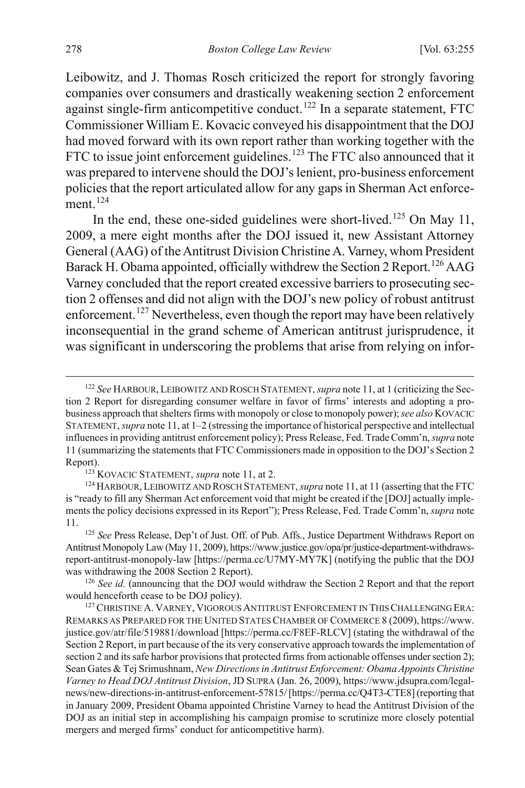Leibowitz, and J. Thomas Rosch criticized the report for strongly favoring companies over consumers and drastically weakening section 2 enforcement against single-firm anticompetitive conduct.<sup>[122](#page-24-0)</sup> In a separate statement, FTC Commissioner William E. Kovacic conveyed his disappointment that the DOJ had moved forward with its own report rather than working together with the FTC to issue joint enforcement guidelines.<sup>[123](#page-24-1)</sup> The FTC also announced that it was prepared to intervene should the DOJ's lenient, pro-business enforcement policies that the report articulated allow for any gaps in Sherman Act enforce-ment.<sup>[124](#page-24-2)</sup>

In the end, these one-sided guidelines were short-lived.<sup>[125](#page-24-3)</sup> On May 11, 2009, a mere eight months after the DOJ issued it, new Assistant Attorney General (AAG) of the Antitrust Division Christine A. Varney, whom President Barack H. Obama appointed, officially withdrew the Section 2 Report.<sup>[126](#page-24-4)</sup> AAG Varney concluded that the report created excessive barriers to prosecuting section 2 offenses and did not align with the DOJ's new policy of robust antitrust enforcement.<sup>[127](#page-24-5)</sup> Nevertheless, even though the report may have been relatively inconsequential in the grand scheme of American antitrust jurisprudence, it was significant in underscoring the problems that arise from relying on infor-

<span id="page-24-0"></span> <sup>122</sup> *See* HARBOUR, LEIBOWITZ AND ROSCH STATEMENT, *supra* not[e 11,](#page-4-2) at 1 (criticizing the Section 2 Report for disregarding consumer welfare in favor of firms' interests and adopting a probusiness approach that shelters firms with monopoly or close to monopoly power); *see also* KOVACIC STATEMENT, *supra* not[e 11,](#page-4-2) at 1–2 (stressing the importance of historical perspective and intellectual influences in providing antitrust enforcement policy); Press Release, Fed. Trade Comm'n, *supra* note [11](#page-4-2) (summarizing the statements that FTC Commissioners made in opposition to the DOJ's Section 2 Report). 123 KOVACIC STATEMENT, *supra* not[e 11,](#page-4-2) at 2.

<span id="page-24-2"></span><span id="page-24-1"></span><sup>124</sup> HARBOUR,LEIBOWITZ AND ROSCH STATEMENT, *supra* not[e 11,](#page-4-2) at 11 (asserting that the FTC is "ready to fill any Sherman Act enforcement void that might be created if the [DOJ] actually implements the policy decisions expressed in its Report"); Press Release, Fed. Trade Comm'n, *supra* note [11.](#page-4-2) 125 *See* Press Release, Dep't of Just. Off. of Pub. Affs., Justice Department Withdraws Report on

<span id="page-24-3"></span>Antitrust Monopoly Law (May 11, 2009), https://www.justice.gov/opa/pr/justice-department-withdrawsreport-antitrust-monopoly-law [https://perma.cc/U7MY-MY7K] (notifying the public that the DOJ was withdrawing the 2008 Section 2 Report).

<span id="page-24-4"></span><sup>126</sup> *See id.* (announcing that the DOJ would withdraw the Section 2 Report and that the report would henceforth cease to be DOJ policy).

<span id="page-24-5"></span><sup>&</sup>lt;sup>127</sup> CHRISTINE A. VARNEY, VIGOROUS ANTITRUST ENFORCEMENT IN THIS CHALLENGING ERA: REMARKS AS PREPARED FOR THE UNITED STATES CHAMBER OF COMMERCE 8 (2009), https://www. justice.gov/atr/file/519881/download [https://perma.cc/F8EF-RLCV] (stating the withdrawal of the Section 2 Report, in part because of the its very conservative approach towards the implementation of section 2 and its safe harbor provisions that protected firms from actionable offenses under section 2); Sean Gates & Tej Srimushnam, *New Directions in Antitrust Enforcement: Obama Appoints Christine Varney to Head DOJ Antitrust Division*, JD SUPRA (Jan. 26, 2009), https://www.jdsupra.com/legalnews/new-directions-in-antitrust-enforcement-57815/ [https://perma.cc/Q4T3-CTE8] (reporting that in January 2009, President Obama appointed Christine Varney to head the Antitrust Division of the DOJ as an initial step in accomplishing his campaign promise to scrutinize more closely potential mergers and merged firms' conduct for anticompetitive harm).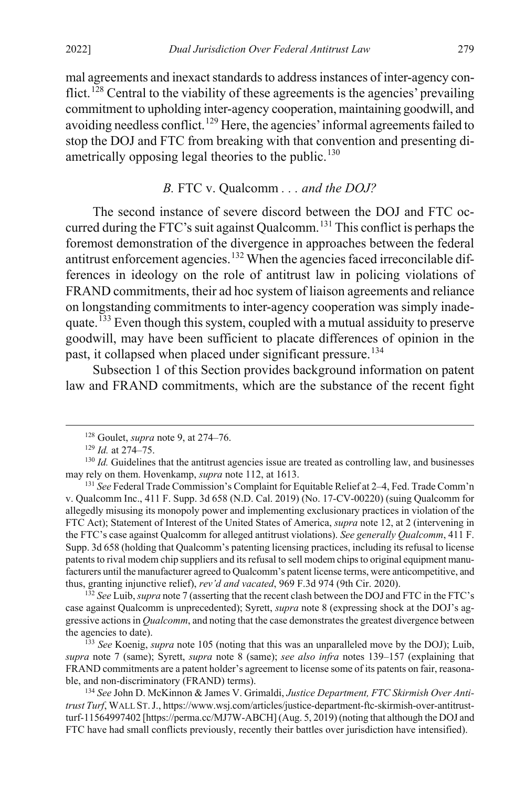mal agreements and inexact standards to address instances of inter-agency con-flict.<sup>[128](#page-25-2)</sup> Central to the viability of these agreements is the agencies' prevailing commitment to upholding inter-agency cooperation, maintaining goodwill, and avoiding needless conflict.<sup>[129](#page-25-3)</sup> Here, the agencies' informal agreements failed to stop the DOJ and FTC from breaking with that convention and presenting di-ametrically opposing legal theories to the public.<sup>[130](#page-25-4)</sup>

# <span id="page-25-9"></span><span id="page-25-1"></span><span id="page-25-0"></span>*B.* FTC v. Qualcomm *. . . and the DOJ?*

The second instance of severe discord between the DOJ and FTC occurred during the FTC's suit against Qualcomm.[131](#page-25-5) This conflict is perhaps the foremost demonstration of the divergence in approaches between the federal antitrust enforcement agencies.<sup>[132](#page-25-6)</sup> When the agencies faced irreconcilable differences in ideology on the role of antitrust law in policing violations of FRAND commitments, their ad hoc system of liaison agreements and reliance on longstanding commitments to inter-agency cooperation was simply inade-quate.<sup>[133](#page-25-7)</sup> Even though this system, coupled with a mutual assiduity to preserve goodwill, may have been sufficient to placate differences of opinion in the past, it collapsed when placed under significant pressure.<sup>[134](#page-25-8)</sup>

Subsection 1 of this Section provides background information on patent law and FRAND commitments, which are the substance of the recent fight

 <sup>128</sup> Goulet, *supra* note [9,](#page-3-0) at 274–76.

<sup>129</sup> *Id.* at 274–75.

<span id="page-25-4"></span><span id="page-25-3"></span><span id="page-25-2"></span> $130$  *Id.* Guidelines that the antitrust agencies issue are treated as controlling law, and businesses may rely on them. Hovenkamp, *supra* note [112,](#page-22-0) at 1613.

<span id="page-25-5"></span><sup>131</sup> *See* Federal Trade Commission's Complaint for Equitable Relief at 2–4, Fed. Trade Comm'n v. Qualcomm Inc., 411 F. Supp. 3d 658 (N.D. Cal. 2019) (No. 17-CV-00220) (suing Qualcomm for allegedly misusing its monopoly power and implementing exclusionary practices in violation of the FTC Act); Statement of Interest of the United States of America, *supra* not[e 12,](#page-4-3) at 2 (intervening in the FTC's case against Qualcomm for alleged antitrust violations). *See generally Qualcomm*, 411 F. Supp. 3d 658 (holding that Qualcomm's patenting licensing practices, including its refusal to license patents to rival modem chip suppliers and its refusal to sell modem chips to original equipment manufacturers until the manufacturer agreed to Qualcomm's patent license terms, were anticompetitive, and thus, granting injunctive relief), *rev'd and vacated*, 969 F.3d 974 (9th Cir. 2020).

<span id="page-25-6"></span><sup>&</sup>lt;sup>132</sup> See Luib, *supra* not[e 7](#page-2-5) (asserting that the recent clash between the DOJ and FTC in the FTC's case against Qualcomm is unprecedented); Syrett, *supra* note [8](#page-3-4) (expressing shock at the DOJ's aggressive actions in *Qualcomm*, and noting that the case demonstrates the greatest divergence between the agencies to date).

<span id="page-25-7"></span><sup>133</sup> *See* Koenig, *supra* not[e 105](#page-20-1) (noting that this was an unparalleled move by the DOJ); Luib, *supra* note [7](#page-2-5) (same); Syrett, *supra* note [8](#page-3-4) (same); *see also infra* notes [139–](#page-26-0)[157](#page-29-0) (explaining that FRAND commitments are a patent holder's agreement to license some of its patents on fair, reasonable, and non-discriminatory (FRAND) terms).

<span id="page-25-8"></span><sup>134</sup> *See* John D. McKinnon & James V. Grimaldi, *Justice Department, FTC Skirmish Over Antitrust Turf*, WALL ST.J., https://www.wsj.com/articles/justice-department-ftc-skirmish-over-antitrustturf-11564997402 [https://perma.cc/MJ7W-ABCH] (Aug. 5, 2019) (noting that although the DOJ and FTC have had small conflicts previously, recently their battles over jurisdiction have intensified).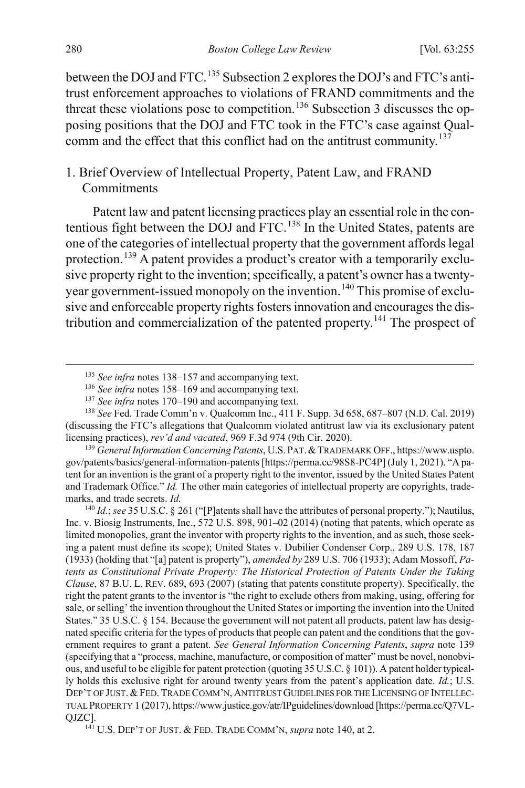between the DOJ and FTC.<sup>[135](#page-26-3)</sup> Subsection 2 explores the DOJ's and FTC's antitrust enforcement approaches to violations of FRAND commitments and the threat these violations pose to competition.<sup>[136](#page-26-4)</sup> Subsection 3 discusses the opposing positions that the DOJ and FTC took in the FTC's case against Qual-comm and the effect that this conflict had on the antitrust community.<sup>[137](#page-26-5)</sup>

# 1. Brief Overview of Intellectual Property, Patent Law, and FRAND **Commitments**

<span id="page-26-1"></span><span id="page-26-0"></span>Patent law and patent licensing practices play an essential role in the contentious fight between the DOJ and FTC.[138](#page-26-6) In the United States, patents are one of the categories of intellectual property that the government affords legal protection.<sup>[139](#page-26-7)</sup> A patent provides a product's creator with a temporarily exclusive property right to the invention; specifically, a patent's owner has a twenty-year government-issued monopoly on the invention.<sup>[140](#page-26-8)</sup> This promise of exclusive and enforceable property rights fosters innovation and encourages the distribution and commercialization of the patented property.[141](#page-26-9) The prospect of

<span id="page-26-6"></span><span id="page-26-5"></span><span id="page-26-4"></span><span id="page-26-3"></span><sup>138</sup> *See* Fed. Trade Comm'n v. Qualcomm Inc., 411 F. Supp. 3d 658, 687–807 (N.D. Cal. 2019) (discussing the FTC's allegations that Qualcomm violated antitrust law via its exclusionary patent licensing practices), *rev'd and vacated*, 969 F.3d 974 (9th Cir. 2020).

<span id="page-26-7"></span><sup>139</sup> *General Information Concerning Patents*, U.S. PAT.&TRADEMARK OFF., https://www.uspto. gov/patents/basics/general-information-patents [https://perma.cc/98S8-PC4P] (July 1, 2021). "A patent for an invention is the grant of a property right to the inventor, issued by the United States Patent and Trademark Office." *Id.* The other main categories of intellectual property are copyrights, trademarks, and trade secrets. *Id.*

<span id="page-26-8"></span><sup>140</sup> *Id.*;*see* 35 U.S.C. § 261 ("[P]atents shall have the attributes of personal property."); Nautilus, Inc. v. Biosig Instruments, Inc., 572 U.S. 898, 901–02 (2014) (noting that patents, which operate as limited monopolies, grant the inventor with property rights to the invention, and as such, those seeking a patent must define its scope); United States v. Dubilier Condenser Corp., 289 U.S. 178, 187 (1933) (holding that "[a] patent is property"), *amended by* 289 U.S. 706 (1933); Adam Mossoff, *Patents as Constitutional Private Property: The Historical Protection of Patents Under the Taking Clause*, 87 B.U. L. REV. 689, 693 (2007) (stating that patents constitute property). Specifically, the right the patent grants to the inventor is "the right to exclude others from making, using, offering for sale, or selling' the invention throughout the United States or importing the invention into the United States." 35 U.S.C. § 154. Because the government will not patent all products, patent law has designated specific criteria for the types of products that people can patent and the conditions that the government requires to grant a patent. *See General Information Concerning Patents*, *supra* note [139](#page-26-0) (specifying that a "process, machine, manufacture, or composition of matter" must be novel, nonobvious, and useful to be eligible for patent protection (quoting 35 U.S.C. § 101)). A patent holder typically holds this exclusive right for around twenty years from the patent's application date. *Id.*; U.S. DEP'T OF JUST. & FED. TRADE COMM'N, ANTITRUST GUIDELINES FOR THE LICENSING OF INTELLEC-TUAL PROPERTY 1 (2017), https://www.justice.gov/atr/IPguidelines/download [https://perma.cc/Q7VL-QJZC].

<span id="page-26-9"></span><sup>141</sup> U.S. DEP'T OF JUST. & FED. TRADE COMM'N, *supra* note [140,](#page-26-2) at 2.

<span id="page-26-2"></span> <sup>135</sup> *See infra* notes [138–](#page-26-1)[157](#page-29-0) and accompanying text.

<sup>136</sup> *See infra* notes [158–](#page-29-1)[169](#page-31-0) and accompanying text.

<sup>137</sup> *See infra* notes [170–](#page-31-1)[190](#page-35-0) and accompanying text.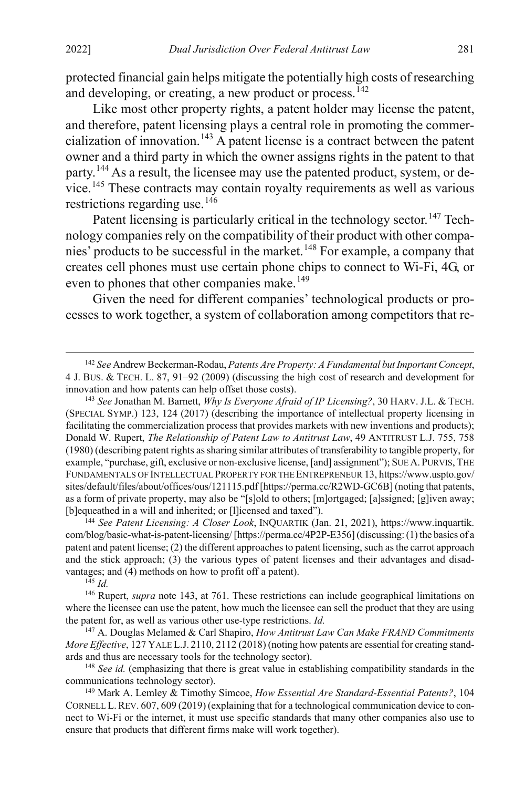protected financial gain helps mitigate the potentially high costs of researching and developing, or creating, a new product or process.<sup>[142](#page-27-1)</sup>

<span id="page-27-0"></span>Like most other property rights, a patent holder may license the patent, and therefore, patent licensing plays a central role in promoting the commer-cialization of innovation.<sup>[143](#page-27-2)</sup> A patent license is a contract between the patent owner and a third party in which the owner assigns rights in the patent to that party.<sup>[144](#page-27-3)</sup> As a result, the licensee may use the patented product, system, or device.[145](#page-27-4) These contracts may contain royalty requirements as well as various restrictions regarding use.<sup>[146](#page-27-5)</sup>

<span id="page-27-10"></span>Patent licensing is particularly critical in the technology sector.<sup>[147](#page-27-6)</sup> Technology companies rely on the compatibility of their product with other companies' products to be successful in the market.[148](#page-27-7) For example, a company that creates cell phones must use certain phone chips to connect to Wi-Fi, 4G, or even to phones that other companies make.<sup>[149](#page-27-8)</sup>

<span id="page-27-9"></span>Given the need for different companies' technological products or processes to work together, a system of collaboration among competitors that re-

<span id="page-27-3"></span><sup>144</sup> *See Patent Licensing: A Closer Look*, INQUARTIK (Jan. 21, 2021), https://www.inquartik. com/blog/basic-what-is-patent-licensing/ [https://perma.cc/4P2P-E356] (discussing: (1) the basics of a patent and patent license; (2) the different approaches to patent licensing, such as the carrot approach and the stick approach; (3) the various types of patent licenses and their advantages and disadvantages; and (4) methods on how to profit off a patent).

<sup>145</sup> *Id.*

<span id="page-27-5"></span><span id="page-27-4"></span><sup>146</sup> Rupert, *supra* not[e 143,](#page-27-0) at 761. These restrictions can include geographical limitations on where the licensee can use the patent, how much the licensee can sell the product that they are using the patent for, as well as various other use-type restrictions. *Id.*

<span id="page-27-6"></span><sup>147</sup> A. Douglas Melamed & Carl Shapiro, *How Antitrust Law Can Make FRAND Commitments More Effective*, 127 YALE L.J. 2110, 2112 (2018) (noting how patents are essential for creating standards and thus are necessary tools for the technology sector).

<span id="page-27-7"></span><sup>148</sup> *See id.* (emphasizing that there is great value in establishing compatibility standards in the communications technology sector).

<span id="page-27-8"></span><sup>149</sup> Mark A. Lemley & Timothy Simcoe, *How Essential Are Standard-Essential Patents?*, 104 CORNELL L.REV. 607, 609 (2019) (explaining that for a technological communication device to connect to Wi-Fi or the internet, it must use specific standards that many other companies also use to ensure that products that different firms make will work together).

<span id="page-27-1"></span> <sup>142</sup> *See* Andrew Beckerman-Rodau, *Patents Are Property: A Fundamental but Important Concept*, 4 J. BUS. & TECH. L. 87, 91–92 (2009) (discussing the high cost of research and development for innovation and how patents can help offset those costs).

<span id="page-27-2"></span><sup>143</sup> *See* Jonathan M. Barnett, *Why Is Everyone Afraid of IP Licensing?*, 30 HARV. J.L. & TECH. (SPECIAL SYMP.) 123, 124 (2017) (describing the importance of intellectual property licensing in facilitating the commercialization process that provides markets with new inventions and products); Donald W. Rupert, *The Relationship of Patent Law to Antitrust Law*, 49 ANTITRUST L.J. 755, 758 (1980) (describing patent rights as sharing similar attributes of transferability to tangible property, for example, "purchase, gift, exclusive or non-exclusive license, [and] assignment"); SUE A.PURVIS, THE FUNDAMENTALS OF INTELLECTUAL PROPERTY FOR THE ENTREPRENEUR 13, https://www.uspto.gov/ sites/default/files/about/offices/ous/121115.pdf [https://perma.cc/R2WD-GC6B] (noting that patents, as a form of private property, may also be "[s]old to others; [m]ortgaged; [a]ssigned; [g]iven away; [b]equeathed in a will and inherited; or [l]icensed and taxed").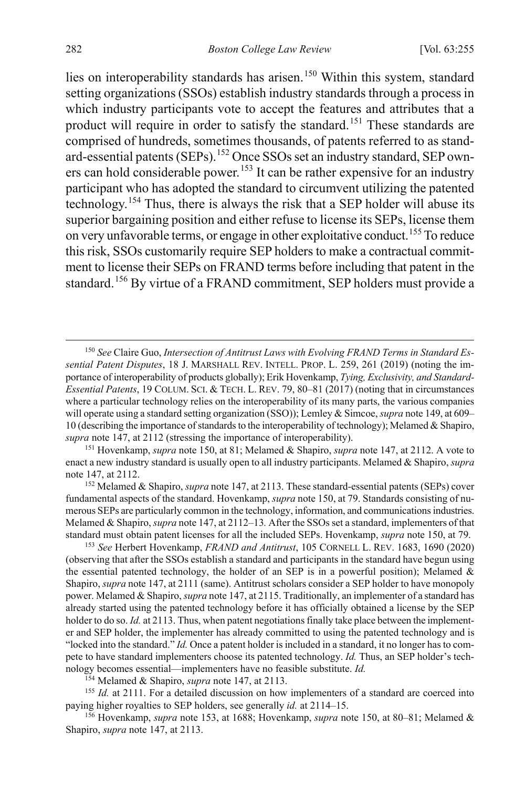<span id="page-28-1"></span><span id="page-28-0"></span>lies on interoperability standards has arisen.<sup>[150](#page-28-2)</sup> Within this system, standard setting organizations (SSOs) establish industry standards through a process in which industry participants vote to accept the features and attributes that a product will require in order to satisfy the standard.<sup>[151](#page-28-3)</sup> These standards are comprised of hundreds, sometimes thousands, of patents referred to as standard-essential patents (SEPs).[152](#page-28-4) Once SSOs set an industry standard, SEP own-ers can hold considerable power.<sup>[153](#page-28-5)</sup> It can be rather expensive for an industry participant who has adopted the standard to circumvent utilizing the patented technology.[154](#page-28-6) Thus, there is always the risk that a SEP holder will abuse its superior bargaining position and either refuse to license its SEPs, license them on very unfavorable terms, or engage in other exploitative conduct.[155](#page-28-7) To reduce this risk, SSOs customarily require SEP holders to make a contractual commitment to license their SEPs on FRAND terms before including that patent in the standard.[156](#page-28-8) By virtue of a FRAND commitment, SEP holders must provide a

<span id="page-28-4"></span><sup>152</sup> Melamed & Shapiro, *supra* not[e 147,](#page-27-10) at 2113. These standard-essential patents (SEPs) cover fundamental aspects of the standard. Hovenkamp, *supra* not[e 150,](#page-28-0) at 79. Standards consisting of numerous SEPs are particularly common in the technology, information, and communications industries. Melamed & Shapiro, *supra* not[e 147,](#page-27-10) at 2112–13*.* After the SSOs set a standard, implementers of that standard must obtain patent licenses for all the included SEPs. Hovenkamp, *supra* not[e 150,](#page-28-0) at 79.

<span id="page-28-5"></span><sup>153</sup> *See* Herbert Hovenkamp, *FRAND and Antitrust*, 105 CORNELL L. REV. 1683, 1690 (2020) (observing that after the SSOs establish a standard and participants in the standard have begun using the essential patented technology, the holder of an SEP is in a powerful position); Melamed  $\&$ Shapiro, *supra* not[e 147,](#page-27-10) at 2111 (same). Antitrust scholars consider a SEP holder to have monopoly power. Melamed & Shapiro, *supra* not[e 147,](#page-27-10) at 2115. Traditionally, an implementer of a standard has already started using the patented technology before it has officially obtained a license by the SEP holder to do so. *Id.* at 2113. Thus, when patent negotiations finally take place between the implementer and SEP holder, the implementer has already committed to using the patented technology and is "locked into the standard." *Id.* Once a patent holder is included in a standard, it no longer has to compete to have standard implementers choose its patented technology. *Id.* Thus, an SEP holder's technology becomes essential—implementers have no feasible substitute. *Id.*

<sup>154</sup> Melamed & Shapiro, *supra* not[e 147,](#page-27-10) at 2113.

<span id="page-28-7"></span><span id="page-28-6"></span><sup>155</sup> *Id.* at 2111. For a detailed discussion on how implementers of a standard are coerced into paying higher royalties to SEP holders, see generally *id.* at 2114–15.

<span id="page-28-8"></span>156 Hovenkamp, *supra* note [153,](#page-28-1) at 1688; Hovenkamp, *supra* not[e 150,](#page-28-0) at 80–81; Melamed & Shapiro, *supra* note [147,](#page-27-10) at 2113.

<span id="page-28-2"></span> <sup>150</sup> *See* Claire Guo, *Intersection of Antitrust Laws with Evolving FRAND Terms in Standard Essential Patent Disputes*, 18 J. MARSHALL REV. INTELL. PROP. L. 259, 261 (2019) (noting the importance of interoperability of products globally); Erik Hovenkamp, *Tying, Exclusivity, and Standard-Essential Patents*, 19 COLUM. SCI. & TECH. L. REV. 79, 80–81 (2017) (noting that in circumstances where a particular technology relies on the interoperability of its many parts, the various companies will operate using a standard setting organization (SSO)); Lemley & Simcoe, *supra* not[e 149,](#page-27-9) at 609– 10 (describing the importance of standards to the interoperability of technology); Melamed & Shapiro, *supra* not[e 147,](#page-27-10) at 2112 (stressing the importance of interoperability).

<span id="page-28-3"></span><sup>151</sup> Hovenkamp, *supra* not[e 150,](#page-28-0) at 81; Melamed & Shapiro, *supra* note [147,](#page-27-10) at 2112. A vote to enact a new industry standard is usually open to all industry participants. Melamed & Shapiro, *supra*  note [147,](#page-27-10) at 2112.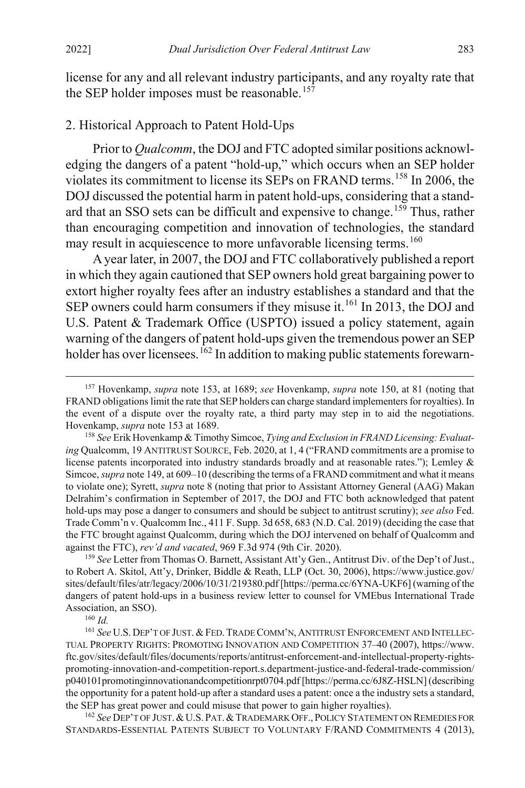<span id="page-29-0"></span>license for any and all relevant industry participants, and any royalty rate that the SEP holder imposes must be reasonable.<sup>[157](#page-29-2)</sup>

### 2. Historical Approach to Patent Hold-Ups

<span id="page-29-1"></span>Prior to *Qualcomm*, the DOJ and FTC adopted similar positions acknowledging the dangers of a patent "hold-up," which occurs when an SEP holder violates its commitment to license its SEPs on FRAND terms.[158](#page-29-3) In 2006, the DOJ discussed the potential harm in patent hold-ups, considering that a stand-ard that an SSO sets can be difficult and expensive to change.<sup>[159](#page-29-4)</sup> Thus, rather than encouraging competition and innovation of technologies, the standard may result in acquiescence to more unfavorable licensing terms.<sup>[160](#page-29-5)</sup>

A year later, in 2007, the DOJ and FTC collaboratively published a report in which they again cautioned that SEP owners hold great bargaining power to extort higher royalty fees after an industry establishes a standard and that the SEP owners could harm consumers if they misuse it.<sup>[161](#page-29-6)</sup> In 2013, the DOJ and U.S. Patent & Trademark Office (USPTO) issued a policy statement, again warning of the dangers of patent hold-ups given the tremendous power an SEP holder has over licensees.<sup>[162](#page-29-7)</sup> In addition to making public statements forewarn-

<span id="page-29-4"></span><sup>159</sup> *See* Letter from Thomas O. Barnett, Assistant Att'y Gen., Antitrust Div. of the Dep't of Just., to Robert A. Skitol, Att'y, Drinker, Biddle & Reath, LLP (Oct. 30, 2006), https://www.justice.gov/ sites/default/files/atr/legacy/2006/10/31/219380.pdf [https://perma.cc/6YNA-UKF6] (warning of the dangers of patent hold-ups in a business review letter to counsel for VMEbus International Trade Association, an SSO).

<sup>160</sup> *Id.*

<span id="page-29-7"></span><sup>162</sup> *See* DEP'T OF JUST.&U.S.PAT.&TRADEMARK OFF.,POLICY STATEMENT ON REMEDIES FOR STANDARDS-ESSENTIAL PATENTS SUBJECT TO VOLUNTARY F/RAND COMMITMENTS 4 (2013),

<span id="page-29-8"></span><span id="page-29-2"></span> <sup>157</sup> Hovenkamp, *supra* note [153,](#page-28-1) at 1689; *see* Hovenkamp, *supra* note [150,](#page-28-0) at 81 (noting that FRAND obligations limit the rate that SEP holders can charge standard implementers for royalties). In the event of a dispute over the royalty rate, a third party may step in to aid the negotiations. Hovenkamp, *supra* note [153](#page-28-1) at 1689.

<span id="page-29-3"></span><sup>158</sup> *See* Erik Hovenkamp & Timothy Simcoe, *Tying and Exclusion in FRAND Licensing: Evaluating* Qualcomm, 19 ANTITRUST SOURCE, Feb. 2020, at 1, 4 ("FRAND commitments are a promise to license patents incorporated into industry standards broadly and at reasonable rates."); Lemley & Simcoe, *supra* not[e 149,](#page-27-9) at 609–10 (describing the terms of a FRAND commitment and what it means to violate one); Syrett, *supra* not[e 8](#page-3-4) (noting that prior to Assistant Attorney General (AAG) Makan Delrahim's confirmation in September of 2017, the DOJ and FTC both acknowledged that patent hold-ups may pose a danger to consumers and should be subject to antitrust scrutiny); *see also* Fed. Trade Comm'n v. Qualcomm Inc., 411 F. Supp. 3d 658, 683 (N.D. Cal. 2019) (deciding the case that the FTC brought against Qualcomm, during which the DOJ intervened on behalf of Qualcomm and against the FTC), *rev'd and vacated*, 969 F.3d 974 (9th Cir. 2020).

<span id="page-29-6"></span><span id="page-29-5"></span><sup>161</sup> *See* U.S. DEP'T OF JUST. &FED.TRADE COMM'N, ANTITRUST ENFORCEMENT AND INTELLEC-TUAL PROPERTY RIGHTS: PROMOTING INNOVATION AND COMPETITION 37–40 (2007), https://www. ftc.gov/sites/default/files/documents/reports/antitrust-enforcement-and-intellectual-property-rightspromoting-innovation-and-competition-report.s.department-justice-and-federal-trade-commission/ p040101promotinginnovationandcompetitionrpt0704.pdf [https://perma.cc/6J8Z-HSLN] (describing the opportunity for a patent hold-up after a standard uses a patent: once a the industry sets a standard, the SEP has great power and could misuse that power to gain higher royalties).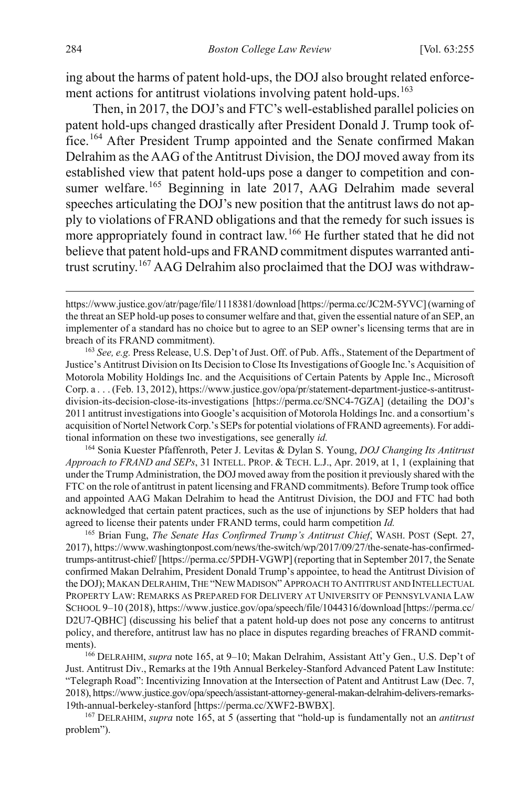ing about the harms of patent hold-ups, the DOJ also brought related enforce-ment actions for antitrust violations involving patent hold-ups.<sup>[163](#page-30-1)</sup>

<span id="page-30-0"></span>Then, in 2017, the DOJ's and FTC's well-established parallel policies on patent hold-ups changed drastically after President Donald J. Trump took office.[164](#page-30-2) After President Trump appointed and the Senate confirmed Makan Delrahim as the AAG of the Antitrust Division, the DOJ moved away from its established view that patent hold-ups pose a danger to competition and con-sumer welfare.<sup>[165](#page-30-3)</sup> Beginning in late 2017, AAG Delrahim made several speeches articulating the DOJ's new position that the antitrust laws do not apply to violations of FRAND obligations and that the remedy for such issues is more appropriately found in contract law.<sup>[166](#page-30-4)</sup> He further stated that he did not believe that patent hold-ups and FRAND commitment disputes warranted antitrust scrutiny.[167](#page-30-5) AAG Delrahim also proclaimed that the DOJ was withdraw-

<span id="page-30-1"></span><sup>163</sup> *See, e.g.* Press Release, U.S. Dep't of Just. Off. of Pub. Affs., Statement of the Department of Justice's Antitrust Division on Its Decision to Close Its Investigations of Google Inc.'s Acquisition of Motorola Mobility Holdings Inc. and the Acquisitions of Certain Patents by Apple Inc., Microsoft Corp. a . . . (Feb. 13, 2012), https://www.justice.gov/opa/pr/statement-department-justice-s-antitrustdivision-its-decision-close-its-investigations [https://perma.cc/SNC4-7GZA] (detailing the DOJ's 2011 antitrust investigations into Google's acquisition of Motorola Holdings Inc. and a consortium's acquisition of Nortel Network Corp.'s SEPs for potential violations of FRAND agreements). For additional information on these two investigations, see generally *id.*

<span id="page-30-2"></span><sup>164</sup> Sonia Kuester Pfaffenroth, Peter J. Levitas & Dylan S. Young, *DOJ Changing Its Antitrust Approach to FRAND and SEPs*, 31 INTELL. PROP. & TECH. L.J., Apr. 2019, at 1, 1 (explaining that under the Trump Administration, the DOJ moved away from the position it previously shared with the FTC on the role of antitrust in patent licensing and FRAND commitments). Before Trump took office and appointed AAG Makan Delrahim to head the Antitrust Division, the DOJ and FTC had both acknowledged that certain patent practices, such as the use of injunctions by SEP holders that had agreed to license their patents under FRAND terms, could harm competition *Id.*

<span id="page-30-3"></span><sup>165</sup> Brian Fung, *The Senate Has Confirmed Trump's Antitrust Chief*, WASH. POST (Sept. 27, 2017), https://www.washingtonpost.com/news/the-switch/wp/2017/09/27/the-senate-has-confirmedtrumps-antitrust-chief/ [https://perma.cc/5PDH-VGWP] (reporting that in September 2017, the Senate confirmed Makan Delrahim, President Donald Trump's appointee, to head the Antitrust Division of the DOJ); MAKAN DELRAHIM,THE "NEW MADISON"APPROACH TO ANTITRUST AND INTELLECTUAL PROPERTY LAW: REMARKS AS PREPARED FOR DELIVERY AT UNIVERSITY OF PENNSYLVANIA LAW SCHOOL 9–10 (2018), https://www.justice.gov/opa/speech/file/1044316/download [https://perma.cc/ D2U7-QBHC] (discussing his belief that a patent hold-up does not pose any concerns to antitrust policy, and therefore, antitrust law has no place in disputes regarding breaches of FRAND commitments).

<span id="page-30-4"></span><sup>166</sup> DELRAHIM, *supra* note [165,](#page-30-0) at 9–10; Makan Delrahim, Assistant Att'y Gen., U.S. Dep't of Just. Antitrust Div., Remarks at the 19th Annual Berkeley-Stanford Advanced Patent Law Institute: "Telegraph Road": Incentivizing Innovation at the Intersection of Patent and Antitrust Law (Dec. 7, 2018), https://www.justice.gov/opa/speech/assistant-attorney-general-makan-delrahim-delivers-remarks-19th-annual-berkeley-stanford [https://perma.cc/XWF2-BWBX].

<span id="page-30-5"></span><sup>167</sup> DELRAHIM, *supra* note [165,](#page-30-0) at 5 (asserting that "hold-up is fundamentally not an *antitrust* problem").

<span id="page-30-6"></span>https://www.justice.gov/atr/page/file/1118381/download [https://perma.cc/JC2M-5YVC] (warning of the threat an SEP hold-up poses to consumer welfare and that, given the essential nature of an SEP, an implementer of a standard has no choice but to agree to an SEP owner's licensing terms that are in breach of its FRAND commitment).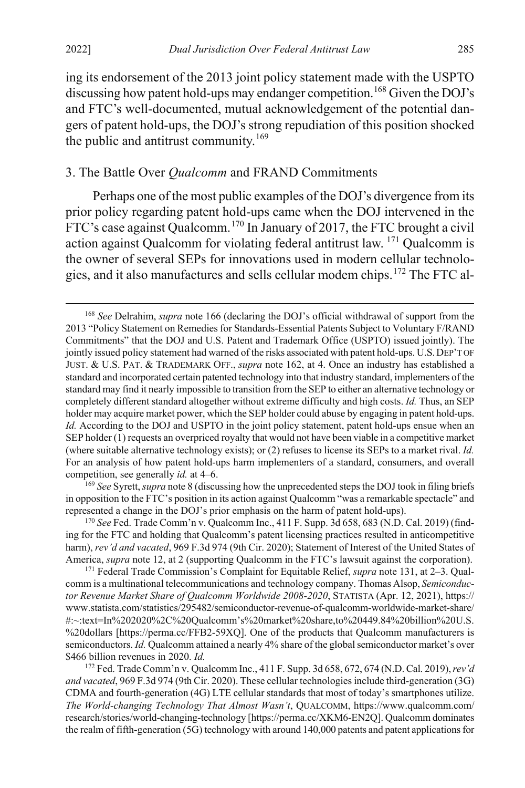ing its endorsement of the 2013 joint policy statement made with the USPTO discussing how patent hold-ups may endanger competition.<sup>[168](#page-31-2)</sup> Given the DOJ's and FTC's well-documented, mutual acknowledgement of the potential dangers of patent hold-ups, the DOJ's strong repudiation of this position shocked the public and antitrust community.<sup>[169](#page-31-3)</sup>

## <span id="page-31-0"></span>3. The Battle Over *Qualcomm* and FRAND Commitments

<span id="page-31-1"></span>Perhaps one of the most public examples of the DOJ's divergence from its prior policy regarding patent hold-ups came when the DOJ intervened in the FTC's case against Qualcomm.<sup>[170](#page-31-4)</sup> In January of 2017, the FTC brought a civil action against Qualcomm for violating federal antitrust law. [171](#page-31-5) Qualcomm is the owner of several SEPs for innovations used in modern cellular technologies, and it also manufactures and sells cellular modem chips.[172](#page-31-6) The FTC al-

<span id="page-31-3"></span>in opposition to the FTC's position in its action against Qualcomm "was a remarkable spectacle" and represented a change in the DOJ's prior emphasis on the harm of patent hold-ups).

<span id="page-31-4"></span>170 *See* Fed. Trade Comm'n v. Qualcomm Inc., 411 F. Supp. 3d 658, 683 (N.D. Cal. 2019) (finding for the FTC and holding that Qualcomm's patent licensing practices resulted in anticompetitive harm), *rev'd and vacated*, 969 F.3d 974 (9th Cir. 2020); Statement of Interest of the United States of America, *supra* note [12,](#page-4-3) at 2 (supporting Qualcomm in the FTC's lawsuit against the corporation).

<span id="page-31-5"></span><sup>171</sup> Federal Trade Commission's Complaint for Equitable Relief, *supra* not[e 131,](#page-25-1) at 2–3. Qualcomm is a multinational telecommunications and technology company. Thomas Alsop, *Semiconductor Revenue Market Share of Qualcomm Worldwide 2008-2020*, STATISTA (Apr. 12, 2021), https:// www.statista.com/statistics/295482/semiconductor-revenue-of-qualcomm-worldwide-market-share/ #:~:text=In%202020%2C%20Qualcomm's%20market%20share,to%20449.84%20billion%20U.S. %20dollars [https://perma.cc/FFB2-59XQ]. One of the products that Qualcomm manufacturers is semiconductors. *Id.* Qualcomm attained a nearly 4% share of the global semiconductor market's over \$466 billion revenues in 2020. *Id.*

<span id="page-31-6"></span><sup>172</sup> Fed. Trade Comm'n v. Qualcomm Inc., 411 F. Supp. 3d 658, 672, 674 (N.D. Cal. 2019), *rev'd and vacated*, 969 F.3d 974 (9th Cir. 2020). These cellular technologies include third-generation (3G) CDMA and fourth-generation (4G) LTE cellular standards that most of today's smartphones utilize. *The World-changing Technology That Almost Wasn't*, QUALCOMM, https://www.qualcomm.com/ research/stories/world-changing-technology [https://perma.cc/XKM6-EN2Q]. Qualcomm dominates the realm of fifth-generation (5G) technology with around 140,000 patents and patent applications for

<span id="page-31-2"></span> <sup>168</sup> *See* Delrahim, *supra* note [166](#page-30-6) (declaring the DOJ's official withdrawal of support from the 2013 "Policy Statement on Remedies for Standards-Essential Patents Subject to Voluntary F/RAND Commitments" that the DOJ and U.S. Patent and Trademark Office (USPTO) issued jointly). The jointly issued policy statement had warned of the risks associated with patent hold-ups. U.S.DEP'T OF JUST. & U.S. PAT. & TRADEMARK OFF., *supra* note [162,](#page-29-8) at 4. Once an industry has established a standard and incorporated certain patented technology into that industry standard, implementers of the standard may find it nearly impossible to transition from the SEP to either an alternative technology or completely different standard altogether without extreme difficulty and high costs. *Id.* Thus, an SEP holder may acquire market power, which the SEP holder could abuse by engaging in patent hold-ups. *Id.* According to the DOJ and USPTO in the joint policy statement, patent hold-ups ensue when an SEP holder (1) requests an overpriced royalty that would not have been viable in a competitive market (where suitable alternative technology exists); or (2) refuses to license its SEPs to a market rival. *Id.* For an analysis of how patent hold-ups harm implementers of a standard, consumers, and overall competition, see generally *id.* at 4–6.<br><sup>169</sup> See Syrett, *supra* not[e 8](#page-3-4) (discussing how the unprecedented steps the DOJ took in filing briefs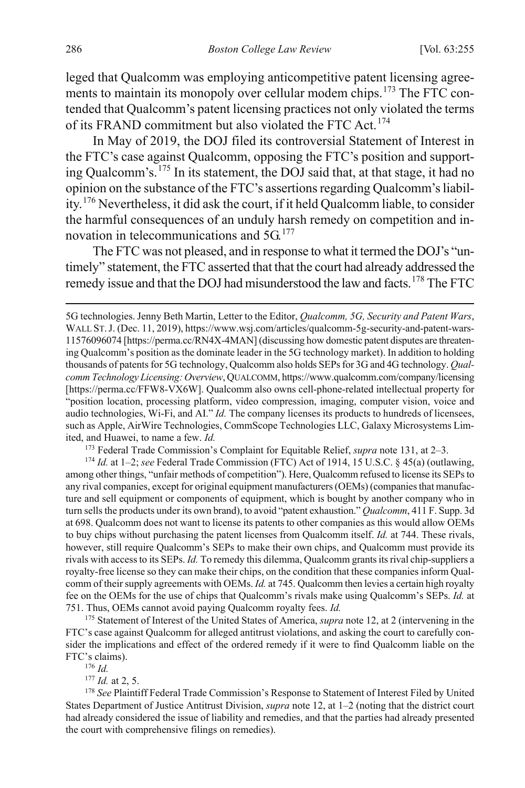leged that Qualcomm was employing anticompetitive patent licensing agree-ments to maintain its monopoly over cellular modem chips.<sup>[173](#page-32-0)</sup> The FTC contended that Qualcomm's patent licensing practices not only violated the terms of its FRAND commitment but also violated the FTC Act.<sup>[174](#page-32-1)</sup>

In May of 2019, the DOJ filed its controversial Statement of Interest in the FTC's case against Qualcomm, opposing the FTC's position and supporting Qualcomm's.[175](#page-32-2) In its statement, the DOJ said that, at that stage, it had no opinion on the substance of the FTC's assertions regarding Qualcomm's liability.[176](#page-32-3) Nevertheless, it did ask the court, if it held Qualcomm liable, to consider the harmful consequences of an unduly harsh remedy on competition and innovation in telecommunications and  $5G<sup>177</sup>$  $5G<sup>177</sup>$  $5G<sup>177</sup>$ 

The FTC was not pleased, and in response to what it termed the DOJ's "untimely" statement, the FTC asserted that that the court had already addressed the remedy issue and that the DOJ had misunderstood the law and facts.<sup>[178](#page-32-5)</sup> The FTC

<sup>173</sup> Federal Trade Commission's Complaint for Equitable Relief, *supra* not[e 131,](#page-25-1) at 2–3.<br><sup>174</sup> *Id.* at 1–2; *see* Federal Trade Commission (FTC) Act of 1914, 15 U.S.C. § 45(a) (outlawing,

<span id="page-32-1"></span><span id="page-32-0"></span>among other things, "unfair methods of competition"). Here, Qualcomm refused to license its SEPs to any rival companies, except for original equipment manufacturers (OEMs) (companies that manufacture and sell equipment or components of equipment, which is bought by another company who in turn sells the products under its own brand), to avoid "patent exhaustion." *Qualcomm*, 411 F. Supp. 3d at 698. Qualcomm does not want to license its patents to other companies as this would allow OEMs to buy chips without purchasing the patent licenses from Qualcomm itself. *Id.* at 744. These rivals, however, still require Qualcomm's SEPs to make their own chips, and Qualcomm must provide its rivals with access to its SEPs. *Id.* To remedy this dilemma, Qualcomm grants its rival chip-suppliers a royalty-free license so they can make their chips, on the condition that these companies inform Qualcomm of their supply agreements with OEMs. *Id.* at 745. Qualcomm then levies a certain high royalty fee on the OEMs for the use of chips that Qualcomm's rivals make using Qualcomm's SEPs. *Id.* at 751. Thus, OEMs cannot avoid paying Qualcomm royalty fees. *Id.*

<span id="page-32-2"></span><sup>175</sup> Statement of Interest of the United States of America, *supra* not[e 12,](#page-4-3) at 2 (intervening in the FTC's case against Qualcomm for alleged antitrust violations, and asking the court to carefully consider the implications and effect of the ordered remedy if it were to find Qualcomm liable on the FTC's claims).

<sup>176</sup> *Id.*

<sup>177</sup> *Id.* at 2, 5.

<span id="page-32-5"></span><span id="page-32-4"></span><span id="page-32-3"></span><sup>178</sup> See Plaintiff Federal Trade Commission's Response to Statement of Interest Filed by United States Department of Justice Antitrust Division, *supra* not[e 12,](#page-4-3) at 1–2 (noting that the district court had already considered the issue of liability and remedies, and that the parties had already presented the court with comprehensive filings on remedies).

<sup>5</sup>G technologies. Jenny Beth Martin, Letter to the Editor, *Qualcomm, 5G, Security and Patent Wars*, WALL ST.J. (Dec. 11, 2019), https://www.wsj.com/articles/qualcomm-5g-security-and-patent-wars-11576096074 [https://perma.cc/RN4X-4MAN] (discussing how domestic patent disputes are threatening Qualcomm's position as the dominate leader in the 5G technology market). In addition to holding thousands of patents for 5G technology, Qualcomm also holds SEPs for 3G and 4G technology. *Qualcomm Technology Licensing: Overview*, QUALCOMM, https://www.qualcomm.com/company/licensing [https://perma.cc/FFW8-VX6W]. Qualcomm also owns cell-phone-related intellectual property for "position location, processing platform, video compression, imaging, computer vision, voice and audio technologies, Wi-Fi, and AI." *Id.* The company licenses its products to hundreds of licensees, such as Apple, AirWire Technologies, CommScope Technologies LLC, Galaxy Microsystems Limited, and Huawei, to name a few. *Id.*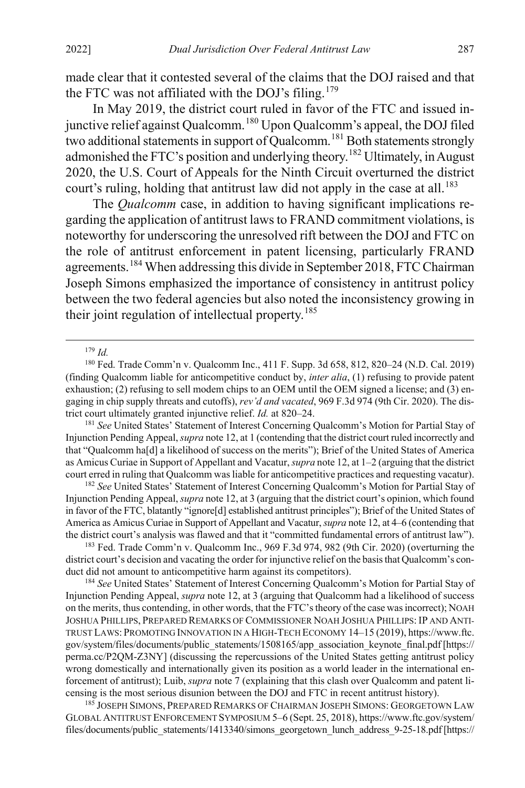made clear that it contested several of the claims that the DOJ raised and that the FTC was not affiliated with the DOJ's filing.<sup>[179](#page-33-0)</sup>

In May 2019, the district court ruled in favor of the FTC and issued in-junctive relief against Qualcomm.<sup>[180](#page-33-1)</sup> Upon Qualcomm's appeal, the DOJ filed two additional statements in support of Qualcomm.<sup>[181](#page-33-2)</sup> Both statements strongly admonished the FTC's position and underlying theory.<sup>[182](#page-33-3)</sup> Ultimately, in August 2020, the U.S. Court of Appeals for the Ninth Circuit overturned the district court's ruling, holding that antitrust law did not apply in the case at all.<sup>[183](#page-33-4)</sup>

The *Qualcomm* case, in addition to having significant implications regarding the application of antitrust laws to FRAND commitment violations, is noteworthy for underscoring the unresolved rift between the DOJ and FTC on the role of antitrust enforcement in patent licensing, particularly FRAND agreements.[184](#page-33-5) When addressing this divide in September 2018, FTC Chairman Joseph Simons emphasized the importance of consistency in antitrust policy between the two federal agencies but also noted the inconsistency growing in their joint regulation of intellectual property.<sup>[185](#page-33-6)</sup>

179 *Id.*

<span id="page-33-2"></span>Injunction Pending Appeal, *supra* not[e 12,](#page-4-3) at 1 (contending that the district court ruled incorrectly and that "Qualcomm ha[d] a likelihood of success on the merits"); Brief of the United States of America as Amicus Curiae in Support of Appellant and Vacatur, *supra* not[e 12,](#page-4-3) at 1–2 (arguing that the district court erred in ruling that Qualcomm was liable for anticompetitive practices and requesting vacatur).

<span id="page-33-3"></span><sup>182</sup> *See* United States' Statement of Interest Concerning Qualcomm's Motion for Partial Stay of Injunction Pending Appeal, *supra* not[e 12,](#page-4-3) at 3 (arguing that the district court's opinion, which found in favor of the FTC, blatantly "ignore[d] established antitrust principles"); Brief of the United States of America as Amicus Curiae in Support of Appellant and Vacatur, *supra* not[e 12,](#page-4-3) at 4–6 (contending that the district court's analysis was flawed and that it "committed fundamental errors of antitrust law").

<span id="page-33-4"></span><sup>183</sup> Fed. Trade Comm'n v. Qualcomm Inc., 969 F.3d 974, 982 (9th Cir. 2020) (overturning the district court's decision and vacating the order for injunctive relief on the basis that Qualcomm's conduct did not amount to anticompetitive harm against its competitors).

<span id="page-33-5"></span><sup>184</sup> *See* United States' Statement of Interest Concerning Qualcomm's Motion for Partial Stay of Injunction Pending Appeal, *supra* not[e 12,](#page-4-3) at 3 (arguing that Qualcomm had a likelihood of success on the merits, thus contending, in other words, that the FTC's theory of the case was incorrect); NOAH JOSHUA PHILLIPS, PREPARED REMARKS OF COMMISSIONER NOAH JOSHUA PHILLIPS: IP AND ANTI-TRUST LAWS: PROMOTING INNOVATION IN A HIGH-TECH ECONOMY 14–15 (2019), https://www.ftc. gov/system/files/documents/public\_statements/1508165/app\_association\_keynote\_final.pdf [https:// perma.cc/P2QM-Z3NY] (discussing the repercussions of the United States getting antitrust policy wrong domestically and internationally given its position as a world leader in the international enforcement of antitrust); Luib, *supra* not[e 7](#page-2-5) (explaining that this clash over Qualcomm and patent licensing is the most serious disunion between the DOJ and FTC in recent antitrust history).

<span id="page-33-6"></span>185 JOSEPH SIMONS, PREPARED REMARKS OF CHAIRMAN JOSEPH SIMONS: GEORGETOWN LAW GLOBAL ANTITRUST ENFORCEMENT SYMPOSIUM 5–6 (Sept. 25, 2018), https://www.ftc.gov/system/ files/documents/public\_statements/1413340/simons\_georgetown\_lunch\_address\_9-25-18.pdf [https://

<span id="page-33-1"></span><span id="page-33-0"></span><sup>180</sup> Fed. Trade Comm'n v. Qualcomm Inc., 411 F. Supp. 3d 658, 812, 820–24 (N.D. Cal. 2019) (finding Qualcomm liable for anticompetitive conduct by, *inter alia*, (1) refusing to provide patent exhaustion; (2) refusing to sell modem chips to an OEM until the OEM signed a license; and (3) engaging in chip supply threats and cutoffs), *rev'd and vacated*, 969 F.3d 974 (9th Cir. 2020). The district court ultimately granted injunctive relief. *Id.* at 820–24.<br><sup>181</sup> See United States' Statement of Interest Concerning Qualcomm's Motion for Partial Stay of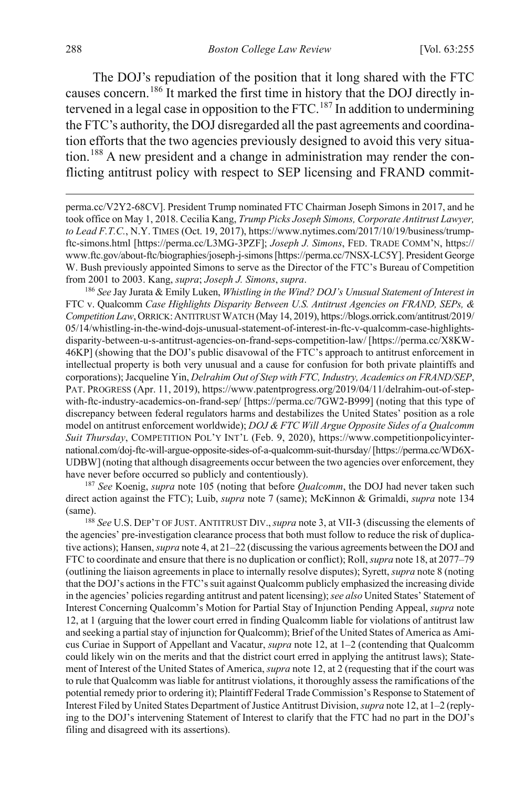The DOJ's repudiation of the position that it long shared with the FTC causes concern.<sup>[186](#page-34-0)</sup> It marked the first time in history that the DOJ directly in-tervened in a legal case in opposition to the FTC.<sup>[187](#page-34-1)</sup> In addition to undermining the FTC's authority, the DOJ disregarded all the past agreements and coordination efforts that the two agencies previously designed to avoid this very situation.[188](#page-34-2) A new president and a change in administration may render the conflicting antitrust policy with respect to SEP licensing and FRAND commit-

perma.cc/V2Y2-68CV]. President Trump nominated FTC Chairman Joseph Simons in 2017, and he took office on May 1, 2018. Cecilia Kang, *Trump Picks Joseph Simons, Corporate Antitrust Lawyer, to Lead F.T.C.*, N.Y. TIMES (Oct. 19, 2017), https://www.nytimes.com/2017/10/19/business/trumpftc-simons.html [https://perma.cc/L3MG-3PZF]; *Joseph J. Simons*, FED. TRADE COMM'N, https:// www.ftc.gov/about-ftc/biographies/joseph-j-simons [https://perma.cc/7NSX-LC5Y]. President George W. Bush previously appointed Simons to serve as the Director of the FTC's Bureau of Competition from 2001 to 2003. Kang, *supra*; *Joseph J. Simons*, *supra*. 186 *See* Jay Jurata & Emily Luken, *Whistling in the Wind? DOJ's Unusual Statement of Interest in* 

<span id="page-34-0"></span>FTC v. Qualcomm *Case Highlights Disparity Between U.S. Antitrust Agencies on FRAND, SEPs, & Competition Law*, ORRICK:ANTITRUST WATCH (May 14, 2019), https://blogs.orrick.com/antitrust/2019/ 05/14/whistling-in-the-wind-dojs-unusual-statement-of-interest-in-ftc-v-qualcomm-case-highlightsdisparity-between-u-s-antitrust-agencies-on-frand-seps-competition-law/ [https://perma.cc/X8KW-46KP] (showing that the DOJ's public disavowal of the FTC's approach to antitrust enforcement in intellectual property is both very unusual and a cause for confusion for both private plaintiffs and corporations); Jacqueline Yin, *Delrahim Out of Step with FTC, Industry, Academics on FRAND/SEP*, PAT. PROGRESS (Apr. 11, 2019), https://www.patentprogress.org/2019/04/11/delrahim-out-of-stepwith-ftc-industry-academics-on-frand-sep/ [https://perma.cc/7GW2-B999] (noting that this type of discrepancy between federal regulators harms and destabilizes the United States' position as a role model on antitrust enforcement worldwide); *DOJ & FTC Will Argue Opposite Sides of a Qualcomm Suit Thursday*, COMPETITION POL'Y INT'L (Feb. 9, 2020), https://www.competitionpolicyinternational.com/doj-ftc-will-argue-opposite-sides-of-a-qualcomm-suit-thursday/ [https://perma.cc/WD6X-UDBW] (noting that although disagreements occur between the two agencies over enforcement, they have never before occurred so publicly and contentiously). 187 *See* Koenig, *supra* note [105](#page-20-1) (noting that before *Qualcomm*, the DOJ had never taken such

<span id="page-34-1"></span>direct action against the FTC); Luib, *supra* not[e 7](#page-2-5) (same); McKinnon & Grimaldi, *supra* not[e 134](#page-25-9) (same).

<span id="page-34-2"></span><sup>188</sup> *See* U.S. DEP'T OF JUST. ANTITRUST DIV.,*supra* not[e 3,](#page-1-3) at VII-3 (discussing the elements of the agencies' pre-investigation clearance process that both must follow to reduce the risk of duplicative actions); Hansen, *supra* not[e 4,](#page-2-0) at 21–22 (discussing the various agreements between the DOJ and FTC to coordinate and ensure that there is no duplication or conflict); Roll, *supra* not[e 18,](#page-5-0) at 2077–79 (outlining the liaison agreements in place to internally resolve disputes); Syrett, *supra* not[e 8 \(](#page-3-4)noting that the DOJ's actions in the FTC's suit against Qualcomm publicly emphasized the increasing divide in the agencies' policies regarding antitrust and patent licensing); *see also* United States' Statement of Interest Concerning Qualcomm's Motion for Partial Stay of Injunction Pending Appeal, *supra* note [12,](#page-4-3) at 1 (arguing that the lower court erred in finding Qualcomm liable for violations of antitrust law and seeking a partial stay of injunction for Qualcomm); Brief of the United States of America as Amicus Curiae in Support of Appellant and Vacatur, *supra* note [12,](#page-4-3) at 1–2 (contending that Qualcomm could likely win on the merits and that the district court erred in applying the antitrust laws); Statement of Interest of the United States of America, *supra* not[e 12,](#page-4-3) at 2 (requesting that if the court was to rule that Qualcomm was liable for antitrust violations, it thoroughly assess the ramifications of the potential remedy prior to ordering it); Plaintiff Federal Trade Commission's Response to Statement of Interest Filed by United States Department of Justice Antitrust Division, *supra* not[e 12,](#page-4-3) at 1–2 (replying to the DOJ's intervening Statement of Interest to clarify that the FTC had no part in the DOJ's filing and disagreed with its assertions).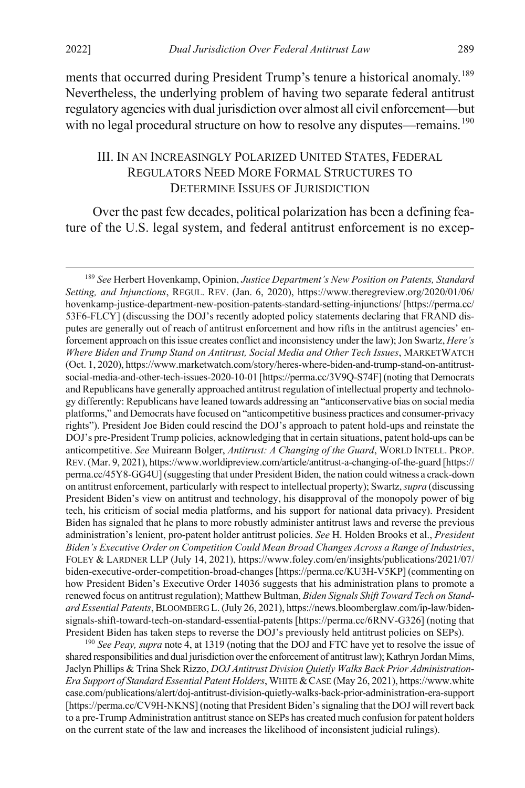ments that occurred during President Trump's tenure a historical anomaly.<sup>[189](#page-35-1)</sup> Nevertheless, the underlying problem of having two separate federal antitrust regulatory agencies with dual jurisdiction over almost all civil enforcement—but with no legal procedural structure on how to resolve any disputes—remains.<sup>[190](#page-35-2)</sup>

# <span id="page-35-3"></span><span id="page-35-0"></span>III. IN AN INCREASINGLY POLARIZED UNITED STATES, FEDERAL REGULATORS NEED MORE FORMAL STRUCTURES TO DETERMINE ISSUES OF JURISDICTION

Over the past few decades, political polarization has been a defining feature of the U.S. legal system, and federal antitrust enforcement is no excep-

<span id="page-35-2"></span><sup>190</sup> *See Peay, supra* note [4,](#page-2-0) at 1319 (noting that the DOJ and FTC have yet to resolve the issue of shared responsibilities and dual jurisdiction over the enforcement of antitrust law); Kathryn Jordan Mims, Jaclyn Phillips & Trina Shek Rizzo, *DOJ Antitrust Division Quietly Walks Back Prior Administration-Era Support of Standard Essential Patent Holders*, WHITE &CASE (May 26, 2021), https://www.white case.com/publications/alert/doj-antitrust-division-quietly-walks-back-prior-administration-era-support [https://perma.cc/CV9H-NKNS] (noting that President Biden's signaling that the DOJ will revert back to a pre-Trump Administration antitrust stance on SEPs has created much confusion for patent holders on the current state of the law and increases the likelihood of inconsistent judicial rulings).

<span id="page-35-1"></span> <sup>189</sup> *See* Herbert Hovenkamp, Opinion, *Justice Department's New Position on Patents, Standard Setting, and Injunctions*, REGUL. REV. (Jan. 6, 2020), https://www.theregreview.org/2020/01/06/ hovenkamp-justice-department-new-position-patents-standard-setting-injunctions/ [https://perma.cc/ 53F6-FLCY] (discussing the DOJ's recently adopted policy statements declaring that FRAND disputes are generally out of reach of antitrust enforcement and how rifts in the antitrust agencies' enforcement approach on this issue creates conflict and inconsistency under the law); Jon Swartz, *Here's Where Biden and Trump Stand on Antitrust, Social Media and Other Tech Issues*, MARKETWATCH (Oct. 1, 2020), https://www.marketwatch.com/story/heres-where-biden-and-trump-stand-on-antitrustsocial-media-and-other-tech-issues-2020-10-01 [https://perma.cc/3V9Q-S74F] (noting that Democrats and Republicans have generally approached antitrust regulation of intellectual property and technology differently: Republicans have leaned towards addressing an "anticonservative bias on social media platforms," and Democrats have focused on "anticompetitive business practices and consumer-privacy rights"). President Joe Biden could rescind the DOJ's approach to patent hold-ups and reinstate the DOJ's pre-President Trump policies, acknowledging that in certain situations, patent hold-ups can be anticompetitive. *See* Muireann Bolger, *Antitrust: A Changing of the Guard*, WORLD INTELL. PROP. REV. (Mar. 9, 2021), https://www.worldipreview.com/article/antitrust-a-changing-of-the-guard [https:// perma.cc/45Y8-GG4U] (suggesting that under President Biden, the nation could witness a crack-down on antitrust enforcement, particularly with respect to intellectual property); Swartz, *supra* (discussing President Biden's view on antitrust and technology, his disapproval of the monopoly power of big tech, his criticism of social media platforms, and his support for national data privacy). President Biden has signaled that he plans to more robustly administer antitrust laws and reverse the previous administration's lenient, pro-patent holder antitrust policies. *See* H. Holden Brooks et al., *President Biden's Executive Order on Competition Could Mean Broad Changes Across a Range of Industries*, FOLEY & LARDNER LLP (July 14, 2021), https://www.foley.com/en/insights/publications/2021/07/ biden-executive-order-competition-broad-changes [https://perma.cc/KU3H-V5KP] (commenting on how President Biden's Executive Order 14036 suggests that his administration plans to promote a renewed focus on antitrust regulation); Matthew Bultman, *Biden Signals Shift Toward Tech on Standard Essential Patents*, BLOOMBERG L. (July 26, 2021), https://news.bloomberglaw.com/ip-law/bidensignals-shift-toward-tech-on-standard-essential-patents [https://perma.cc/6RNV-G326] (noting that President Biden has taken steps to reverse the DOJ's previously held antitrust policies on SEPs).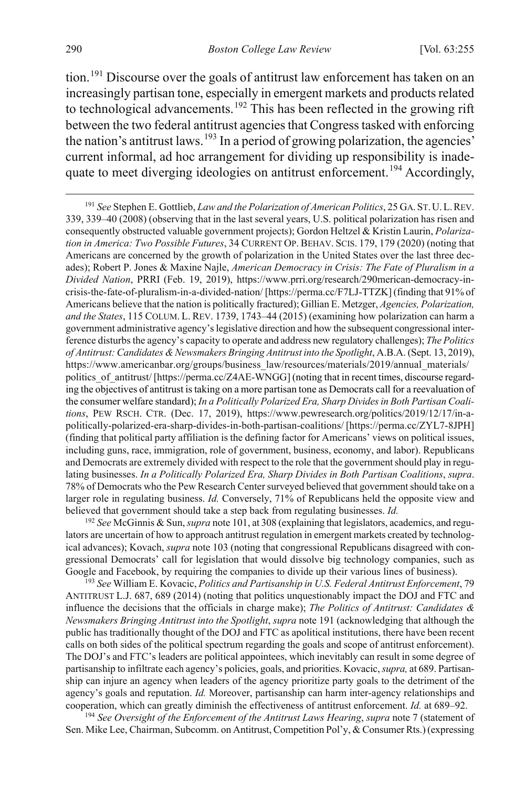<span id="page-36-5"></span><span id="page-36-0"></span>tion.<sup>[191](#page-36-1)</sup> Discourse over the goals of antitrust law enforcement has taken on an increasingly partisan tone, especially in emergent markets and products related to technological advancements.<sup>[192](#page-36-2)</sup> This has been reflected in the growing rift between the two federal antitrust agencies that Congress tasked with enforcing the nation's antitrust laws.<sup>[193](#page-36-3)</sup> In a period of growing polarization, the agencies' current informal, ad hoc arrangement for dividing up responsibility is inade-quate to meet diverging ideologies on antitrust enforcement.<sup>[194](#page-36-4)</sup> Accordingly,

<span id="page-36-2"></span><sup>192</sup> *See* McGinnis & Sun, *supra* not[e 101,](#page-19-4) at 308 (explaining that legislators, academics, and regulators are uncertain of how to approach antitrust regulation in emergent markets created by technological advances); Kovach, *supra* not[e 103](#page-20-6) (noting that congressional Republicans disagreed with congressional Democrats' call for legislation that would dissolve big technology companies, such as Google and Facebook, by requiring the companies to divide up their various lines of business).

<span id="page-36-3"></span><sup>193</sup> *See* William E. Kovacic, *Politics and Partisanship in U.S. Federal Antitrust Enforcement*, 79 ANTITRUST L.J. 687, 689 (2014) (noting that politics unquestionably impact the DOJ and FTC and influence the decisions that the officials in charge make); *The Politics of Antitrust: Candidates & Newsmakers Bringing Antitrust into the Spotlight*, *supra* not[e 191](#page-36-0) (acknowledging that although the public has traditionally thought of the DOJ and FTC as apolitical institutions, there have been recent calls on both sides of the political spectrum regarding the goals and scope of antitrust enforcement). The DOJ's and FTC's leaders are political appointees, which inevitably can result in some degree of partisanship to infiltrate each agency's policies, goals, and priorities. Kovacic, *supra,* at 689. Partisanship can injure an agency when leaders of the agency prioritize party goals to the detriment of the agency's goals and reputation. *Id.* Moreover, partisanship can harm inter-agency relationships and cooperation, which can greatly diminish the effectiveness of antitrust enforcement. *Id.* at 689–92.

<span id="page-36-4"></span><sup>194</sup> *See Oversight of the Enforcement of the Antitrust Laws Hearing*, *supra* not[e 7](#page-2-5) (statement of Sen. Mike Lee, Chairman, Subcomm. on Antitrust, Competition Pol'y, & Consumer Rts.) (expressing

<span id="page-36-1"></span> <sup>191</sup> *See* Stephen E. Gottlieb, *Law and the Polarization of American Politics*, 25 GA. ST.U.L.REV. 339, 339–40 (2008) (observing that in the last several years, U.S. political polarization has risen and consequently obstructed valuable government projects); Gordon Heltzel & Kristin Laurin, *Polarization in America: Two Possible Futures*, 34 CURRENT OP. BEHAV. SCIS. 179, 179 (2020) (noting that Americans are concerned by the growth of polarization in the United States over the last three decades); Robert P. Jones & Maxine Najle, *American Democracy in Crisis: The Fate of Pluralism in a Divided Nation*, PRRI (Feb. 19, 2019), https://www.prri.org/research/290merican-democracy-incrisis-the-fate-of-pluralism-in-a-divided-nation/ [https://perma.cc/F7LJ-TTZK] (finding that 91% of Americans believe that the nation is politically fractured); Gillian E. Metzger, *Agencies, Polarization, and the States*, 115 COLUM. L. REV. 1739, 1743–44 (2015) (examining how polarization can harm a government administrative agency's legislative direction and how the subsequent congressional interference disturbs the agency's capacity to operate and address new regulatory challenges); *The Politics of Antitrust: Candidates & Newsmakers Bringing Antitrust into the Spotlight*, A.B.A. (Sept. 13, 2019), https://www.americanbar.org/groups/business\_law/resources/materials/2019/annual\_materials/ politics of antitrust/ [https://perma.cc/Z4AE-WNGG] (noting that in recent times, discourse regarding the objectives of antitrust is taking on a more partisan tone as Democrats call for a reevaluation of the consumer welfare standard); *In a Politically Polarized Era, Sharp Divides in Both Partisan Coalitions*, PEW RSCH. CTR. (Dec. 17, 2019), https://www.pewresearch.org/politics/2019/12/17/in-apolitically-polarized-era-sharp-divides-in-both-partisan-coalitions/ [https://perma.cc/ZYL7-8JPH] (finding that political party affiliation is the defining factor for Americans' views on political issues, including guns, race, immigration, role of government, business, economy, and labor). Republicans and Democrats are extremely divided with respect to the role that the government should play in regulating businesses. *In a Politically Polarized Era, Sharp Divides in Both Partisan Coalitions*, *supra*. 78% of Democrats who the Pew Research Center surveyed believed that government should take on a larger role in regulating business. *Id.* Conversely, 71% of Republicans held the opposite view and believed that government should take a step back from regulating businesses. *Id.*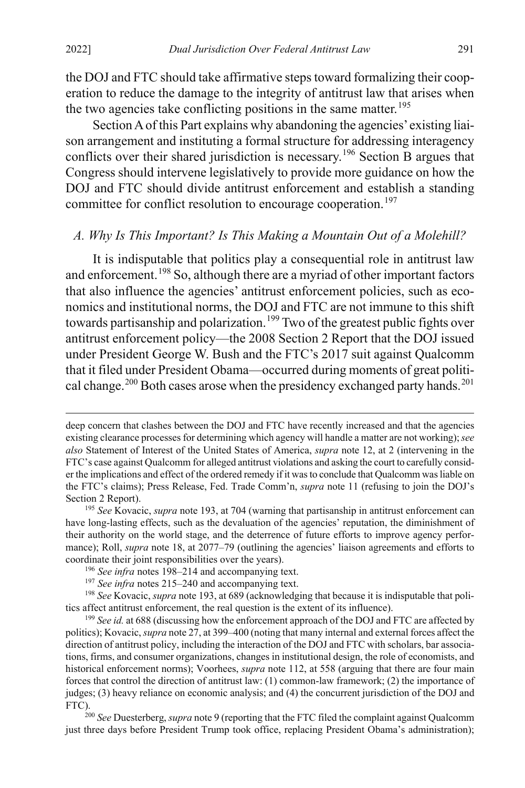<span id="page-37-7"></span> $\overline{a}$ 

the DOJ and FTC should take affirmative steps toward formalizing their cooperation to reduce the damage to the integrity of antitrust law that arises when the two agencies take conflicting positions in the same matter.<sup>[195](#page-37-1)</sup>

Section A of this Part explains why abandoning the agencies' existing liaison arrangement and instituting a formal structure for addressing interagency conflicts over their shared jurisdiction is necessary.<sup>[196](#page-37-2)</sup> Section B argues that Congress should intervene legislatively to provide more guidance on how the DOJ and FTC should divide antitrust enforcement and establish a standing committee for conflict resolution to encourage cooperation.<sup>[197](#page-37-3)</sup>

## <span id="page-37-0"></span>*A. Why Is This Important? Is This Making a Mountain Out of a Molehill?*

It is indisputable that politics play a consequential role in antitrust law and enforcement.<sup>[198](#page-37-4)</sup> So, although there are a myriad of other important factors that also influence the agencies' antitrust enforcement policies, such as economics and institutional norms, the DOJ and FTC are not immune to this shift towards partisanship and polarization.<sup>[199](#page-37-5)</sup> Two of the greatest public fights over antitrust enforcement policy—the 2008 Section 2 Report that the DOJ issued under President George W. Bush and the FTC's 2017 suit against Qualcomm that it filed under President Obama—occurred during moments of great politi-cal change.<sup>[200](#page-37-6)</sup> Both cases arose when the presidency exchanged party hands.<sup>[201](#page-37-7)</sup>

<span id="page-37-6"></span>just three days before President Trump took office, replacing President Obama's administration);

deep concern that clashes between the DOJ and FTC have recently increased and that the agencies existing clearance processes for determining which agency will handle a matter are not working); *see also* Statement of Interest of the United States of America, *supra* note [12,](#page-4-3) at 2 (intervening in the FTC's case against Qualcomm for alleged antitrust violations and asking the court to carefully consider the implications and effect of the ordered remedy if it was to conclude that Qualcomm was liable on the FTC's claims); Press Release, Fed. Trade Comm'n, *supra* note [11](#page-4-2) (refusing to join the DOJ's Section 2 Report).

<span id="page-37-1"></span><sup>195</sup> *See* Kovacic, *supra* not[e 193,](#page-36-5) at 704 (warning that partisanship in antitrust enforcement can have long-lasting effects, such as the devaluation of the agencies' reputation, the diminishment of their authority on the world stage, and the deterrence of future efforts to improve agency performance); Roll, *supra* not[e 18,](#page-5-0) at 2077–79 (outlining the agencies' liaison agreements and efforts to coordinate their joint responsibilities over the years).

<sup>196</sup> *See infra* notes [198–](#page-37-0)[214](#page-40-0) and accompanying text.

<sup>197</sup> *See infra* notes [215–](#page-40-1)[240](#page-44-0) and accompanying text.

<span id="page-37-4"></span><span id="page-37-3"></span><span id="page-37-2"></span><sup>198</sup> *See* Kovacic, *supra* not[e 193,](#page-36-5) at 689 (acknowledging that because it is indisputable that politics affect antitrust enforcement, the real question is the extent of its influence).

<span id="page-37-5"></span><sup>&</sup>lt;sup>199</sup> See id. at 688 (discussing how the enforcement approach of the DOJ and FTC are affected by politics); Kovacic, *supra* not[e 27,](#page-6-9) at 399–400 (noting that many internal and external forces affect the direction of antitrust policy, including the interaction of the DOJ and FTC with scholars, bar associations, firms, and consumer organizations, changes in institutional design, the role of economists, and historical enforcement norms); Voorhees, *supra* not[e 112,](#page-22-0) at 558 (arguing that there are four main forces that control the direction of antitrust law: (1) common-law framework; (2) the importance of judges; (3) heavy reliance on economic analysis; and (4) the concurrent jurisdiction of the DOJ and FTC).200 *See* Duesterberg, *supra* not[e 9](#page-3-0) (reporting that the FTC filed the complaint against Qualcomm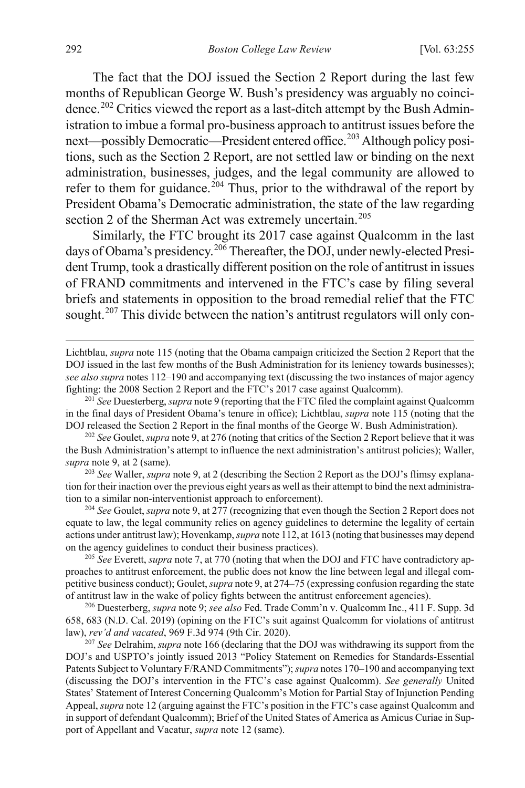The fact that the DOJ issued the Section 2 Report during the last few months of Republican George W. Bush's presidency was arguably no coinci-dence.<sup>[202](#page-38-0)</sup> Critics viewed the report as a last-ditch attempt by the Bush Administration to imbue a formal pro-business approach to antitrust issues before the next—possibly Democratic—President entered office.<sup>[203](#page-38-1)</sup> Although policy positions, such as the Section 2 Report, are not settled law or binding on the next administration, businesses, judges, and the legal community are allowed to refer to them for guidance.<sup>[204](#page-38-2)</sup> Thus, prior to the withdrawal of the report by President Obama's Democratic administration, the state of the law regarding section 2 of the Sherman Act was extremely uncertain.<sup>[205](#page-38-3)</sup>

Similarly, the FTC brought its 2017 case against Qualcomm in the last days of Obama's presidency.<sup>[206](#page-38-4)</sup> Thereafter, the DOJ, under newly-elected President Trump, took a drastically different position on the role of antitrust in issues of FRAND commitments and intervened in the FTC's case by filing several briefs and statements in opposition to the broad remedial relief that the FTC sought.<sup>[207](#page-38-5)</sup> This divide between the nation's antitrust regulators will only con-

Lichtblau, *supra* note [115](#page-22-5) (noting that the Obama campaign criticized the Section 2 Report that the DOJ issued in the last few months of the Bush Administration for its leniency towards businesses); *see also supra* notes [112–](#page-22-0)[190](#page-35-0) and accompanying text (discussing the two instances of major agency fighting: the 2008 Section 2 Report and the FTC's 2017 case against Qualcomm).

<sup>201</sup> *See* Duesterberg, *supra* not[e 9](#page-3-0) (reporting that the FTC filed the complaint against Qualcomm in the final days of President Obama's tenure in office); Lichtblau, *supra* note [115](#page-22-5) (noting that the DOJ released the Section 2 Report in the final months of the George W. Bush Administration).

<span id="page-38-0"></span><sup>202</sup> *See* Goulet, *supra* not[e 9,](#page-3-0) at 276 (noting that critics of the Section 2 Report believe that it was the Bush Administration's attempt to influence the next administration's antitrust policies); Waller, *supra* not[e 9,](#page-3-0) at 2 (same).

<span id="page-38-1"></span>203 *See* Waller, *supra* note [9,](#page-3-0) at 2 (describing the Section 2 Report as the DOJ's flimsy explanation for their inaction over the previous eight years as well as their attempt to bind the next administration to a similar non-interventionist approach to enforcement).

<span id="page-38-2"></span><sup>204</sup> *See* Goulet, *supra* not[e 9,](#page-3-0) at 277 (recognizing that even though the Section 2 Report does not equate to law, the legal community relies on agency guidelines to determine the legality of certain actions under antitrust law); Hovenkamp, *supra* not[e 112,](#page-22-0) at 1613 (noting that businesses may depend on the agency guidelines to conduct their business practices).

<span id="page-38-3"></span>205 *See* Everett, *supra* not[e 7,](#page-2-5) at 770 (noting that when the DOJ and FTC have contradictory approaches to antitrust enforcement, the public does not know the line between legal and illegal competitive business conduct); Goulet, *supra* not[e 9,](#page-3-0) at 274–75 (expressing confusion regarding the state of antitrust law in the wake of policy fights between the antitrust enforcement agencies). 206 Duesterberg, *supra* note 9; *see also* Fed. Trade Comm'n v. Qualcomm Inc., 411 F. Supp. 3d

<span id="page-38-4"></span>658, 683 (N.D. Cal. 2019) (opining on the FTC's suit against Qualcomm for violations of antitrust law), *rev'd and vacated*, 969 F.3d 974 (9th Cir. 2020).

<span id="page-38-5"></span><sup>207</sup> *See* Delrahim, *supra* note [166](#page-30-6) (declaring that the DOJ was withdrawing its support from the DOJ's and USPTO's jointly issued 2013 "Policy Statement on Remedies for Standards-Essential Patents Subject to Voluntary F/RAND Commitments"); *supra* note[s 170](#page-31-1)[–190](#page-35-0) and accompanying text (discussing the DOJ's intervention in the FTC's case against Qualcomm). *See generally* United States' Statement of Interest Concerning Qualcomm's Motion for Partial Stay of Injunction Pending Appeal, *supra* not[e 12](#page-4-3) (arguing against the FTC's position in the FTC's case against Qualcomm and in support of defendant Qualcomm); Brief of the United States of America as Amicus Curiae in Support of Appellant and Vacatur, *supra* not[e 12](#page-4-3) (same).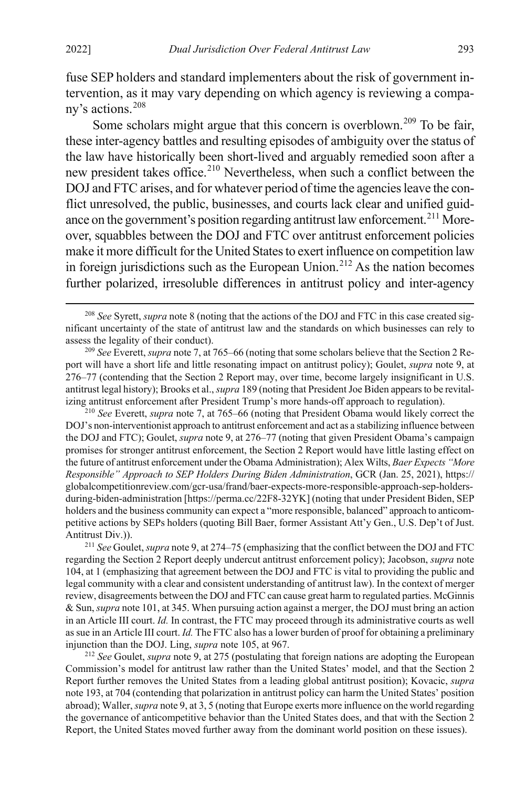fuse SEP holders and standard implementers about the risk of government intervention, as it may vary depending on which agency is reviewing a company's actions.[208](#page-39-0)

Some scholars might argue that this concern is overblown.<sup>[209](#page-39-1)</sup> To be fair, these inter-agency battles and resulting episodes of ambiguity over the status of the law have historically been short-lived and arguably remedied soon after a new president takes office.<sup>[210](#page-39-2)</sup> Nevertheless, when such a conflict between the DOJ and FTC arises, and for whatever period of time the agencies leave the conflict unresolved, the public, businesses, and courts lack clear and unified guid-ance on the government's position regarding antitrust law enforcement.<sup>[211](#page-39-3)</sup> Moreover, squabbles between the DOJ and FTC over antitrust enforcement policies make it more difficult for the United States to exert influence on competition law in foreign jurisdictions such as the European Union.<sup>[212](#page-39-4)</sup> As the nation becomes further polarized, irresoluble differences in antitrust policy and inter-agency

<span id="page-39-1"></span><sup>209</sup> *See* Everett, *supra* not[e 7,](#page-2-5) at 765–66 (noting that some scholars believe that the Section 2 Report will have a short life and little resonating impact on antitrust policy); Goulet, *supra* not[e 9,](#page-3-0) at 276–77 (contending that the Section 2 Report may, over time, become largely insignificant in U.S. antitrust legal history); Brooks et al., *supra* [189](#page-35-3) (noting that President Joe Biden appears to be revitalizing antitrust enforcement after President Trump's more hands-off approach to regulation).

<span id="page-39-2"></span><sup>210</sup> *See* Everett, *supra* note [7,](#page-2-5) at 765–66 (noting that President Obama would likely correct the DOJ's non-interventionist approach to antitrust enforcement and act as a stabilizing influence between the DOJ and FTC); Goulet, *supra* not[e 9,](#page-3-0) at 276–77 (noting that given President Obama's campaign promises for stronger antitrust enforcement, the Section 2 Report would have little lasting effect on the future of antitrust enforcement under the Obama Administration); Alex Wilts, *Baer Expects "More Responsible" Approach to SEP Holders During Biden Administration*, GCR (Jan. 25, 2021), https:// globalcompetitionreview.com/gcr-usa/frand/baer-expects-more-responsible-approach-sep-holdersduring-biden-administration [https://perma.cc/22F8-32YK] (noting that under President Biden, SEP holders and the business community can expect a "more responsible, balanced" approach to anticompetitive actions by SEPs holders (quoting Bill Baer, former Assistant Att'y Gen., U.S. Dep't of Just. Antitrust Div.)).

<span id="page-39-3"></span><sup>211</sup> *See* Goulet, *supra* not[e 9,](#page-3-0) at 274–75 (emphasizing that the conflict between the DOJ and FTC regarding the Section 2 Report deeply undercut antitrust enforcement policy); Jacobson, *supra* note [104,](#page-20-0) at 1 (emphasizing that agreement between the DOJ and FTC is vital to providing the public and legal community with a clear and consistent understanding of antitrust law). In the context of merger review, disagreements between the DOJ and FTC can cause great harm to regulated parties. McGinnis & Sun, *supra* not[e 101,](#page-19-4) at 345. When pursuing action against a merger, the DOJ must bring an action in an Article III court. *Id.* In contrast, the FTC may proceed through its administrative courts as well as sue in an Article III court. *Id.* The FTC also has a lower burden of proof for obtaining a preliminary injunction than the DOJ. Ling, *supra* not[e 105,](#page-20-1) at 967.

<span id="page-39-4"></span><sup>212</sup> *See* Goulet, *supra* not[e 9,](#page-3-0) at 275 (postulating that foreign nations are adopting the European Commission's model for antitrust law rather than the United States' model, and that the Section 2 Report further removes the United States from a leading global antitrust position); Kovacic, *supra* not[e 193,](#page-36-5) at 704 (contending that polarization in antitrust policy can harm the United States' position abroad); Waller, *supra* not[e 9,](#page-3-0) at 3, 5 (noting that Europe exerts more influence on the world regarding the governance of anticompetitive behavior than the United States does, and that with the Section 2 Report, the United States moved further away from the dominant world position on these issues).

<span id="page-39-0"></span> <sup>208</sup> *See* Syrett, *supra* note [8](#page-3-4) (noting that the actions of the DOJ and FTC in this case created significant uncertainty of the state of antitrust law and the standards on which businesses can rely to assess the legality of their conduct).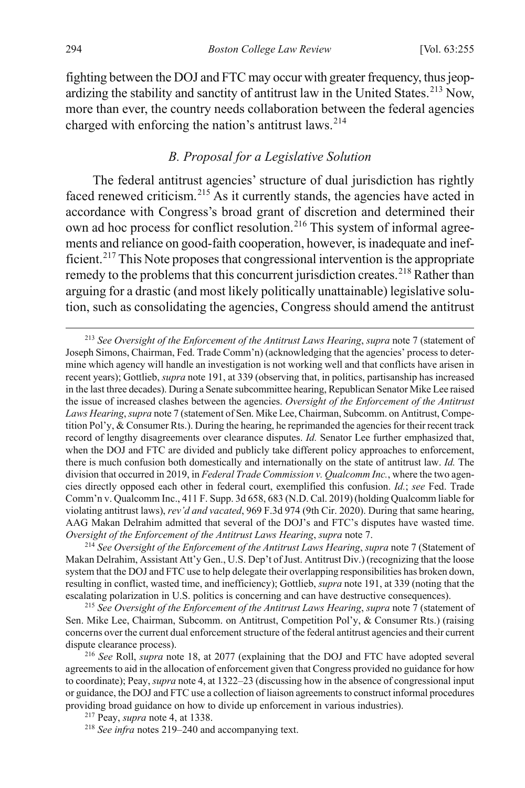fighting between the DOJ and FTC may occur with greater frequency, thus jeop-ardizing the stability and sanctity of antitrust law in the United States.<sup>[213](#page-40-2)</sup> Now, more than ever, the country needs collaboration between the federal agencies charged with enforcing the nation's antitrust laws.<sup>[214](#page-40-3)</sup>

### <span id="page-40-1"></span><span id="page-40-0"></span>*B. Proposal for a Legislative Solution*

The federal antitrust agencies' structure of dual jurisdiction has rightly faced renewed criticism.<sup>[215](#page-40-4)</sup> As it currently stands, the agencies have acted in accordance with Congress's broad grant of discretion and determined their own ad hoc process for conflict resolution.<sup>[216](#page-40-5)</sup> This system of informal agreements and reliance on good-faith cooperation, however, is inadequate and inef-ficient.<sup>[217](#page-40-6)</sup> This Note proposes that congressional intervention is the appropriate remedy to the problems that this concurrent jurisdiction creates.<sup>[218](#page-40-7)</sup> Rather than arguing for a drastic (and most likely politically unattainable) legislative solution, such as consolidating the agencies, Congress should amend the antitrust

<span id="page-40-3"></span>Makan Delrahim, Assistant Att'y Gen., U.S. Dep't of Just. Antitrust Div.) (recognizing that the loose system that the DOJ and FTC use to help delegate their overlapping responsibilities has broken down, resulting in conflict, wasted time, and inefficiency); Gottlieb, *supra* not[e 191,](#page-36-0) at 339 (noting that the escalating polarization in U.S. politics is concerning and can have destructive consequences).

<span id="page-40-4"></span><sup>215</sup> *See Oversight of the Enforcement of the Antitrust Laws Hearing*, *supra* not[e 7](#page-2-5) (statement of Sen. Mike Lee, Chairman, Subcomm. on Antitrust, Competition Pol'y, & Consumer Rts.) (raising concerns over the current dual enforcement structure of the federal antitrust agencies and their current dispute clearance process).

<span id="page-40-5"></span><sup>216</sup> *See* Roll, *supra* note [18,](#page-5-0) at 2077 (explaining that the DOJ and FTC have adopted several agreements to aid in the allocation of enforcement given that Congress provided no guidance for how to coordinate); Peay, *supra* note [4,](#page-2-0) at 1322–23 (discussing how in the absence of congressional input or guidance, the DOJ and FTC use a collection of liaison agreements to construct informal procedures providing broad guidance on how to divide up enforcement in various industries).

<span id="page-40-6"></span>217 Peay, *supra* not[e 4,](#page-2-0) at 1338.

<span id="page-40-7"></span><sup>218</sup> *See infra* notes [219–](#page-41-0)[240](#page-44-0) and accompanying text.

<span id="page-40-2"></span> <sup>213</sup> *See Oversight of the Enforcement of the Antitrust Laws Hearing*, *supra* not[e 7](#page-2-5) (statement of Joseph Simons, Chairman, Fed. Trade Comm'n) (acknowledging that the agencies' process to determine which agency will handle an investigation is not working well and that conflicts have arisen in recent years); Gottlieb, *supra* not[e 191,](#page-36-0) at 339 (observing that, in politics, partisanship has increased in the last three decades). During a Senate subcommittee hearing, Republican Senator Mike Lee raised the issue of increased clashes between the agencies. *Oversight of the Enforcement of the Antitrust Laws Hearing*, *supra* not[e 7](#page-2-5) (statement of Sen. Mike Lee, Chairman, Subcomm. on Antitrust, Competition Pol'y, & Consumer Rts.). During the hearing, he reprimanded the agencies for their recent track record of lengthy disagreements over clearance disputes. *Id.* Senator Lee further emphasized that, when the DOJ and FTC are divided and publicly take different policy approaches to enforcement, there is much confusion both domestically and internationally on the state of antitrust law. *Id.* The division that occurred in 2019, in *Federal Trade Commission v. Qualcomm Inc.*, where the two agencies directly opposed each other in federal court, exemplified this confusion. *Id.*; *see* Fed. Trade Comm'n v. Qualcomm Inc., 411 F. Supp. 3d 658, 683 (N.D. Cal. 2019) (holding Qualcomm liable for violating antitrust laws), *rev'd and vacated*, 969 F.3d 974 (9th Cir. 2020). During that same hearing, AAG Makan Delrahim admitted that several of the DOJ's and FTC's disputes have wasted time. *Oversight of the Enforcement of the Antitrust Laws Hearing*, *supra* not[e 7.](#page-2-5) 214 *See Oversight of the Enforcement of the Antitrust Laws Hearing*, *supra* not[e 7](#page-2-5) (Statement of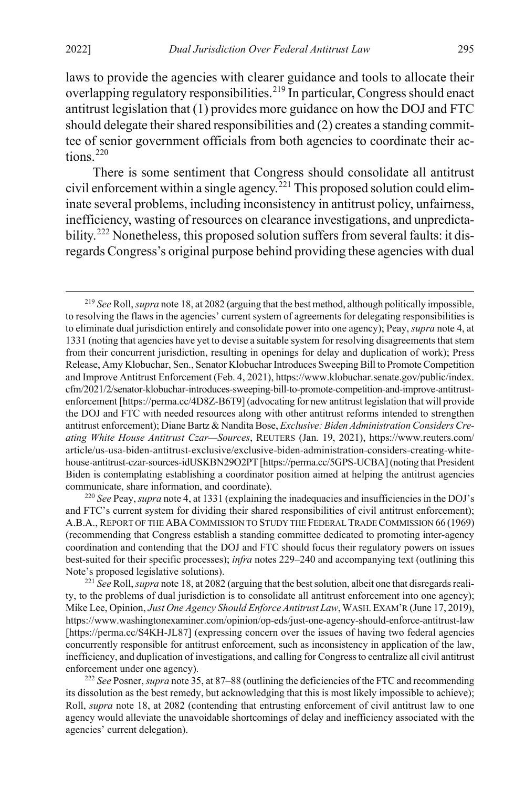<span id="page-41-0"></span>laws to provide the agencies with clearer guidance and tools to allocate their overlapping regulatory responsibilities.<sup>[219](#page-41-1)</sup> In particular, Congress should enact antitrust legislation that (1) provides more guidance on how the DOJ and FTC should delegate their shared responsibilities and (2) creates a standing committee of senior government officials from both agencies to coordinate their ac-tions.<sup>[220](#page-41-2)</sup>

<span id="page-41-5"></span>There is some sentiment that Congress should consolidate all antitrust civil enforcement within a single agency.<sup>[221](#page-41-3)</sup> This proposed solution could eliminate several problems, including inconsistency in antitrust policy, unfairness, inefficiency, wasting of resources on clearance investigations, and unpredicta-bility.<sup>[222](#page-41-4)</sup> Nonetheless, this proposed solution suffers from several faults: it disregards Congress's original purpose behind providing these agencies with dual

<span id="page-41-2"></span><sup>220</sup> *See* Peay, *supra* not[e 4,](#page-2-0) at 1331 (explaining the inadequacies and insufficiencies in the DOJ's and FTC's current system for dividing their shared responsibilities of civil antitrust enforcement); A.B.A., REPORT OF THE ABA COMMISSION TO STUDY THE FEDERAL TRADE COMMISSION 66 (1969) (recommending that Congress establish a standing committee dedicated to promoting inter-agency coordination and contending that the DOJ and FTC should focus their regulatory powers on issues best-suited for their specific processes); *infra* note[s 229](#page-42-0)[–240](#page-44-0) and accompanying text (outlining this Note's proposed legislative solutions).

<span id="page-41-3"></span>221 *See* Roll, *supra* not[e 18,](#page-5-0) at 2082 (arguing that the best solution, albeit one that disregards reality, to the problems of dual jurisdiction is to consolidate all antitrust enforcement into one agency); Mike Lee, Opinion, *Just One Agency Should Enforce Antitrust Law*, WASH.EXAM'R (June 17, 2019), https://www.washingtonexaminer.com/opinion/op-eds/just-one-agency-should-enforce-antitrust-law [https://perma.cc/S4KH-JL87] (expressing concern over the issues of having two federal agencies concurrently responsible for antitrust enforcement, such as inconsistency in application of the law, inefficiency, and duplication of investigations, and calling for Congress to centralize all civil antitrust enforcement under one agency).

<span id="page-41-4"></span><sup>222</sup> *See* Posner, *supra* not[e 35,](#page-8-10) at 87–88 (outlining the deficiencies of the FTC and recommending its dissolution as the best remedy, but acknowledging that this is most likely impossible to achieve); Roll, *supra* note [18,](#page-5-0) at 2082 (contending that entrusting enforcement of civil antitrust law to one agency would alleviate the unavoidable shortcomings of delay and inefficiency associated with the agencies' current delegation).

<span id="page-41-1"></span> <sup>219</sup> *See* Roll, *supra* not[e 18,](#page-5-0) at 2082 (arguing that the best method, although politically impossible, to resolving the flaws in the agencies' current system of agreements for delegating responsibilities is to eliminate dual jurisdiction entirely and consolidate power into one agency); Peay, *supra* not[e 4,](#page-2-0) at 1331 (noting that agencies have yet to devise a suitable system for resolving disagreements that stem from their concurrent jurisdiction, resulting in openings for delay and duplication of work); Press Release, Amy Klobuchar, Sen., Senator Klobuchar Introduces Sweeping Bill to Promote Competition and Improve Antitrust Enforcement (Feb. 4, 2021), https://www.klobuchar.senate.gov/public/index. cfm/2021/2/senator-klobuchar-introduces-sweeping-bill-to-promote-competition-and-improve-antitrustenforcement [https://perma.cc/4D8Z-B6T9] (advocating for new antitrust legislation that will provide the DOJ and FTC with needed resources along with other antitrust reforms intended to strengthen antitrust enforcement); Diane Bartz & Nandita Bose, *Exclusive: Biden Administration Considers Creating White House Antitrust Czar—Sources*, REUTERS (Jan. 19, 2021), https://www.reuters.com/ article/us-usa-biden-antitrust-exclusive/exclusive-biden-administration-considers-creating-whitehouse-antitrust-czar-sources-idUSKBN29O2PT [https://perma.cc/5GPS-UCBA] (noting that President Biden is contemplating establishing a coordinator position aimed at helping the antitrust agencies communicate, share information, and coordinate).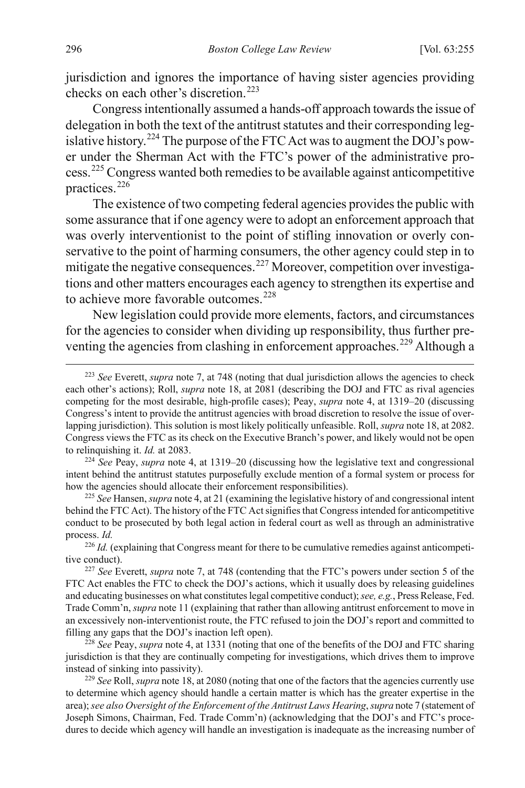jurisdiction and ignores the importance of having sister agencies providing checks on each other's discretion.<sup>[223](#page-42-1)</sup>

Congress intentionally assumed a hands-off approach towards the issue of delegation in both the text of the antitrust statutes and their corresponding leg-islative history.<sup>[224](#page-42-2)</sup> The purpose of the FTC Act was to augment the DOJ's power under the Sherman Act with the FTC's power of the administrative process.[225](#page-42-3) Congress wanted both remedies to be available against anticompetitive practices.<sup>[226](#page-42-4)</sup>

The existence of two competing federal agencies provides the public with some assurance that if one agency were to adopt an enforcement approach that was overly interventionist to the point of stifling innovation or overly conservative to the point of harming consumers, the other agency could step in to mitigate the negative consequences.<sup>[227](#page-42-5)</sup> Moreover, competition over investigations and other matters encourages each agency to strengthen its expertise and to achieve more favorable outcomes.<sup>[228](#page-42-6)</sup>

<span id="page-42-0"></span>New legislation could provide more elements, factors, and circumstances for the agencies to consider when dividing up responsibility, thus further pre-venting the agencies from clashing in enforcement approaches.<sup>[229](#page-42-7)</sup> Although a

<span id="page-42-3"></span><sup>225</sup> *See* Hansen, *supra* not[e 4,](#page-2-0) at 21 (examining the legislative history of and congressional intent behind the FTC Act). The history of the FTC Act signifies that Congress intended for anticompetitive conduct to be prosecuted by both legal action in federal court as well as through an administrative process. *Id.*

<span id="page-42-4"></span><sup>226</sup> *Id.* (explaining that Congress meant for there to be cumulative remedies against anticompetitive conduct).

<span id="page-42-5"></span><sup>227</sup> *See* Everett, *supra* note [7,](#page-2-5) at 748 (contending that the FTC's powers under section 5 of the FTC Act enables the FTC to check the DOJ's actions, which it usually does by releasing guidelines and educating businesses on what constitutes legal competitive conduct); *see, e.g.*, Press Release, Fed. Trade Comm'n, *supra* not[e 11](#page-4-2) (explaining that rather than allowing antitrust enforcement to move in an excessively non-interventionist route, the FTC refused to join the DOJ's report and committed to filling any gaps that the DOJ's inaction left open).

<span id="page-42-6"></span><sup>228</sup> *See* Peay, *supra* not[e 4,](#page-2-0) at 1331 (noting that one of the benefits of the DOJ and FTC sharing jurisdiction is that they are continually competing for investigations, which drives them to improve instead of sinking into passivity).

<span id="page-42-7"></span><sup>229</sup> *See* Roll, *supra* not[e 18,](#page-5-0) at 2080 (noting that one of the factors that the agencies currently use to determine which agency should handle a certain matter is which has the greater expertise in the area); *see also Oversight of the Enforcement of the Antitrust Laws Hearing*, *supra* not[e 7](#page-2-5) (statement of Joseph Simons, Chairman, Fed. Trade Comm'n) (acknowledging that the DOJ's and FTC's procedures to decide which agency will handle an investigation is inadequate as the increasing number of

<span id="page-42-1"></span> <sup>223</sup> *See* Everett, *supra* not[e 7,](#page-2-5) at 748 (noting that dual jurisdiction allows the agencies to check each other's actions); Roll, *supra* note [18,](#page-5-0) at 2081 (describing the DOJ and FTC as rival agencies competing for the most desirable, high-profile cases); Peay, *supra* note [4,](#page-2-0) at 1319–20 (discussing Congress's intent to provide the antitrust agencies with broad discretion to resolve the issue of overlapping jurisdiction). This solution is most likely politically unfeasible. Roll, *supra* not[e 18,](#page-5-0) at 2082. Congress views the FTC as its check on the Executive Branch's power, and likely would not be open to relinquishing it. *Id.* at 2083.

<span id="page-42-2"></span><sup>224</sup> *See* Peay, *supra* note [4,](#page-2-0) at 1319–20 (discussing how the legislative text and congressional intent behind the antitrust statutes purposefully exclude mention of a formal system or process for how the agencies should allocate their enforcement responsibilities).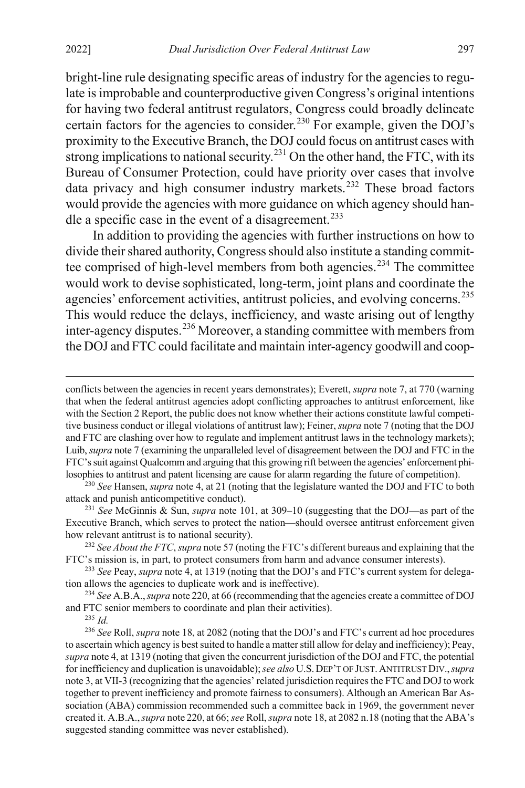bright-line rule designating specific areas of industry for the agencies to regulate is improbable and counterproductive given Congress's original intentions for having two federal antitrust regulators, Congress could broadly delineate certain factors for the agencies to consider.<sup>[230](#page-43-0)</sup> For example, given the DOJ's proximity to the Executive Branch, the DOJ could focus on antitrust cases with strong implications to national security.<sup>[231](#page-43-1)</sup> On the other hand, the FTC, with its Bureau of Consumer Protection, could have priority over cases that involve data privacy and high consumer industry markets.<sup>[232](#page-43-2)</sup> These broad factors would provide the agencies with more guidance on which agency should han-dle a specific case in the event of a disagreement.<sup>[233](#page-43-3)</sup>

In addition to providing the agencies with further instructions on how to divide their shared authority, Congress should also institute a standing commit-tee comprised of high-level members from both agencies.<sup>[234](#page-43-4)</sup> The committee would work to devise sophisticated, long-term, joint plans and coordinate the agencies' enforcement activities, antitrust policies, and evolving concerns.<sup>[235](#page-43-5)</sup> This would reduce the delays, inefficiency, and waste arising out of lengthy inter-agency disputes.<sup>[236](#page-43-6)</sup> Moreover, a standing committee with members from the DOJ and FTC could facilitate and maintain inter-agency goodwill and coop-

<span id="page-43-0"></span><sup>230</sup> *See* Hansen, *supra* not[e 4,](#page-2-0) at 21 (noting that the legislature wanted the DOJ and FTC to both attack and punish anticompetitive conduct).

<span id="page-43-1"></span><sup>231</sup> *See* McGinnis & Sun, *supra* note [101,](#page-19-4) at 309–10 (suggesting that the DOJ—as part of the Executive Branch, which serves to protect the nation—should oversee antitrust enforcement given how relevant antitrust is to national security).

<span id="page-43-2"></span><sup>232</sup> *See About the FTC*, *supra* not[e 57](#page-11-6) (noting the FTC's different bureaus and explaining that the FTC's mission is, in part, to protect consumers from harm and advance consumer interests).

<span id="page-43-3"></span>233 *See* Peay, *supra* not[e 4,](#page-2-0) at 1319 (noting that the DOJ's and FTC's current system for delegation allows the agencies to duplicate work and is ineffective).

<span id="page-43-4"></span><sup>234</sup> *See* A.B.A.,*supra* note [220,](#page-41-5) at 66 (recommending that the agencies create a committee of DOJ and FTC senior members to coordinate and plan their activities).

<sup>235</sup> *Id.*

<span id="page-43-6"></span><span id="page-43-5"></span><sup>236</sup> *See* Roll, *supra* not[e 18,](#page-5-0) at 2082 (noting that the DOJ's and FTC's current ad hoc procedures to ascertain which agency is best suited to handle a matter still allow for delay and inefficiency); Peay, *supra* not[e 4,](#page-2-0) at 1319 (noting that given the concurrent jurisdiction of the DOJ and FTC, the potential for inefficiency and duplication is unavoidable); *see also* U.S.DEP'T OF JUST.ANTITRUST DIV.,*supra* not[e 3,](#page-1-3) at VII-3 (recognizing that the agencies' related jurisdiction requires the FTC and DOJ to work together to prevent inefficiency and promote fairness to consumers). Although an American Bar Association (ABA) commission recommended such a committee back in 1969, the government never created it. A.B.A.,*supra* note [220,](#page-41-5) at 66; *see* Roll, *supra* not[e 18,](#page-5-0) at 2082 n.18 (noting that the ABA's suggested standing committee was never established).

conflicts between the agencies in recent years demonstrates); Everett, *supra* not[e 7,](#page-2-5) at 770 (warning that when the federal antitrust agencies adopt conflicting approaches to antitrust enforcement, like with the Section 2 Report, the public does not know whether their actions constitute lawful competitive business conduct or illegal violations of antitrust law); Feiner, *supra* not[e 7](#page-2-5) (noting that the DOJ and FTC are clashing over how to regulate and implement antitrust laws in the technology markets); Luib, *supra* not[e 7](#page-2-5) (examining the unparalleled level of disagreement between the DOJ and FTC in the FTC's suit against Qualcomm and arguing that this growing rift between the agencies' enforcement philosophies to antitrust and patent licensing are cause for alarm regarding the future of competition).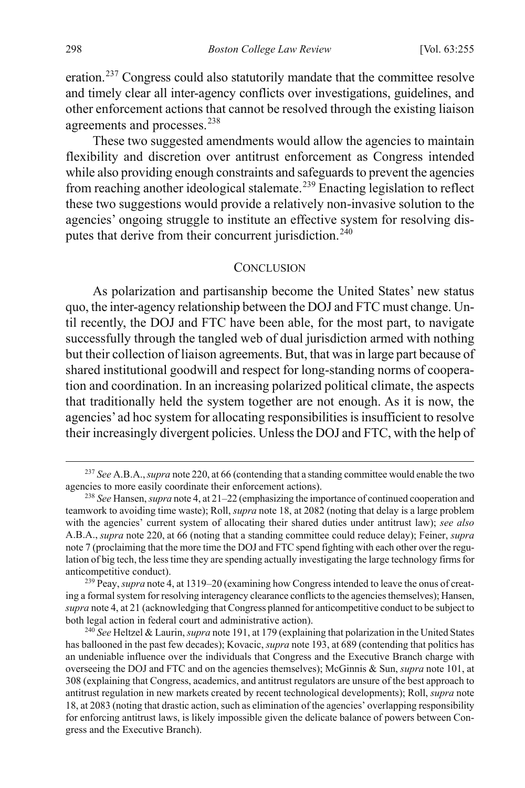eration.[237](#page-44-1) Congress could also statutorily mandate that the committee resolve and timely clear all inter-agency conflicts over investigations, guidelines, and other enforcement actions that cannot be resolved through the existing liaison agreements and processes.<sup>[238](#page-44-2)</sup>

These two suggested amendments would allow the agencies to maintain flexibility and discretion over antitrust enforcement as Congress intended while also providing enough constraints and safeguards to prevent the agencies from reaching another ideological stalemate.<sup>[239](#page-44-3)</sup> Enacting legislation to reflect these two suggestions would provide a relatively non-invasive solution to the agencies' ongoing struggle to institute an effective system for resolving dis-putes that derive from their concurrent jurisdiction.<sup>[240](#page-44-4)</sup>

#### <span id="page-44-0"></span>**CONCLUSION**

As polarization and partisanship become the United States' new status quo, the inter-agency relationship between the DOJ and FTC must change. Until recently, the DOJ and FTC have been able, for the most part, to navigate successfully through the tangled web of dual jurisdiction armed with nothing but their collection of liaison agreements. But, that was in large part because of shared institutional goodwill and respect for long-standing norms of cooperation and coordination. In an increasing polarized political climate, the aspects that traditionally held the system together are not enough. As it is now, the agencies' ad hoc system for allocating responsibilities is insufficient to resolve their increasingly divergent policies. Unless the DOJ and FTC, with the help of

<span id="page-44-3"></span>239 Peay, *supra* not[e 4,](#page-2-0) at 1319–20 (examining how Congress intended to leave the onus of creating a formal system for resolving interagency clearance conflicts to the agencies themselves); Hansen, *supra* not[e 4,](#page-2-0) at 21 (acknowledging that Congress planned for anticompetitive conduct to be subject to both legal action in federal court and administrative action).

<span id="page-44-1"></span> <sup>237</sup> *See* A.B.A.,*supra* note [220,](#page-41-5) at 66 (contending that a standing committee would enable the two agencies to more easily coordinate their enforcement actions).

<span id="page-44-2"></span><sup>238</sup> *See* Hansen, *supra* not[e 4,](#page-2-0) at 21–22 (emphasizing the importance of continued cooperation and teamwork to avoiding time waste); Roll, *supra* not[e 18,](#page-5-0) at 2082 (noting that delay is a large problem with the agencies' current system of allocating their shared duties under antitrust law); *see also* A.B.A., *supra* not[e 220,](#page-41-5) at 66 (noting that a standing committee could reduce delay); Feiner, *supra* not[e 7](#page-2-5) (proclaiming that the more time the DOJ and FTC spend fighting with each other over the regulation of big tech, the less time they are spending actually investigating the large technology firms for anticompetitive conduct).

<span id="page-44-4"></span><sup>240</sup> *See* Heltzel & Laurin, *supra* not[e 191,](#page-36-0) at 179 (explaining that polarization in the United States has ballooned in the past few decades); Kovacic, *supra* not[e 193,](#page-36-5) at 689 (contending that politics has an undeniable influence over the individuals that Congress and the Executive Branch charge with overseeing the DOJ and FTC and on the agencies themselves); McGinnis & Sun, *supra* not[e 101,](#page-19-4) at 308 (explaining that Congress, academics, and antitrust regulators are unsure of the best approach to antitrust regulation in new markets created by recent technological developments); Roll, *supra* note [18,](#page-5-0) at 2083 (noting that drastic action, such as elimination of the agencies' overlapping responsibility for enforcing antitrust laws, is likely impossible given the delicate balance of powers between Congress and the Executive Branch).